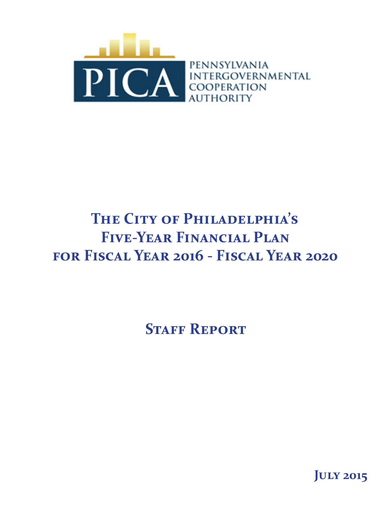

# **The City of Philadelphia's Five-Year Financial Plan for Fiscal Year 2016 - Fiscal Year 2020**

**STAFF REPORT** 

**July 2015**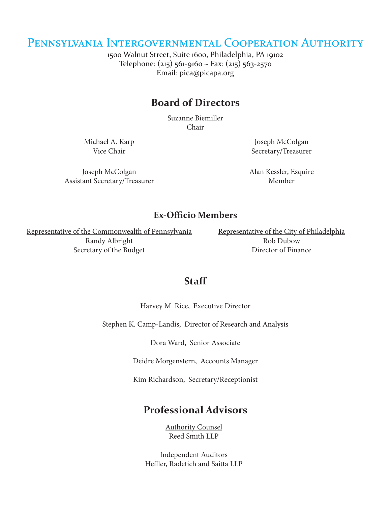### Pennsylvania Intergovernmental Cooperation Authority

1500 Walnut Street, Suite 1600, Philadelphia, PA 19102 Telephone: (215) 561-9160 ~ Fax: (215) 563-2570 Email: pica@picapa.org

### **Board of Directors**

Suzanne Biemiller Chair

Michael A. Karp Vice Chair

Joseph McColgan Assistant Secretary/Treasurer

Joseph McColgan Secretary/Treasurer

Alan Kessler, Esquire Member

#### **Ex-Officio Members**

Representative of the Commonwealth of Pennsylvania Randy Albright Secretary of the Budget

Representative of the City of Philadelphia Rob Dubow Director of Finance

#### **Staff**

Harvey M. Rice, Executive Director

Stephen K. Camp-Landis, Director of Research and Analysis

Dora Ward, Senior Associate

Deidre Morgenstern, Accounts Manager

Kim Richardson, Secretary/Receptionist

### **Professional Advisors**

Authority Counsel Reed Smith LLP

Independent Auditors Heffler, Radetich and Saitta LLP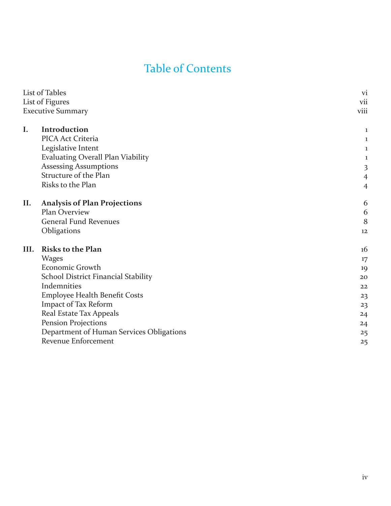## Table of Contents

|      | List of Tables                           | <b>vi</b>               |
|------|------------------------------------------|-------------------------|
|      | List of Figures                          | vii                     |
|      | <b>Executive Summary</b>                 | viii                    |
| I.   | Introduction                             | 1                       |
|      | PICA Act Criteria                        | 1                       |
|      | Legislative Intent                       | 1                       |
|      | <b>Evaluating Overall Plan Viability</b> | 1                       |
|      | <b>Assessing Assumptions</b>             | $\overline{\mathbf{3}}$ |
|      | Structure of the Plan                    | $\overline{4}$          |
|      | Risks to the Plan                        | $\overline{4}$          |
| II.  | <b>Analysis of Plan Projections</b>      | 6                       |
|      | Plan Overview                            | 6                       |
|      | <b>General Fund Revenues</b>             | 8                       |
|      | Obligations                              | 12                      |
| III. | <b>Risks to the Plan</b>                 | 16                      |
|      | <b>Wages</b>                             | 17                      |
|      | Economic Growth                          | 19                      |
|      | School District Financial Stability      | 20                      |
|      | Indemnities                              | 22                      |
|      | Employee Health Benefit Costs            | 23                      |
|      | Impact of Tax Reform                     | 23                      |
|      | Real Estate Tax Appeals                  | 24                      |
|      | Pension Projections                      | 24                      |
|      | Department of Human Services Obligations | 25                      |
|      | <b>Revenue Enforcement</b>               | 25                      |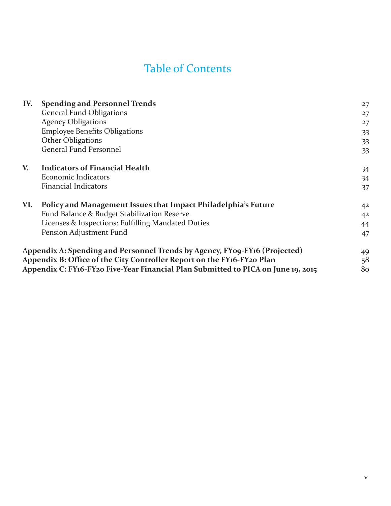## Table of Contents

| IV. | <b>Spending and Personnel Trends</b>                                              | 27             |
|-----|-----------------------------------------------------------------------------------|----------------|
|     | <b>General Fund Obligations</b>                                                   | 27             |
|     | <b>Agency Obligations</b>                                                         | 27             |
|     | <b>Employee Benefits Obligations</b>                                              | 33             |
|     | Other Obligations                                                                 | 33             |
|     | General Fund Personnel                                                            | 33             |
| V.  | <b>Indicators of Financial Health</b>                                             | 34             |
|     | Economic Indicators                                                               | 34             |
|     | <b>Financial Indicators</b>                                                       | 37             |
| VI. | Policy and Management Issues that Impact Philadelphia's Future                    | 4 <sup>2</sup> |
|     | Fund Balance & Budget Stabilization Reserve                                       | 4 <sup>2</sup> |
|     | Licenses & Inspections: Fulfilling Mandated Duties                                | 44             |
|     | Pension Adjustment Fund                                                           | 47             |
|     | Appendix A: Spending and Personnel Trends by Agency, FY09-FY16 (Projected)        | 49             |
|     | Appendix B: Office of the City Controller Report on the FY16-FY20 Plan            | 58             |
|     | Appendix C: FY16-FY20 Five-Year Financial Plan Submitted to PICA on June 19, 2015 | 80             |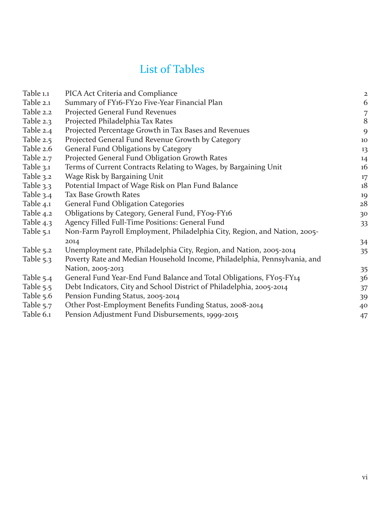## List of Tables

| Table 1.1   | <b>PICA Act Criteria and Compliance</b>                                   | $\overline{\mathbf{c}}$ |
|-------------|---------------------------------------------------------------------------|-------------------------|
| Table 2.1   | Summary of FY16-FY20 Five-Year Financial Plan                             | 6                       |
| Table 2.2   | Projected General Fund Revenues                                           | 7                       |
| Table 2.3   | Projected Philadelphia Tax Rates                                          | 8                       |
| Table 2.4   | Projected Percentage Growth in Tax Bases and Revenues                     | 9                       |
| Table 2.5   | Projected General Fund Revenue Growth by Category                         | 10                      |
| Table 2.6   | General Fund Obligations by Category                                      | 13                      |
| Table 2.7   | Projected General Fund Obligation Growth Rates                            | 14                      |
| Table $3.1$ | Terms of Current Contracts Relating to Wages, by Bargaining Unit          | 16                      |
| Table 3.2   | Wage Risk by Bargaining Unit                                              | 17                      |
| Table 3.3   | Potential Impact of Wage Risk on Plan Fund Balance                        | 18                      |
| Table 3.4   | <b>Tax Base Growth Rates</b>                                              | 19                      |
| Table 4.1   | <b>General Fund Obligation Categories</b>                                 | 28                      |
| Table 4.2   | Obligations by Category, General Fund, FY09-FY16                          | 30                      |
| Table 4.3   | Agency Filled Full-Time Positions: General Fund                           | 33                      |
| Table $5.1$ | Non-Farm Payroll Employment, Philadelphia City, Region, and Nation, 2005- |                         |
|             | 2014                                                                      | 34                      |
| Table 5.2   | Unemployment rate, Philadelphia City, Region, and Nation, 2005-2014       | 35                      |
| Table 5.3   | Poverty Rate and Median Household Income, Philadelphia, Pennsylvania, and |                         |
|             | Nation, 2005-2013                                                         | 35                      |
| Table 5.4   | General Fund Year-End Fund Balance and Total Obligations, FY05-FY14       | 36                      |
| Table 5.5   | Debt Indicators, City and School District of Philadelphia, 2005-2014      | 37                      |
| Table 5.6   | Pension Funding Status, 2005-2014                                         | 39                      |
| Table 5.7   | Other Post-Employment Benefits Funding Status, 2008-2014                  | 40                      |
| Table 6.1   | Pension Adjustment Fund Disbursements, 1999-2015                          | 47                      |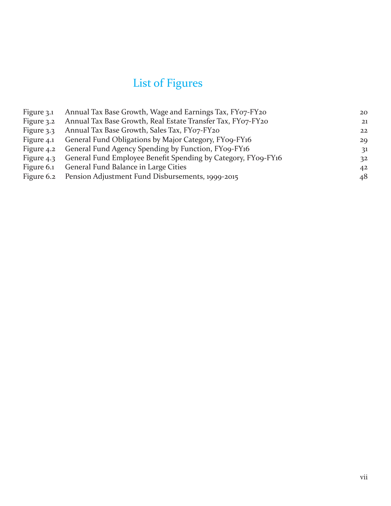# List of Figures

| Figure 3.1 | Annual Tax Base Growth, Wage and Earnings Tax, FY07-FY20      | 20 |
|------------|---------------------------------------------------------------|----|
| Figure 3.2 | Annual Tax Base Growth, Real Estate Transfer Tax, FY07-FY20   | 21 |
| Figure 3.3 | Annual Tax Base Growth, Sales Tax, FY07-FY20                  | 22 |
| Figure 4.1 | General Fund Obligations by Major Category, FY09-FY16         | 29 |
| Figure 4.2 | General Fund Agency Spending by Function, FY09-FY16           | 31 |
| Figure 4.3 | General Fund Employee Benefit Spending by Category, FY09-FY16 | 32 |
| Figure 6.1 | General Fund Balance in Large Cities                          | 42 |
| Figure 6.2 | Pension Adjustment Fund Disbursements, 1999-2015              | 48 |
|            |                                                               |    |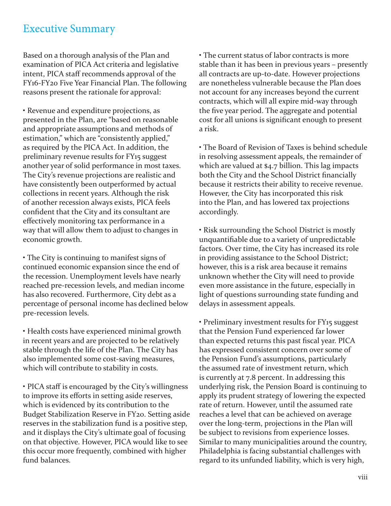### Executive Summary

Based on a thorough analysis of the Plan and examination of PICA Act criteria and legislative intent, PICA staff recommends approval of the FY16-FY20 Five Year Financial Plan. The following reasons present the rationale for approval:

• Revenue and expenditure projections, as presented in the Plan, are "based on reasonable and appropriate assumptions and methods of estimation," which are "consistently applied," as required by the PICA Act. In addition, the preliminary revenue results for FY15 suggest another year of solid performance in most taxes. The City's revenue projections are realistic and have consistently been outperformed by actual collections in recent years. Although the risk of another recession always exists, PICA feels confident that the City and its consultant are effectively monitoring tax performance in a way that will allow them to adjust to changes in economic growth.

• The City is continuing to manifest signs of continued economic expansion since the end of the recession. Unemployment levels have nearly reached pre-recession levels, and median income has also recovered. Furthermore, City debt as a percentage of personal income has declined below pre-recession levels.

• Health costs have experienced minimal growth in recent years and are projected to be relatively stable through the life of the Plan. The City has also implemented some cost-saving measures, which will contribute to stability in costs.

• PICA staff is encouraged by the City's willingness to improve its efforts in setting aside reserves, which is evidenced by its contribution to the Budget Stabilization Reserve in FY20. Setting aside reserves in the stabilization fund is a positive step, and it displays the City's ultimate goal of focusing on that objective. However, PICA would like to see this occur more frequently, combined with higher fund balances.

• The current status of labor contracts is more stable than it has been in previous years – presently all contracts are up-to-date. However projections are nonetheless vulnerable because the Plan does not account for any increases beyond the current contracts, which will all expire mid-way through the five year period. The aggregate and potential cost for all unions is significant enough to present a risk.

• The Board of Revision of Taxes is behind schedule in resolving assessment appeals, the remainder of which are valued at \$4.7 billion. This lag impacts both the City and the School District financially because it restricts their ability to receive revenue. However, the City has incorporated this risk into the Plan, and has lowered tax projections accordingly.

• Risk surrounding the School District is mostly unquantifiable due to a variety of unpredictable factors. Over time, the City has increased its role in providing assistance to the School District; however, this is a risk area because it remains unknown whether the City will need to provide even more assistance in the future, especially in light of questions surrounding state funding and delays in assessment appeals.

• Preliminary investment results for FY15 suggest that the Pension Fund experienced far lower than expected returns this past fiscal year. PICA has expressed consistent concern over some of the Pension Fund's assumptions, particularly the assumed rate of investment return, which is currently at 7.8 percent. In addressing this underlying risk, the Pension Board is continuing to apply its prudent strategy of lowering the expected rate of return. However, until the assumed rate reaches a level that can be achieved on average over the long-term, projections in the Plan will be subject to revisions from experience losses. Similar to many municipalities around the country, Philadelphia is facing substantial challenges with regard to its unfunded liability, which is very high,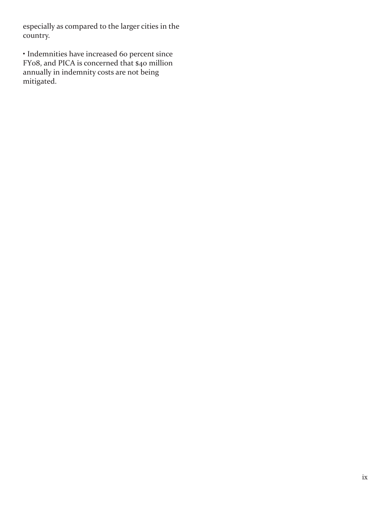especially as compared to the larger cities in the country.

• Indemnities have increased 60 percent since FY08, and PICA is concerned that \$40 million annually in indemnity costs are not being mitigated.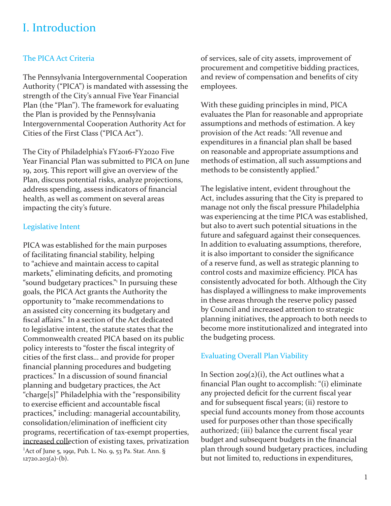## I. Introduction

#### The PICA Act Criteria

The Pennsylvania Intergovernmental Cooperation Authority ("PICA") is mandated with assessing the strength of the City's annual Five Year Financial Plan (the "Plan"). The framework for evaluating the Plan is provided by the Pennsylvania Intergovernmental Cooperation Authority Act for Cities of the First Class ("PICA Act").

The City of Philadelphia's FY2016-FY2020 Five Year Financial Plan was submitted to PICA on June 19, 2015. This report will give an overview of the Plan, discuss potential risks, analyze projections, address spending, assess indicators of financial health, as well as comment on several areas impacting the city's future.

#### Legislative Intent

PICA was established for the main purposes of facilitating financial stability, helping to "achieve and maintain access to capital markets," eliminating deficits, and promoting "sound budgetary practices." In pursuing these goals, the PICA Act grants the Authority the opportunity to "make recommendations to an assisted city concerning its budgetary and fiscal affairs." In a section of the Act dedicated to legislative intent, the statute states that the Commonwealth created PICA based on its public policy interests to "foster the fiscal integrity of cities of the first class… and provide for proper financial planning procedures and budgeting practices." In a discussion of sound financial planning and budgetary practices, the Act "charge[s]" Philadelphia with the "responsibility to exercise efficient and accountable fiscal practices," including: managerial accountability, consolidation/elimination of inefficient city programs, recertification of tax-exempt properties, increased collection of existing taxes, privatization <sup>1</sup>Act of June 5, 1991, Pub. L. No. 9, 53 Pa. Stat. Ann. § 12720.203(a)-(b).

of services, sale of city assets, improvement of procurement and competitive bidding practices, and review of compensation and benefits of city employees.

With these guiding principles in mind, PICA evaluates the Plan for reasonable and appropriate assumptions and methods of estimation. A key provision of the Act reads: "All revenue and expenditures in a financial plan shall be based on reasonable and appropriate assumptions and methods of estimation, all such assumptions and methods to be consistently applied."

The legislative intent, evident throughout the Act, includes assuring that the City is prepared to manage not only the fiscal pressure Philadelphia was experiencing at the time PICA was established, but also to avert such potential situations in the future and safeguard against their consequences. In addition to evaluating assumptions, therefore, it is also important to consider the significance of a reserve fund, as well as strategic planning to control costs and maximize efficiency. PICA has consistently advocated for both. Although the City has displayed a willingness to make improvements in these areas through the reserve policy passed by Council and increased attention to strategic planning initiatives, the approach to both needs to become more institutionalized and integrated into the budgeting process.

#### Evaluating Overall Plan Viability

In Section  $209(2)(i)$ , the Act outlines what a financial Plan ought to accomplish: "(i) eliminate any projected deficit for the current fiscal year and for subsequent fiscal years; (ii) restore to special fund accounts money from those accounts used for purposes other than those specifically authorized; (iii) balance the current fiscal year budget and subsequent budgets in the financial plan through sound budgetary practices, including but not limited to, reductions in expenditures,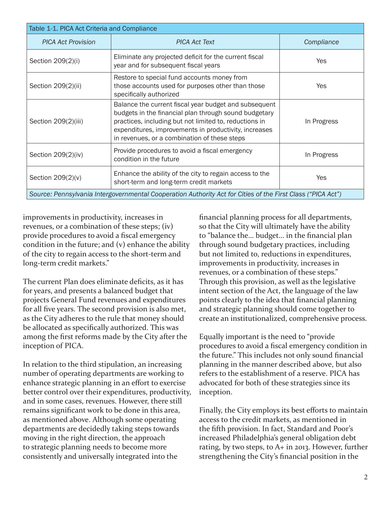| Table 1-1. PICA Act Criteria and Compliance                                                                 |                                                                                                                                                                                                                                                                                   |             |  |  |  |  |  |
|-------------------------------------------------------------------------------------------------------------|-----------------------------------------------------------------------------------------------------------------------------------------------------------------------------------------------------------------------------------------------------------------------------------|-------------|--|--|--|--|--|
| <b>PICA Act Provision</b>                                                                                   | <b>PICA Act Text</b>                                                                                                                                                                                                                                                              | Compliance  |  |  |  |  |  |
| Section 209(2)(i)                                                                                           | Eliminate any projected deficit for the current fiscal<br>year and for subsequent fiscal years                                                                                                                                                                                    | Yes         |  |  |  |  |  |
| Section 209(2)(ii)                                                                                          | Restore to special fund accounts money from<br>those accounts used for purposes other than those<br>specifically authorized                                                                                                                                                       | Yes         |  |  |  |  |  |
| Section 209(2)(iii)                                                                                         | Balance the current fiscal year budget and subsequent<br>budgets in the financial plan through sound budgetary<br>practices, including but not limited to, reductions in<br>expenditures, improvements in productivity, increases<br>in revenues, or a combination of these steps | In Progress |  |  |  |  |  |
| Section 209(2)(iv)                                                                                          | Provide procedures to avoid a fiscal emergency<br>condition in the future                                                                                                                                                                                                         | In Progress |  |  |  |  |  |
| Section 209(2)(v)                                                                                           | Enhance the ability of the city to regain access to the<br>short-term and long-term credit markets                                                                                                                                                                                | Yes         |  |  |  |  |  |
| Source: Pennsylvania Intergovernmental Cooperation Authority Act for Cities of the First Class ("PICA Act") |                                                                                                                                                                                                                                                                                   |             |  |  |  |  |  |

improvements in productivity, increases in revenues, or a combination of these steps; (iv) provide procedures to avoid a fiscal emergency condition in the future; and (v) enhance the ability of the city to regain access to the short-term and long-term credit markets."

The current Plan does eliminate deficits, as it has for years, and presents a balanced budget that projects General Fund revenues and expenditures for all five years. The second provision is also met, as the City adheres to the rule that money should be allocated as specifically authorized. This was among the first reforms made by the City after the inception of PICA.

In relation to the third stipulation, an increasing number of operating departments are working to enhance strategic planning in an effort to exercise better control over their expenditures, productivity, and in some cases, revenues. However, there still remains significant work to be done in this area, as mentioned above. Although some operating departments are decidedly taking steps towards moving in the right direction, the approach to strategic planning needs to become more consistently and universally integrated into the

financial planning process for all departments, so that the City will ultimately have the ability to "balance the… budget… in the financial plan through sound budgetary practices, including but not limited to, reductions in expenditures, improvements in productivity, increases in revenues, or a combination of these steps." Through this provision, as well as the legislative intent section of the Act, the language of the law points clearly to the idea that financial planning and strategic planning should come together to create an institutionalized, comprehensive process.

Equally important is the need to "provide procedures to avoid a fiscal emergency condition in the future." This includes not only sound financial planning in the manner described above, but also refers to the establishment of a reserve. PICA has advocated for both of these strategies since its inception.

Finally, the City employs its best efforts to maintain access to the credit markets, as mentioned in the fifth provision. In fact, Standard and Poor's increased Philadelphia's general obligation debt rating, by two steps, to A+ in 2013. However, further strengthening the City's financial position in the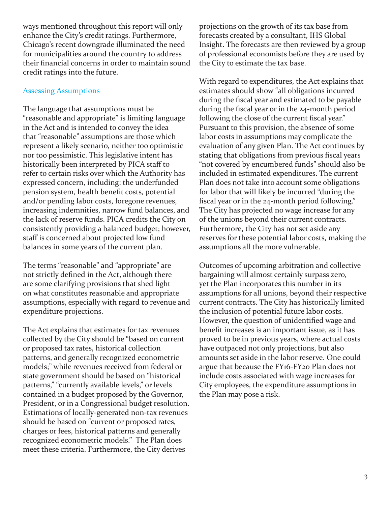ways mentioned throughout this report will only enhance the City's credit ratings. Furthermore, Chicago's recent downgrade illuminated the need for municipalities around the country to address their financial concerns in order to maintain sound credit ratings into the future.

#### Assessing Assumptions

The language that assumptions must be "reasonable and appropriate" is limiting language in the Act and is intended to convey the idea that "reasonable" assumptions are those which represent a likely scenario, neither too optimistic nor too pessimistic. This legislative intent has historically been interpreted by PICA staff to refer to certain risks over which the Authority has expressed concern, including: the underfunded pension system, health benefit costs, potential and/or pending labor costs, foregone revenues, increasing indemnities, narrow fund balances, and the lack of reserve funds. PICA credits the City on consistently providing a balanced budget; however, staff is concerned about projected low fund balances in some years of the current plan.

The terms "reasonable" and "appropriate" are not strictly defined in the Act, although there are some clarifying provisions that shed light on what constitutes reasonable and appropriate assumptions, especially with regard to revenue and expenditure projections.

The Act explains that estimates for tax revenues collected by the City should be "based on current or proposed tax rates, historical collection patterns, and generally recognized econometric models;" while revenues received from federal or state government should be based on "historical patterns," "currently available levels," or levels contained in a budget proposed by the Governor, President, or in a Congressional budget resolution. Estimations of locally-generated non-tax revenues should be based on "current or proposed rates, charges or fees, historical patterns and generally recognized econometric models." The Plan does meet these criteria. Furthermore, the City derives

projections on the growth of its tax base from forecasts created by a consultant, IHS Global Insight. The forecasts are then reviewed by a group of professional economists before they are used by the City to estimate the tax base.

With regard to expenditures, the Act explains that estimates should show "all obligations incurred during the fiscal year and estimated to be payable during the fiscal year or in the 24-month period following the close of the current fiscal year." Pursuant to this provision, the absence of some labor costs in assumptions may complicate the evaluation of any given Plan. The Act continues by stating that obligations from previous fiscal years "not covered by encumbered funds" should also be included in estimated expenditures. The current Plan does not take into account some obligations for labor that will likely be incurred "during the fiscal year or in the 24-month period following." The City has projected no wage increase for any of the unions beyond their current contracts. Furthermore, the City has not set aside any reserves for these potential labor costs, making the assumptions all the more vulnerable.

Outcomes of upcoming arbitration and collective bargaining will almost certainly surpass zero, yet the Plan incorporates this number in its assumptions for all unions, beyond their respective current contracts. The City has historically limited the inclusion of potential future labor costs. However, the question of unidentified wage and benefit increases is an important issue, as it has proved to be in previous years, where actual costs have outpaced not only projections, but also amounts set aside in the labor reserve. One could argue that because the FY16-FY20 Plan does not include costs associated with wage increases for City employees, the expenditure assumptions in the Plan may pose a risk.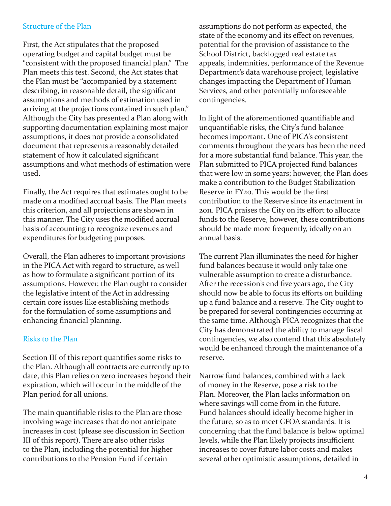#### Structure of the Plan

First, the Act stipulates that the proposed operating budget and capital budget must be "consistent with the proposed financial plan." The Plan meets this test. Second, the Act states that the Plan must be "accompanied by a statement describing, in reasonable detail, the significant assumptions and methods of estimation used in arriving at the projections contained in such plan." Although the City has presented a Plan along with supporting documentation explaining most major assumptions, it does not provide a consolidated document that represents a reasonably detailed statement of how it calculated significant assumptions and what methods of estimation were used.

Finally, the Act requires that estimates ought to be made on a modified accrual basis. The Plan meets this criterion, and all projections are shown in this manner. The City uses the modified accrual basis of accounting to recognize revenues and expenditures for budgeting purposes.

Overall, the Plan adheres to important provisions in the PICA Act with regard to structure, as well as how to formulate a significant portion of its assumptions. However, the Plan ought to consider the legislative intent of the Act in addressing certain core issues like establishing methods for the formulation of some assumptions and enhancing financial planning.

#### Risks to the Plan

Section III of this report quantifies some risks to the Plan. Although all contracts are currently up to date, this Plan relies on zero increases beyond their expiration, which will occur in the middle of the Plan period for all unions.

The main quantifiable risks to the Plan are those involving wage increases that do not anticipate increases in cost (please see discussion in Section III of this report). There are also other risks to the Plan, including the potential for higher contributions to the Pension Fund if certain

assumptions do not perform as expected, the state of the economy and its effect on revenues, potential for the provision of assistance to the School District, backlogged real estate tax appeals, indemnities, performance of the Revenue Department's data warehouse project, legislative changes impacting the Department of Human Services, and other potentially unforeseeable contingencies.

In light of the aforementioned quantifiable and unquantifiable risks, the City's fund balance becomes important. One of PICA's consistent comments throughout the years has been the need for a more substantial fund balance. This year, the Plan submitted to PICA projected fund balances that were low in some years; however, the Plan does make a contribution to the Budget Stabilization Reserve in FY20. This would be the first contribution to the Reserve since its enactment in 2011. PICA praises the City on its effort to allocate funds to the Reserve, however, these contributions should be made more frequently, ideally on an annual basis.

The current Plan illuminates the need for higher fund balances because it would only take one vulnerable assumption to create a disturbance. After the recession's end five years ago, the City should now be able to focus its efforts on building up a fund balance and a reserve. The City ought to be prepared for several contingencies occurring at the same time. Although PICA recognizes that the City has demonstrated the ability to manage fiscal contingencies, we also contend that this absolutely would be enhanced through the maintenance of a reserve.

Narrow fund balances, combined with a lack of money in the Reserve, pose a risk to the Plan. Moreover, the Plan lacks information on where savings will come from in the future. Fund balances should ideally become higher in the future, so as to meet GFOA standards. It is concerning that the fund balance is below optimal levels, while the Plan likely projects insufficient increases to cover future labor costs and makes several other optimistic assumptions, detailed in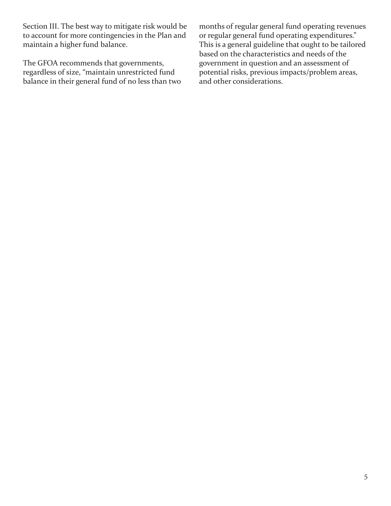Section III. The best way to mitigate risk would be to account for more contingencies in the Plan and maintain a higher fund balance.

The GFOA recommends that governments, regardless of size, "maintain unrestricted fund balance in their general fund of no less than two

months of regular general fund operating revenues or regular general fund operating expenditures." This is a general guideline that ought to be tailored based on the characteristics and needs of the government in question and an assessment of potential risks, previous impacts/problem areas, and other considerations.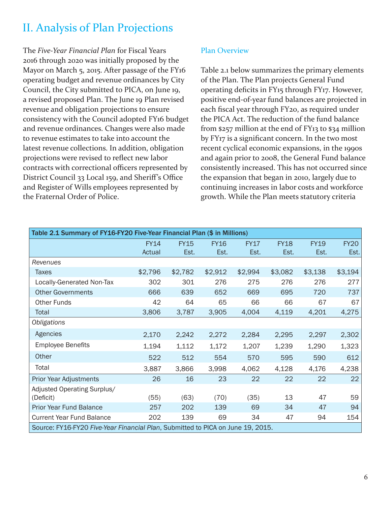## II. Analysis of Plan Projections

The *Five-Year Financial Plan* for Fiscal Years 2016 through 2020 was initially proposed by the Mayor on March 5, 2015. After passage of the FY16 operating budget and revenue ordinances by City Council, the City submitted to PICA, on June 19, a revised proposed Plan. The June 19 Plan revised revenue and obligation projections to ensure consistency with the Council adopted FY16 budget and revenue ordinances. Changes were also made to revenue estimates to take into account the latest revenue collections. In addition, obligation projections were revised to reflect new labor contracts with correctional officers represented by District Council 33 Local 159, and Sheriff's Office and Register of Wills employees represented by the Fraternal Order of Police.

#### Plan Overview

Table 2.1 below summarizes the primary elements of the Plan. The Plan projects General Fund operating deficits in FY15 through FY17. However, positive end-of-year fund balances are projected in each fiscal year through FY20, as required under the PICA Act. The reduction of the fund balance from \$257 million at the end of FY13 to \$34 million by FY17 is a significant concern. In the two most recent cyclical economic expansions, in the 1990s and again prior to 2008, the General Fund balance consistently increased. This has not occurred since the expansion that began in 2010, largely due to continuing increases in labor costs and workforce growth. While the Plan meets statutory criteria

| Table 2.1 Summary of FY16-FY20 Five-Year Financial Plan (\$ in Millions) |                                                                                 |                     |                     |                     |                     |                     |                     |  |  |  |  |
|--------------------------------------------------------------------------|---------------------------------------------------------------------------------|---------------------|---------------------|---------------------|---------------------|---------------------|---------------------|--|--|--|--|
|                                                                          | <b>FY14</b><br>Actual                                                           | <b>FY15</b><br>Est. | <b>FY16</b><br>Est. | <b>FY17</b><br>Est. | <b>FY18</b><br>Est. | <b>FY19</b><br>Est. | <b>FY20</b><br>Est. |  |  |  |  |
| Revenues                                                                 |                                                                                 |                     |                     |                     |                     |                     |                     |  |  |  |  |
| Taxes                                                                    | \$2,796                                                                         | \$2,782             | \$2,912             | \$2,994             | \$3,082             | \$3,138             | \$3,194             |  |  |  |  |
| Locally-Generated Non-Tax                                                | 302                                                                             | 301                 | 276                 | 275                 | 276                 | 276                 | 277                 |  |  |  |  |
| <b>Other Governments</b>                                                 | 666                                                                             | 639                 | 652                 | 669                 | 695                 | 720                 | 737                 |  |  |  |  |
| <b>Other Funds</b>                                                       | 42                                                                              | 64                  | 65                  | 66                  | 66                  | 67                  | 67                  |  |  |  |  |
| Total                                                                    | 3,806                                                                           | 3,787               | 3,905               | 4,004               | 4,119               | 4,201               | 4,275               |  |  |  |  |
| Obligations                                                              |                                                                                 |                     |                     |                     |                     |                     |                     |  |  |  |  |
| Agencies                                                                 | 2,170                                                                           | 2,242               | 2,272               | 2,284               | 2,295               | 2,297               | 2,302               |  |  |  |  |
| <b>Employee Benefits</b>                                                 | 1,194                                                                           | 1,112               | 1,172               | 1,207               | 1,239               | 1,290               | 1,323               |  |  |  |  |
| Other                                                                    | 522                                                                             | 512                 | 554                 | 570                 | 595                 | 590                 | 612                 |  |  |  |  |
| Total                                                                    | 3,887                                                                           | 3,866               | 3,998               | 4,062               | 4,128               | 4,176               | 4,238               |  |  |  |  |
| <b>Prior Year Adjustments</b>                                            | 26                                                                              | 16                  | 23                  | 22                  | 22                  | 22                  | 22                  |  |  |  |  |
| Adjusted Operating Surplus/<br>(Deficit)                                 | (55)                                                                            | (63)                | (70)                | (35)                | 13                  | 47                  | 59                  |  |  |  |  |
| Prior Year Fund Balance                                                  | 257                                                                             | 202                 | 139                 | 69                  | 34                  | 47                  | 94                  |  |  |  |  |
| <b>Current Year Fund Balance</b>                                         | 202                                                                             | 139                 | 69                  | 34                  | 47                  | 94                  | 154                 |  |  |  |  |
|                                                                          | Source: FY16-FY20 Five-Year Financial Plan, Submitted to PICA on June 19, 2015. |                     |                     |                     |                     |                     |                     |  |  |  |  |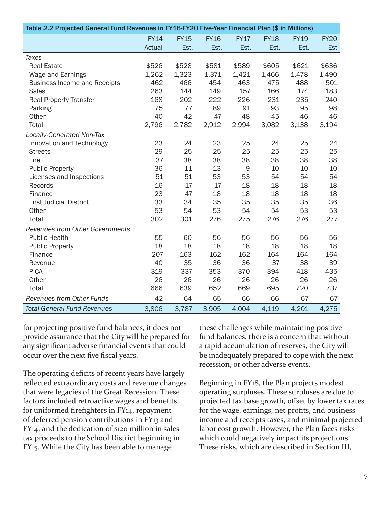| Table 2.2 Projected General Fund Revenues in FY16-FY20 Five-Year Financial Plan (\$ in Millions) |             |             |             |             |             |             |             |  |
|--------------------------------------------------------------------------------------------------|-------------|-------------|-------------|-------------|-------------|-------------|-------------|--|
|                                                                                                  | <b>FY14</b> | <b>FY15</b> | <b>FY16</b> | <b>FY17</b> | <b>FY18</b> | <b>FY19</b> | <b>FY20</b> |  |
|                                                                                                  | Actual      | Est.        | Est.        | Est.        | Est.        | Est.        | <b>Est</b>  |  |
| <b>Taxes</b>                                                                                     |             |             |             |             |             |             |             |  |
| <b>Real Estate</b>                                                                               | \$526       | \$528       | \$581       | \$589       | \$605       | \$621       | \$636       |  |
| Wage and Earnings                                                                                | 1,262       | 1,323       | 1,371       | 1,421       | 1,466       | 1,478       | 1,490       |  |
| <b>Business Income and Receipts</b>                                                              | 462         | 466         | 454         | 463         | 475         | 488         | 501         |  |
| <b>Sales</b>                                                                                     | 263         | 144         | 149         | 157         | 166         | 174         | 183         |  |
| <b>Real Property Transfer</b>                                                                    | 168         | 202         | 222         | 226         | 231         | 235         | 240         |  |
| Parking                                                                                          | 75          | 77          | 89          | 91          | 93          | 95          | 98          |  |
| Other                                                                                            | 40          | 42          | 47          | 48          | 45          | 46          | 46          |  |
| Total                                                                                            | 2,796       | 2,782       | 2,912       | 2,994       | 3,082       | 3,138       | 3,194       |  |
| Locally-Generated Non-Tax                                                                        |             |             |             |             |             |             |             |  |
| Innovation and Technology                                                                        | 23          | 24          | 23          | 25          | 24          | 25          | 24          |  |
| <b>Streets</b>                                                                                   | 29          | 25          | 25          | 25          | 25          | 25          | 25          |  |
| Fire                                                                                             | 37          | 38          | 38          | 38          | 38          | 38          | 38          |  |
| <b>Public Property</b>                                                                           | 36          | 11          | 13          | $\mathsf 9$ | 10          | 10          | 10          |  |
| Licenses and Inspections                                                                         | 51          | 51          | 53          | 53          | 54          | 54          | 54          |  |
| Records                                                                                          | 16          | 17          | 17          | 18          | 18          | 18          | 18          |  |
| Finance                                                                                          | 23          | 47          | 18          | 18          | 18          | 18          | 18          |  |
| <b>First Judicial District</b>                                                                   | 33          | 34          | 35          | 35          | 35          | 35          | 36          |  |
| Other                                                                                            | 53          | 54          | 53          | 54          | 54          | 53          | 53          |  |
| Total                                                                                            | 302         | 301         | 276         | 275         | 276         | 276         | 277         |  |
| <b>Revenues from Other Governments</b>                                                           |             |             |             |             |             |             |             |  |
| <b>Public Health</b>                                                                             | 55          | 60          | 56          | 56          | 56          | 56          | 56          |  |
| <b>Public Property</b>                                                                           | 18          | 18          | 18          | 18          | 18          | 18          | 18          |  |
| Finance                                                                                          | 207         | 163         | 162         | 162         | 164         | 164         | 164         |  |
| Revenue                                                                                          | 40          | 35          | 36          | 36          | 37          | 38          | 39          |  |
| <b>PICA</b>                                                                                      | 319         | 337         | 353         | 370         | 394         | 418         | 435         |  |
| Other                                                                                            | 26          | 26          | 26          | 26          | 26          | 26          | 26          |  |
| Total                                                                                            | 666         | 639         | 652         | 669         | 695         | 720         | 737         |  |
| <b>Revenues from Other Funds</b>                                                                 | 42          | 64          | 65          | 66          | 66          | 67          | 67          |  |
| <b>Total General Fund Revenues</b>                                                               | 3,806       | 3,787       | 3,905       | 4,004       | 4,119       | 4,201       | 4,275       |  |

for projecting positive fund balances, it does not provide assurance that the City will be prepared for any significant adverse financial events that could occur over the next five fiscal years.

The operating deficits of recent years have largely reflected extraordinary costs and revenue changes that were legacies of the Great Recession. These factors included retroactive wages and benefits for uniformed firefighters in FY14, repayment of deferred pension contributions in FY13 and FY14, and the dedication of \$120 million in sales tax proceeds to the School District beginning in FY15. While the City has been able to manage

these challenges while maintaining positive fund balances, there is a concern that without a rapid accumulation of reserves, the City will be inadequately prepared to cope with the next recession, or other adverse events.

Beginning in FY18, the Plan projects modest operating surpluses. These surpluses are due to projected tax base growth, offset by lower tax rates for the wage, earnings, net profits, and business income and receipts taxes, and minimal projected labor cost growth. However, the Plan faces risks which could negatively impact its projections. These risks, which are described in Section III,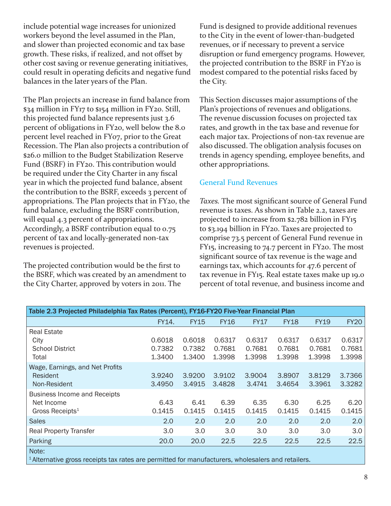include potential wage increases for unionized workers beyond the level assumed in the Plan, and slower than projected economic and tax base growth. These risks, if realized, and not offset by other cost saving or revenue generating initiatives, could result in operating deficits and negative fund balances in the later years of the Plan.

The Plan projects an increase in fund balance from \$34 million in FY17 to \$154 million in FY20. Still, this projected fund balance represents just 3.6 percent of obligations in FY20, well below the 8.0 percent level reached in FY07, prior to the Great Recession. The Plan also projects a contribution of \$26.0 million to the Budget Stabilization Reserve Fund (BSRF) in FY20. This contribution would be required under the City Charter in any fiscal year in which the projected fund balance, absent the contribution to the BSRF, exceeds 3 percent of appropriations. The Plan projects that in FY20, the fund balance, excluding the BSRF contribution, will equal 4.3 percent of appropriations. Accordingly, a BSRF contribution equal to 0.75 percent of tax and locally-generated non-tax revenues is projected.

The projected contribution would be the first to the BSRF, which was created by an amendment to the City Charter, approved by voters in 2011. The

Fund is designed to provide additional revenues to the City in the event of lower-than-budgeted revenues, or if necessary to prevent a service disruption or fund emergency programs. However, the projected contribution to the BSRF in FY20 is modest compared to the potential risks faced by the City.

This Section discusses major assumptions of the Plan's projections of revenues and obligations. The revenue discussion focuses on projected tax rates, and growth in the tax base and revenue for each major tax. Projections of non-tax revenue are also discussed. The obligation analysis focuses on trends in agency spending, employee benefits, and other appropriations.

#### General Fund Revenues

*Taxes.* The most significant source of General Fund revenue is taxes. As shown in Table 2.2, taxes are projected to increase from \$2.782 billion in FY15 to \$3.194 billion in FY20. Taxes are projected to comprise 73.5 percent of General Fund revenue in FY15, increasing to 74.7 percent in FY20. The most significant source of tax revenue is the wage and earnings tax, which accounts for 47.6 percent of tax revenue in FY15. Real estate taxes make up 19.0 percent of total revenue, and business income and

| Table 2.3 Projected Philadelphia Tax Rates (Percent), FY16-FY20 Five-Year Financial Plan                               |                  |                  |                  |                  |                  |                  |                  |  |  |  |
|------------------------------------------------------------------------------------------------------------------------|------------------|------------------|------------------|------------------|------------------|------------------|------------------|--|--|--|
|                                                                                                                        | FY14.            | <b>FY15</b>      | <b>FY16</b>      | <b>FY17</b>      | <b>FY18</b>      | <b>FY19</b>      | <b>FY20</b>      |  |  |  |
| <b>Real Estate</b><br>City                                                                                             | 0.6018           | 0.6018           | 0.6317           | 0.6317           | 0.6317           | 0.6317           | 0.6317           |  |  |  |
| <b>School District</b><br>Total                                                                                        | 0.7382<br>1.3400 | 0.7382<br>1.3400 | 0.7681<br>1.3998 | 0.7681<br>1.3998 | 0.7681<br>1.3998 | 0.7681<br>1.3998 | 0.7681<br>1.3998 |  |  |  |
| Wage, Earnings, and Net Profits<br>Resident<br>Non-Resident                                                            | 3.9240<br>3.4950 | 3.9200<br>3.4915 | 3.9102<br>3.4828 | 3.9004<br>3.4741 | 3.8907<br>3.4654 | 3.8129<br>3.3961 | 3.7366<br>3.3282 |  |  |  |
| <b>Business Income and Receipts</b><br>Net Income<br>Gross Receipts <sup>1</sup>                                       | 6.43<br>0.1415   | 6.41<br>0.1415   | 6.39<br>0.1415   | 6.35<br>0.1415   | 6.30<br>0.1415   | 6.25<br>0.1415   | 6.20<br>0.1415   |  |  |  |
| <b>Sales</b>                                                                                                           | 2.0              | 2.0              | 2.0              | 2.0              | 2.0              | 2.0              | 2.0              |  |  |  |
| <b>Real Property Transfer</b>                                                                                          | 3.0              | 3.0              | 3.0              | 3.0              | 3.0              | 3.0              | 3.0              |  |  |  |
| Parking                                                                                                                | 20.0             | 20.0             | 22.5             | 22.5             | 22.5             | 22.5             | 22.5             |  |  |  |
| Note:<br><sup>1</sup> Alternative gross receipts tax rates are permitted for manufacturers, wholesalers and retailers. |                  |                  |                  |                  |                  |                  |                  |  |  |  |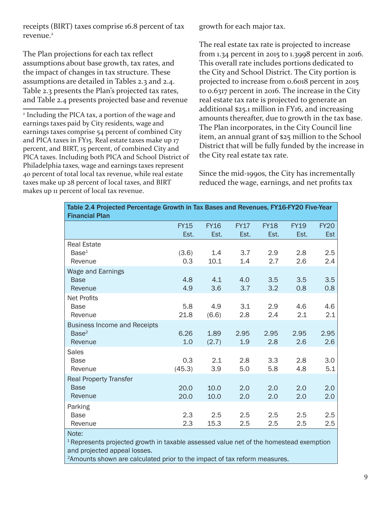receipts (BIRT) taxes comprise 16.8 percent of tax revenue.<sup>2</sup>

The Plan projections for each tax reflect assumptions about base growth, tax rates, and the impact of changes in tax structure. These assumptions are detailed in Tables 2.3 and 2.4. Table 2.3 presents the Plan's projected tax rates, and Table 2.4 presents projected base and revenue

2 Including the PICA tax, a portion of the wage and earnings taxes paid by City residents, wage and earnings taxes comprise 54 percent of combined City and PICA taxes in FY15. Real estate taxes make up 17 percent, and BIRT, 15 percent, of combined City and PICA taxes. Including both PICA and School District of Philadelphia taxes, wage and earnings taxes represent 40 percent of total local tax revenue, while real estate taxes make up 28 percent of local taxes, and BIRT makes up 11 percent of local tax revenue.

growth for each major tax.

The real estate tax rate is projected to increase from 1.34 percent in 2015 to 1.3998 percent in 2016. This overall rate includes portions dedicated to the City and School District. The City portion is projected to increase from 0.6018 percent in 2015 to 0.6317 percent in 2016. The increase in the City real estate tax rate is projected to generate an additional \$25.1 million in FY16, and increasing amounts thereafter, due to growth in the tax base. The Plan incorporates, in the City Council line item, an annual grant of \$25 million to the School District that will be fully funded by the increase in the City real estate tax rate.

Since the mid-1990s, the City has incrementally reduced the wage, earnings, and net profits tax

| Table 2.4 Projected Percentage Growth in Tax Bases and Revenues, FY16-FY20 Five-Year<br><b>Financial Plan</b> |                     |                     |                     |                     |                     |                           |  |  |
|---------------------------------------------------------------------------------------------------------------|---------------------|---------------------|---------------------|---------------------|---------------------|---------------------------|--|--|
|                                                                                                               | <b>FY15</b><br>Est. | <b>FY16</b><br>Est. | <b>FY17</b><br>Est. | <b>FY18</b><br>Est. | <b>FY19</b><br>Est. | <b>FY20</b><br><b>Est</b> |  |  |
| <b>Real Estate</b><br>Base <sup>1</sup><br>Revenue                                                            | (3.6)<br>0.3        | 1.4<br>10.1         | 3.7<br>1.4          | 2.9<br>2.7          | 2.8<br>2.6          | 2.5<br>2.4                |  |  |
| Wage and Earnings<br><b>Base</b><br>Revenue                                                                   | 4.8<br>4.9          | 4.1<br>3.6          | 4.0<br>3.7          | 3.5<br>3.2          | 3.5<br>0.8          | 3.5<br>0.8                |  |  |
| <b>Net Profits</b><br><b>Base</b><br>Revenue                                                                  | 5.8<br>21.8         | 4.9<br>(6.6)        | 3.1<br>2.8          | 2.9<br>2.4          | 4.6<br>2.1          | 4.6<br>2.1                |  |  |
| <b>Business Income and Receipts</b><br>Base <sup>2</sup><br>Revenue                                           | 6.26<br>1.0         | 1.89<br>(2.7)       | 2.95<br>1.9         | 2.95<br>2.8         | 2.95<br>2.6         | 2.95<br>2.6               |  |  |
| <b>Sales</b><br><b>Base</b><br>Revenue                                                                        | 0.3<br>(45.3)       | 2.1<br>3.9          | 2.8<br>5.0          | 3.3<br>5.8          | 2.8<br>4.8          | 3.0<br>5.1                |  |  |
| <b>Real Property Transfer</b><br><b>Base</b><br>Revenue                                                       | 20.0<br>20.0        | 10.0<br>10.0        | 2.0<br>2.0          | 2.0<br>2.0          | 2.0<br>2.0          | 2.0<br>2.0                |  |  |
| Parking<br><b>Base</b><br>Revenue                                                                             | 2.3<br>2.3          | 2.5<br>15.3         | 2.5<br>2.5          | 2.5<br>2.5          | 2.5<br>2.5          | 2.5<br>2.5                |  |  |
| Note:<br><sup>1</sup> Represents projected growth in taxable assessed value net of the homestead exemption    |                     |                     |                     |                     |                     |                           |  |  |

and projected appeal losses.

2Amounts shown are calculated prior to the impact of tax reform measures.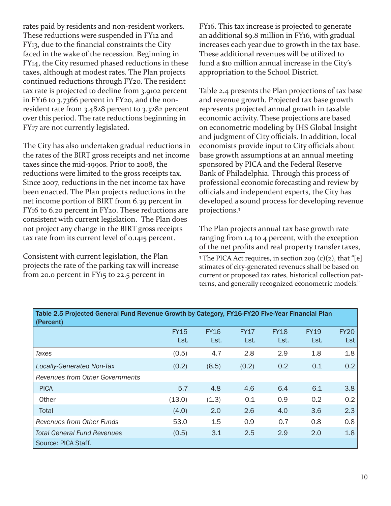rates paid by residents and non-resident workers. These reductions were suspended in FY12 and FY13, due to the financial constraints the City faced in the wake of the recession. Beginning in FY14, the City resumed phased reductions in these taxes, although at modest rates. The Plan projects continued reductions through FY20. The resident tax rate is projected to decline from 3.9102 percent in FY16 to 3.7366 percent in FY20, and the nonresident rate from 3.4828 percent to 3.3282 percent over this period. The rate reductions beginning in FY17 are not currently legislated.

The City has also undertaken gradual reductions in the rates of the BIRT gross receipts and net income taxes since the mid-1990s. Prior to 2008, the reductions were limited to the gross receipts tax. Since 2007, reductions in the net income tax have been enacted. The Plan projects reductions in the net income portion of BIRT from 6.39 percent in FY16 to 6.20 percent in FY20. These reductions are consistent with current legislation. The Plan does not project any change in the BIRT gross receipts tax rate from its current level of 0.1415 percent.

Consistent with current legislation, the Plan projects the rate of the parking tax will increase from 20.0 percent in FY15 to 22.5 percent in

FY16. This tax increase is projected to generate an additional \$9.8 million in FY16, with gradual increases each year due to growth in the tax base. These additional revenues will be utilized to fund a \$10 million annual increase in the City's appropriation to the School District.

Table 2.4 presents the Plan projections of tax base and revenue growth. Projected tax base growth represents projected annual growth in taxable economic activity. These projections are based on econometric modeling by IHS Global Insight and judgment of City officials. In addition, local economists provide input to City officials about base growth assumptions at an annual meeting sponsored by PICA and the Federal Reserve Bank of Philadelphia. Through this process of professional economic forecasting and review by officials and independent experts, the City has developed a sound process for developing revenue projections.3

The Plan projects annual tax base growth rate ranging from 1.4 to 4 percent, with the exception of the net profits and real property transfer taxes, <sup>3</sup> The PICA Act requires, in section 209 (c)(2), that "[e] stimates of city-generated revenues shall be based on current or proposed tax rates, historical collection patterns, and generally recognized econometric models."

| Table 2.5 Projected General Fund Revenue Growth by Category, FY16-FY20 Five-Year Financial Plan<br>(Percent) |                     |                     |                     |                     |                     |                    |  |  |
|--------------------------------------------------------------------------------------------------------------|---------------------|---------------------|---------------------|---------------------|---------------------|--------------------|--|--|
|                                                                                                              | <b>FY15</b><br>Est. | <b>FY16</b><br>Est. | <b>FY17</b><br>Est. | <b>FY18</b><br>Est. | <b>FY19</b><br>Est. | <b>FY20</b><br>Est |  |  |
| Taxes                                                                                                        | (0.5)               | 4.7                 | 2.8                 | 2.9                 | 1.8                 | 1.8                |  |  |
| <b>Locally-Generated Non-Tax</b>                                                                             | (0.2)               | (8.5)               | (0.2)               | 0.2                 | 0.1                 | 0.2                |  |  |
| Revenues from Other Governments                                                                              |                     |                     |                     |                     |                     |                    |  |  |
| <b>PICA</b>                                                                                                  | 5.7                 | 4.8                 | 4.6                 | 6.4                 | 6.1                 | 3.8                |  |  |
| Other                                                                                                        | (13.0)              | (1.3)               | 0.1                 | 0.9                 | 0.2                 | 0.2                |  |  |
| Total                                                                                                        | (4.0)               | 2.0                 | 2.6                 | 4.0                 | 3.6                 | 2.3                |  |  |
| Revenues from Other Funds                                                                                    | 53.0                | 1.5                 | 0.9                 | 0.7                 | 0.8                 | 0.8                |  |  |
| <b>Total General Fund Revenues</b>                                                                           | (0.5)               | 3.1                 | 2.5                 | 2.9                 | 2.0                 | 1.8                |  |  |
| Source: PICA Staff.                                                                                          |                     |                     |                     |                     |                     |                    |  |  |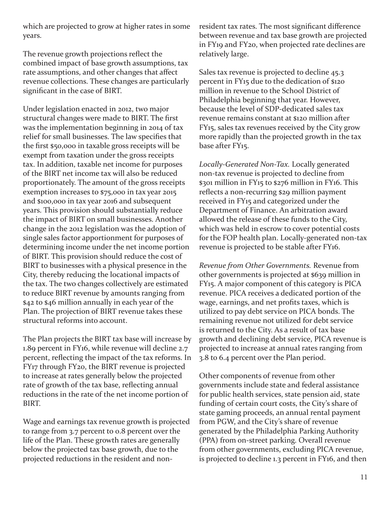which are projected to grow at higher rates in some years.

The revenue growth projections reflect the combined impact of base growth assumptions, tax rate assumptions, and other changes that affect revenue collections. These changes are particularly significant in the case of BIRT.

Under legislation enacted in 2012, two major structural changes were made to BIRT. The first was the implementation beginning in 2014 of tax relief for small businesses. The law specifies that the first \$50,000 in taxable gross receipts will be exempt from taxation under the gross receipts tax. In addition, taxable net income for purposes of the BIRT net income tax will also be reduced proportionately. The amount of the gross receipts exemption increases to \$75,000 in tax year 2015 and \$100,000 in tax year 2016 and subsequent years. This provision should substantially reduce the impact of BIRT on small businesses. Another change in the 2012 legislation was the adoption of single sales factor apportionment for purposes of determining income under the net income portion of BIRT. This provision should reduce the cost of BIRT to businesses with a physical presence in the City, thereby reducing the locational impacts of the tax. The two changes collectively are estimated to reduce BIRT revenue by amounts ranging from \$42 to \$46 million annually in each year of the Plan. The projection of BIRT revenue takes these structural reforms into account.

The Plan projects the BIRT tax base will increase by 1.89 percent in FY16, while revenue will decline 2.7 percent, reflecting the impact of the tax reforms. In FY17 through FY20, the BIRT revenue is projected to increase at rates generally below the projected rate of growth of the tax base, reflecting annual reductions in the rate of the net income portion of BIRT.

Wage and earnings tax revenue growth is projected to range from 3.7 percent to 0.8 percent over the life of the Plan. These growth rates are generally below the projected tax base growth, due to the projected reductions in the resident and nonresident tax rates. The most significant difference between revenue and tax base growth are projected in FY19 and FY20, when projected rate declines are relatively large.

Sales tax revenue is projected to decline 45.3 percent in FY15 due to the dedication of \$120 million in revenue to the School District of Philadelphia beginning that year. However, because the level of SDP-dedicated sales tax revenue remains constant at \$120 million after FY15, sales tax revenues received by the City grow more rapidly than the projected growth in the tax base after FY15.

*Locally-Generated Non-Tax.* Locally generated non-tax revenue is projected to decline from \$301 million in FY15 to \$276 million in FY16. This reflects a non-recurring \$29 million payment received in FY15 and categorized under the Department of Finance. An arbitration award allowed the release of these funds to the City, which was held in escrow to cover potential costs for the FOP health plan. Locally-generated non-tax revenue is projected to be stable after FY16.

*Revenue from Other Governments.* Revenue from other governments is projected at \$639 million in FY15. A major component of this category is PICA revenue. PICA receives a dedicated portion of the wage, earnings, and net profits taxes, which is utilized to pay debt service on PICA bonds. The remaining revenue not utilized for debt service is returned to the City. As a result of tax base growth and declining debt service, PICA revenue is projected to increase at annual rates ranging from 3.8 to 6.4 percent over the Plan period.

Other components of revenue from other governments include state and federal assistance for public health services, state pension aid, state funding of certain court costs, the City's share of state gaming proceeds, an annual rental payment from PGW, and the City's share of revenue generated by the Philadelphia Parking Authority (PPA) from on-street parking. Overall revenue from other governments, excluding PICA revenue, is projected to decline 1.3 percent in FY16, and then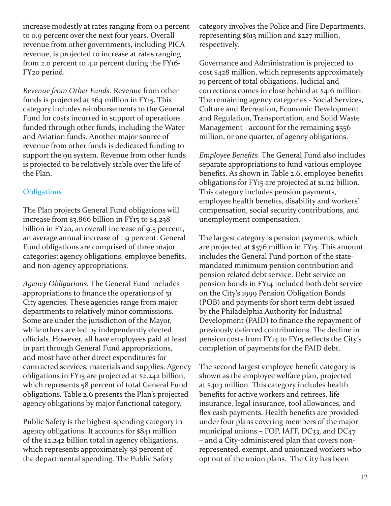increase modestly at rates ranging from 0.1 percent to 0.9 percent over the next four years. Overall revenue from other governments, including PICA revenue, is projected to increase at rates ranging from 2.0 percent to 4.0 percent during the FY16- FY20 period.

*Revenue from Other Funds.* Revenue from other funds is projected at \$64 million in FY15. This category includes reimbursements to the General Fund for costs incurred in support of operations funded through other funds, including the Water and Aviation funds. Another major source of revenue from other funds is dedicated funding to support the 911 system. Revenue from other funds is projected to be relatively stable over the life of the Plan.

#### **Obligations**

The Plan projects General Fund obligations will increase from \$3.866 billion in FY15 to \$4.238 billion in FY<sub>20</sub>, an overall increase of 9.5 percent, an average annual increase of 1.9 percent. General Fund obligations are comprised of three major categories: agency obligations, employee benefits, and non-agency appropriations.

*Agency Obligations.* The General Fund includes appropriations to finance the operations of 51 City agencies. These agencies range from major departments to relatively minor commissions. Some are under the jurisdiction of the Mayor, while others are led by independently elected officials. However, all have employees paid at least in part through General Fund appropriations, and most have other direct expenditures for contracted services, materials and supplies. Agency obligations in FY15 are projected at \$2.242 billion, which represents 58 percent of total General Fund obligations. Table 2.6 presents the Plan's projected agency obligations by major functional category.

Public Safety is the highest-spending category in agency obligations. It accounts for \$841 million of the \$2,242 billion total in agency obligations, which represents approximately 38 percent of the departmental spending. The Public Safety

category involves the Police and Fire Departments, representing \$613 million and \$227 million, respectively.

Governance and Administration is projected to cost \$428 million, which represents approximately 19 percent of total obligations. Judicial and corrections comes in close behind at \$416 million. The remaining agency categories - Social Services, Culture and Recreation, Economic Development and Regulation, Transportation, and Solid Waste Management - account for the remaining \$556 million, or one quarter, of agency obligations.

*Employee Benefits*. The General Fund also includes separate appropriations to fund various employee benefits. As shown in Table 2.6, employee benefits obligations for FY15 are projected at \$1.112 billion. This category includes pension payments, employee health benefits, disability and workers' compensation, social security contributions, and unemployment compensation.

The largest category is pension payments, which are projected at \$576 million in FY15. This amount includes the General Fund portion of the statemandated minimum pension contribution and pension related debt service. Debt service on pension bonds in FY14 included both debt service on the City's 1999 Pension Obligation Bonds (POB) and payments for short term debt issued by the Philadelphia Authority for Industrial Development (PAID) to finance the repayment of previously deferred contributions. The decline in pension costs from FY14 to FY15 reflects the City's completion of payments for the PAID debt.

The second largest employee benefit category is shown as the employee welfare plan, projected at \$403 million. This category includes health benefits for active workers and retirees, life insurance, legal insurance, tool allowances, and flex cash payments. Health benefits are provided under four plans covering members of the major municipal unions - FOP, IAFF, DC33, and DC47 – and a City-administered plan that covers nonrepresented, exempt, and unionized workers who opt out of the union plans. The City has been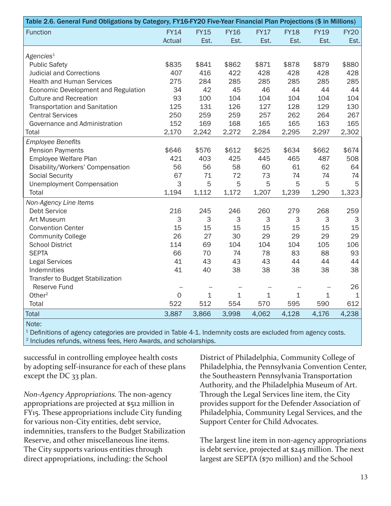| Table 2.6. General Fund Obligations by Category, FY16-FY20 Five-Year Financial Plan Projections (\$ in Millions) |              |             |             |             |             |                                    |             |  |
|------------------------------------------------------------------------------------------------------------------|--------------|-------------|-------------|-------------|-------------|------------------------------------|-------------|--|
| <b>Function</b>                                                                                                  | <b>FY14</b>  | <b>FY15</b> | <b>FY16</b> | <b>FY17</b> | <b>FY18</b> | <b>FY19</b>                        | <b>FY20</b> |  |
|                                                                                                                  | Actual       | Est.        | Est.        | Est.        | Est.        | Est.                               | Est.        |  |
|                                                                                                                  |              |             |             |             |             |                                    |             |  |
| Agencies <sup>1</sup>                                                                                            |              |             |             |             |             |                                    |             |  |
| <b>Public Safety</b>                                                                                             | \$835        | \$841       | \$862       | \$871       | \$878       | \$879                              | \$880       |  |
| <b>Judicial and Corrections</b>                                                                                  | 407          | 416         | 422         | 428         | 428         | 428                                | 428         |  |
| <b>Health and Human Services</b>                                                                                 | 275          | 284         | 285         | 285         | 285         | 285                                | 285         |  |
| Economic Development and Regulation                                                                              | 34           | 42          | 45          | 46          | 44          | 44                                 | 44          |  |
| <b>Culture and Recreation</b>                                                                                    | 93           | 100         | 104         | 104         | 104         | 104                                | 104         |  |
| Transportation and Sanitation                                                                                    | 125          | 131         | 126         | 127         | 128         | 129                                | 130         |  |
| <b>Central Services</b>                                                                                          | 250          | 259         | 259         | 257         | 262         | 264                                | 267         |  |
| Governance and Administration                                                                                    | 152          | 169         | 168         | 165         | 165         | 163                                | 165         |  |
| Total                                                                                                            | 2,170        | 2,242       | 2,272       | 2,284       | 2,295       | 2,297                              | 2,302       |  |
| <b>Employee Benefits</b>                                                                                         |              |             |             |             |             |                                    |             |  |
| <b>Pension Payments</b>                                                                                          | \$646        | \$576       | \$612       | \$625       | \$634       | \$662                              | \$674       |  |
| Employee Welfare Plan                                                                                            | 421          | 403         | 425         | 445         | 465         | 487                                | 508         |  |
| Disability/Workers' Compensation                                                                                 | 56           | 56          | 58          | 60          | 61          | 62                                 | 64          |  |
| <b>Social Security</b>                                                                                           | 67           | 71          | 72          | 73          | 74          | 74                                 | 74          |  |
| <b>Unemployment Compensation</b>                                                                                 | 3            | 5           | 5           | 5           | 5           | 5                                  | 5           |  |
| Total                                                                                                            | 1,194        | 1,112       | 1,172       | 1,207       | 1,239       | 1,290                              | 1,323       |  |
| Non-Agency Line Items                                                                                            |              |             |             |             |             |                                    |             |  |
| <b>Debt Service</b>                                                                                              | 216          | 245         | 246         | 260         | 279         | 268                                | 259         |  |
| Art Museum                                                                                                       | 3            | 3           | $\mathsf 3$ | 3           | $\mathsf 3$ | 3                                  | 3           |  |
| <b>Convention Center</b>                                                                                         | 15           | 15          | 15          | 15          | 15          | 15                                 | 15          |  |
| <b>Community College</b>                                                                                         | 26           | 27          | 30          | 29          | 29          | 29                                 | 29          |  |
| <b>School District</b>                                                                                           | 114          | 69          | 104         | 104         | 104         | 105                                | 106         |  |
| <b>SEPTA</b>                                                                                                     | 66           | 70          | 74          | 78          | 83          | 88                                 | 93          |  |
| <b>Legal Services</b>                                                                                            | 41           | 43          | 43          | 43          | 44          | 44                                 | 44          |  |
| Indemnities                                                                                                      | 41           | 40          | 38          | 38          | 38          | 38                                 | 38          |  |
| Transfer to Budget Stabilization                                                                                 |              |             |             |             |             |                                    |             |  |
| Reserve Fund                                                                                                     |              |             |             |             |             | $\hspace{0.05cm} -\hspace{0.05cm}$ | 26          |  |
| Other <sup>2</sup>                                                                                               | $\mathsf{O}$ | $\mathbf 1$ | $\mathbf 1$ | $\mathbf 1$ | $\mathbf 1$ | $\mathbf 1$                        | 1           |  |
| Total                                                                                                            | 522          | 512         | 554         | 570         | 595         | 590                                | 612         |  |
| <b>Total</b>                                                                                                     | 3,887        | 3,866       | 3,998       | 4,062       | 4,128       | 4,176                              | 4,238       |  |
| Note:                                                                                                            |              |             |             |             |             |                                    |             |  |

<sup>1</sup> Definitions of agency categories are provided in Table 4-1. Indemnity costs are excluded from agency costs. <sup>2</sup> Includes refunds, witness fees, Hero Awards, and scholarships.

successful in controlling employee health costs by adopting self-insurance for each of these plans except the DC 33 plan.

*Non-Agency Appropriations.* The non-agency appropriations are projected at \$512 million in FY15. These appropriations include City funding for various non-City entities, debt service, indemnities, transfers to the Budget Stabilization Reserve, and other miscellaneous line items. The City supports various entities through direct appropriations, including: the School

District of Philadelphia, Community College of Philadelphia, the Pennsylvania Convention Center, the Southeastern Pennsylvania Transportation Authority, and the Philadelphia Museum of Art. Through the Legal Services line item, the City provides support for the Defender Association of Philadelphia, Community Legal Services, and the Support Center for Child Advocates.

The largest line item in non-agency appropriations is debt service, projected at \$245 million. The next largest are SEPTA (\$70 million) and the School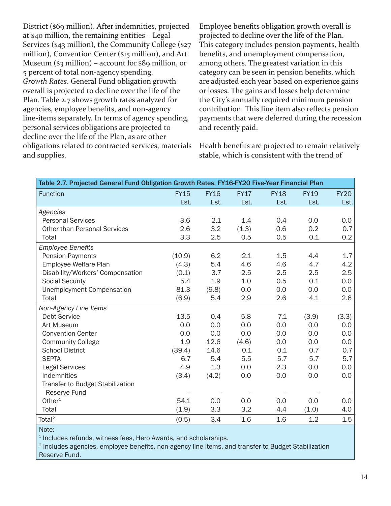District (\$69 million). After indemnities, projected at \$40 million, the remaining entities – Legal Services (\$43 million), the Community College (\$27 million), Convention Center (\$15 million), and Art Museum (\$3 million) – account for \$89 million, or 5 percent of total non-agency spending. *Growth Rates*. General Fund obligation growth overall is projected to decline over the life of the Plan. Table 2.7 shows growth rates analyzed for agencies, employee benefits, and non-agency line-items separately. In terms of agency spending, personal services obligations are projected to decline over the life of the Plan, as are other obligations related to contracted services, materials and supplies.

Employee benefits obligation growth overall is projected to decline over the life of the Plan. This category includes pension payments, health benefits, and unemployment compensation, among others. The greatest variation in this category can be seen in pension benefits, which are adjusted each year based on experience gains or losses. The gains and losses help determine the City's annually required minimum pension contribution. This line item also reflects pension payments that were deferred during the recession and recently paid.

Health benefits are projected to remain relatively stable, which is consistent with the trend of

| Table 2.7. Projected General Fund Obligation Growth Rates, FY16-FY20 Five-Year Financial Plan |             |             |             |             |             |             |  |  |  |
|-----------------------------------------------------------------------------------------------|-------------|-------------|-------------|-------------|-------------|-------------|--|--|--|
| <b>Function</b>                                                                               | <b>FY15</b> | <b>FY16</b> | <b>FY17</b> | <b>FY18</b> | <b>FY19</b> | <b>FY20</b> |  |  |  |
|                                                                                               | Est.        | Est.        | Est.        | Est.        | Est.        | Est.        |  |  |  |
| Agencies                                                                                      |             |             |             |             |             |             |  |  |  |
| <b>Personal Services</b>                                                                      | 3.6         | 2.1         | 1.4         | 0.4         | 0.0         | $0.0\,$     |  |  |  |
| <b>Other than Personal Services</b>                                                           | 2.6         | 3.2         | (1.3)       | 0.6         | 0.2         | 0.7         |  |  |  |
| Total                                                                                         | 3.3         | 2.5         | 0.5         | 0.5         | 0.1         | 0.2         |  |  |  |
| <b>Employee Benefits</b>                                                                      |             |             |             |             |             |             |  |  |  |
| <b>Pension Payments</b>                                                                       | (10.9)      | 6.2         | 2.1         | 1.5         | 4.4         | 1.7         |  |  |  |
| Employee Welfare Plan                                                                         | (4.3)       | 5.4         | 4.6         | 4.6         | 4.7         | 4.2         |  |  |  |
| Disability/Workers' Compensation                                                              | (0.1)       | 3.7         | 2.5         | 2.5         | 2.5         | 2.5         |  |  |  |
| <b>Social Security</b>                                                                        | 5.4         | 1.9         | 1.0         | 0.5         | 0.1         | 0.0         |  |  |  |
| <b>Unemployment Compensation</b>                                                              | 81.3        | (9.8)       | 0.0         | 0.0         | 0.0         | 0.0         |  |  |  |
| Total                                                                                         | (6.9)       | 5.4         | 2.9         | 2.6         | 4.1         | 2.6         |  |  |  |
| Non-Agency Line Items                                                                         |             |             |             |             |             |             |  |  |  |
| <b>Debt Service</b>                                                                           | 13.5        | 0.4         | 5.8         | 7.1         | (3.9)       | (3.3)       |  |  |  |
| Art Museum                                                                                    | 0.0         | 0.0         | 0.0         | 0.0         | 0.0         | 0.0         |  |  |  |
| <b>Convention Center</b>                                                                      | 0.0         | 0.0         | 0.0         | 0.0         | 0.0         | 0.0         |  |  |  |
| <b>Community College</b>                                                                      | 1.9         | 12.6        | (4.6)       | 0.0         | 0.0         | 0.0         |  |  |  |
| <b>School District</b>                                                                        | (39.4)      | 14.6        | 0.1         | 0.1         | 0.7         | 0.7         |  |  |  |
| <b>SEPTA</b>                                                                                  | 6.7         | 5.4         | 5.5         | 5.7         | 5.7         | 5.7         |  |  |  |
| <b>Legal Services</b>                                                                         | 4.9         | 1.3         | 0.0         | 2.3         | 0.0         | 0.0         |  |  |  |
| Indemnities                                                                                   | (3.4)       | (4.2)       | 0.0         | 0.0         | 0.0         | 0.0         |  |  |  |
| Transfer to Budget Stabilization                                                              |             |             |             |             |             |             |  |  |  |
| Reserve Fund                                                                                  |             |             |             |             |             |             |  |  |  |
| Other <sup>1</sup>                                                                            | 54.1        | 0.0         | 0.0         | 0.0         | 0.0         | $0.0\,$     |  |  |  |
| Total                                                                                         | (1.9)       | 3.3         | 3.2         | 4.4         | (1.0)       | 4.0         |  |  |  |
| Total <sup>2</sup>                                                                            | (0.5)       | 3.4         | 1.6         | 1.6         | 1.2         | 1.5         |  |  |  |
| Note:                                                                                         |             |             |             |             |             |             |  |  |  |

<sup>1</sup> Includes refunds, witness fees, Hero Awards, and scholarships.

<sup>2</sup> Includes agencies, employee benefits, non-agency line items, and transfer to Budget Stabilization Reserve Fund.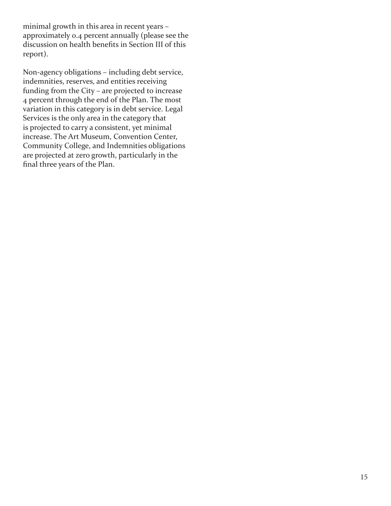minimal growth in this area in recent years – approximately 0.4 percent annually (please see the discussion on health benefits in Section III of this report).

Non-agency obligations – including debt service, indemnities, reserves, and entities receiving funding from the City – are projected to increase 4 percent through the end of the Plan. The most variation in this category is in debt service. Legal Services is the only area in the category that is projected to carry a consistent, yet minimal increase. The Art Museum, Convention Center, Community College, and Indemnities obligations are projected at zero growth, particularly in the final three years of the Plan.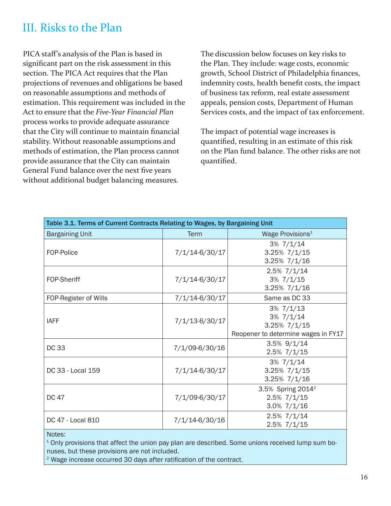## III. Risks to the Plan

PICA staff's analysis of the Plan is based in significant part on the risk assessment in this section. The PICA Act requires that the Plan projections of revenues and obligations be based on reasonable assumptions and methods of estimation. This requirement was included in the Act to ensure that the *Five-Year Financial Plan* process works to provide adequate assurance that the City will continue to maintain financial stability. Without reasonable assumptions and methods of estimation, the Plan process cannot provide assurance that the City can maintain General Fund balance over the next five years without additional budget balancing measures.

The discussion below focuses on key risks to the Plan. They include: wage costs, economic growth, School District of Philadelphia finances, indemnity costs, health benefit costs, the impact of business tax reform, real estate assessment appeals, pension costs, Department of Human Services costs, and the impact of tax enforcement.

The impact of potential wage increases is quantified, resulting in an estimate of this risk on the Plan fund balance. The other risks are not quantified.

| Table 3.1. Terms of Current Contracts Relating to Wages, by Bargaining Unit |                    |                                                                                         |
|-----------------------------------------------------------------------------|--------------------|-----------------------------------------------------------------------------------------|
| <b>Bargaining Unit</b>                                                      | <b>Term</b>        | Wage Provisions <sup>1</sup>                                                            |
| FOP-Police                                                                  | 7/1/14-6/30/17     | $3\%$ $7/1/14$<br>$3.25\%$ $7/1/15$<br>3.25% 7/1/16                                     |
| FOP-Sheriff                                                                 | 7/1/14-6/30/17     | $2.5\%$ $7/1/14$<br>$3\%$ $7/1/15$<br>$3.25\%$ $7/1/16$                                 |
| FOP-Register of Wills                                                       | 7/1/14-6/30/17     | Same as DC 33                                                                           |
| <b>IAFF</b>                                                                 | $7/1/13 - 6/30/17$ | $3\%$ $7/1/13$<br>$3\%$ $7/1/14$<br>3.25% 7/1/15<br>Reopener to determine wages in FY17 |
| <b>DC 33</b>                                                                | 7/1/09-6/30/16     | $3.5\%$ 9/1/14<br>2.5% 7/1/15                                                           |
| DC 33 - Local 159                                                           | 7/1/14-6/30/17     | $3\%$ $7/1/14$<br>3.25% 7/1/15<br>3.25% 7/1/16                                          |
| <b>DC 47</b>                                                                | 7/1/09-6/30/17     | 3.5% Spring 2014 <sup>2</sup><br>2.5% 7/1/15<br>$3.0\%$ $7/1/16$                        |
| DC 47 - Local 810                                                           | 7/1/14-6/30/16     | 2.5% 7/1/14<br>2.5% 7/1/15                                                              |
| Notes:                                                                      |                    |                                                                                         |

<sup>1</sup> Only provisions that affect the union pay plan are described. Some unions received lump sum bonuses, but these provisions are not included.

 $2$  Wage increase occurred 30 days after ratification of the contract.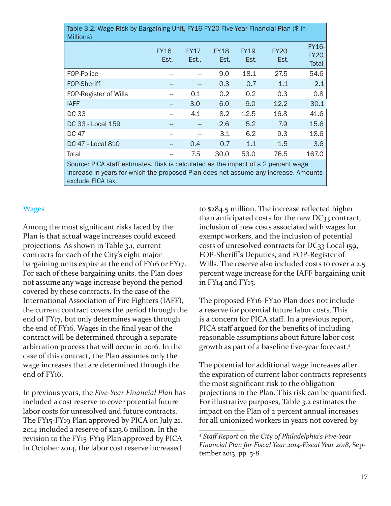| Table 3.2. Wage Risk by Bargaining Unit, FY16-FY20 Five-Year Financial Plan (\$ in<br>Millions)                                                                                                |                     |                    |                     |                     |                     |                                      |  |  |  |  |
|------------------------------------------------------------------------------------------------------------------------------------------------------------------------------------------------|---------------------|--------------------|---------------------|---------------------|---------------------|--------------------------------------|--|--|--|--|
|                                                                                                                                                                                                | <b>FY16</b><br>Est. | <b>FY17</b><br>Est | <b>FY18</b><br>Est. | <b>FY19</b><br>Est. | <b>FY20</b><br>Est. | <b>FY16-</b><br><b>FY20</b><br>Total |  |  |  |  |
| FOP-Police                                                                                                                                                                                     |                     |                    | 9.0                 | 18.1                | 27.5                | 54.6                                 |  |  |  |  |
| <b>FOP-Sheriff</b>                                                                                                                                                                             |                     |                    | 0.3 <sub>2</sub>    | 0.7                 | 1.1                 | 2.1                                  |  |  |  |  |
| FOP-Register of Wills                                                                                                                                                                          |                     | 0.1                | $0.2^{\circ}$       | 0.2                 | 0.3                 | 0.8                                  |  |  |  |  |
| <b>IAFF</b>                                                                                                                                                                                    |                     | 3.0                | 6.0                 | 9.0                 | 12.2                | 30.1                                 |  |  |  |  |
| <b>DC33</b>                                                                                                                                                                                    |                     | 4.1                | 8.2                 | 12.5                | 16.8                | 41.6                                 |  |  |  |  |
| DC 33 - Local 159                                                                                                                                                                              |                     |                    | 2.6                 | 5.2                 | 7.9                 | 15.6                                 |  |  |  |  |
| DC 47                                                                                                                                                                                          |                     |                    | 3.1                 | 6.2                 | 9.3                 | 18.6                                 |  |  |  |  |
| DC 47 - Local 810                                                                                                                                                                              |                     | 0.4                | 0.7                 | 1.1                 | 1.5                 | 3.6                                  |  |  |  |  |
| Total                                                                                                                                                                                          |                     | 7.5                | 30.0                | 53.0                | 76.5                | 167.0                                |  |  |  |  |
| Source: PICA staff estimates. Risk is calculated as the impact of a 2 percent wage<br>increase in years for which the proposed Plan does not assume any increase. Amounts<br>exclude FICA tax. |                     |                    |                     |                     |                     |                                      |  |  |  |  |

#### **Wages**

Among the most significant risks faced by the Plan is that actual wage increases could exceed projections. As shown in Table 3.1, current contracts for each of the City's eight major bargaining units expire at the end of FY16 or FY17. For each of these bargaining units, the Plan does not assume any wage increase beyond the period covered by these contracts. In the case of the International Association of Fire Fighters (IAFF), the current contract covers the period through the end of FY17, but only determines wages through the end of FY16. Wages in the final year of the contract will be determined through a separate arbitration process that will occur in 2016. In the case of this contract, the Plan assumes only the wage increases that are determined through the end of FY16.

In previous years, the *Five-Year Financial Plan* has included a cost reserve to cover potential future labor costs for unresolved and future contracts. The FY15-FY19 Plan approved by PICA on July 21, 2014 included a reserve of \$213.6 million. In the revision to the FY15-FY19 Plan approved by PICA in October 2014, the labor cost reserve increased

to \$284.5 million. The increase reflected higher than anticipated costs for the new DC33 contract, inclusion of new costs associated with wages for exempt workers, and the inclusion of potential costs of unresolved contracts for DC33 Local 159, FOP-Sheriff's Deputies, and FOP-Register of Wills. The reserve also included costs to cover a 2.5 percent wage increase for the IAFF bargaining unit in FY14 and FY15.

The proposed FY16-FY20 Plan does not include a reserve for potential future labor costs. This is a concern for PICA staff. In a previous report, PICA staff argued for the benefits of including reasonable assumptions about future labor cost growth as part of a baseline five-year forecast.<sup>4</sup>

The potential for additional wage increases after the expiration of current labor contracts represents the most significant risk to the obligation projections in the Plan. This risk can be quantified. For illustrative purposes, Table 3.2 estimates the impact on the Plan of 2 percent annual increases for all unionized workers in years not covered by

<sup>4</sup> *Staff Report on the City of Philadelphia's Five-Year Financial Plan for Fiscal Year 2014-Fiscal Year 2018*, September 2013, pp. 5-8.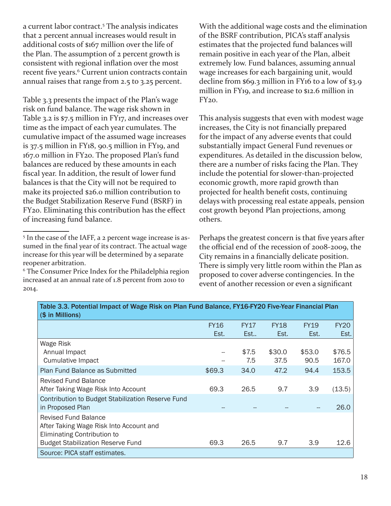a current labor contract.<sup>5</sup> The analysis indicates that 2 percent annual increases would result in additional costs of \$167 million over the life of the Plan. The assumption of 2 percent growth is consistent with regional inflation over the most recent five years.<sup>6</sup> Current union contracts contain annual raises that range from 2.5 to 3.25 percent.

Table 3.3 presents the impact of the Plan's wage risk on fund balance. The wage risk shown in Table 3.2 is \$7.5 million in FY17, and increases over time as the impact of each year cumulates. The cumulative impact of the assumed wage increases is 37.5 million in FY18, 90.5 million in FY19, and 167.0 million in FY20. The proposed Plan's fund balances are reduced by these amounts in each fiscal year. In addition, the result of lower fund balances is that the City will not be required to make its projected \$26.0 million contribution to the Budget Stabilization Reserve Fund (BSRF) in FY20. Eliminating this contribution has the effect of increasing fund balance.

With the additional wage costs and the elimination of the BSRF contribution, PICA's staff analysis estimates that the projected fund balances will remain positive in each year of the Plan, albeit extremely low. Fund balances, assuming annual wage increases for each bargaining unit, would decline from \$69.3 million in FY16 to a low of \$3.9 million in FY19, and increase to \$12.6 million in  $FY20.$ 

This analysis suggests that even with modest wage increases, the City is not financially prepared for the impact of any adverse events that could substantially impact General Fund revenues or expenditures. As detailed in the discussion below, there are a number of risks facing the Plan. They include the potential for slower-than-projected economic growth, more rapid growth than projected for health benefit costs, continuing delays with processing real estate appeals, pension cost growth beyond Plan projections, among others.

Perhaps the greatest concern is that five years after the official end of the recession of 2008-2009, the City remains in a financially delicate position. There is simply very little room within the Plan as proposed to cover adverse contingencies. In the event of another recession or even a significant

| Table 3.3. Potential Impact of Wage Risk on Plan Fund Balance, FY16-FY20 Five-Year Financial Plan<br>(\$ in Millions)                             |             |             |             |             |             |
|---------------------------------------------------------------------------------------------------------------------------------------------------|-------------|-------------|-------------|-------------|-------------|
|                                                                                                                                                   | <b>FY16</b> | <b>FY17</b> | <b>FY18</b> | <b>FY19</b> | <b>FY20</b> |
|                                                                                                                                                   | Est.        | Est         | Est.        | Est.        | Est.        |
| <b>Wage Risk</b>                                                                                                                                  |             |             |             |             |             |
| Annual Impact                                                                                                                                     | --          | \$7.5       | \$30.0      | \$53.0      | \$76.5      |
| <b>Cumulative Impact</b>                                                                                                                          |             | 7.5         | 37.5        | 90.5        | 167.0       |
| <b>Plan Fund Balance as Submitted</b>                                                                                                             | \$69.3      | 34.0        | 47.2        | 94.4        | 153.5       |
| <b>Revised Fund Balance</b><br>After Taking Wage Risk Into Account                                                                                | 69.3        | 26.5        | 9.7         | 3.9         | (13.5)      |
| Contribution to Budget Stabilization Reserve Fund<br>in Proposed Plan                                                                             |             |             |             |             | 26.0        |
| <b>Revised Fund Balance</b><br>After Taking Wage Risk Into Account and<br>Eliminating Contribution to<br><b>Budget Stabilization Reserve Fund</b> | 69.3        | 26.5        | 9.7         | 3.9         | 12.6        |
| Source: PICA staff estimates.                                                                                                                     |             |             |             |             |             |

<sup>&</sup>lt;sup>5</sup> In the case of the IAFF, a 2 percent wage increase is assumed in the final year of its contract. The actual wage increase for this year will be determined by a separate reopener arbitration.

<sup>6</sup> The Consumer Price Index for the Philadelphia region increased at an annual rate of 1.8 percent from 2010 to 2014.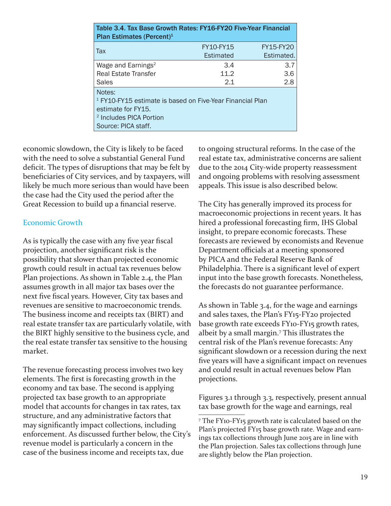| Table 3.4. Tax Base Growth Rates: FY16-FY20 Five-Year Financial<br>Plan Estimates (Percent) <sup>1</sup>                                                          |                  |                  |  |  |  |  |  |  |  |
|-------------------------------------------------------------------------------------------------------------------------------------------------------------------|------------------|------------------|--|--|--|--|--|--|--|
| Tax                                                                                                                                                               | <b>FY10-FY15</b> | <b>FY15-FY20</b> |  |  |  |  |  |  |  |
|                                                                                                                                                                   | Estimated        | Estimated.       |  |  |  |  |  |  |  |
| Wage and Earnings <sup>2</sup>                                                                                                                                    | 3.4              | 3.7              |  |  |  |  |  |  |  |
| <b>Real Estate Transfer</b>                                                                                                                                       | 11.2             | 3.6              |  |  |  |  |  |  |  |
| <b>Sales</b>                                                                                                                                                      | 2.1              | 2.8              |  |  |  |  |  |  |  |
| Notes:<br><sup>1</sup> FY10-FY15 estimate is based on Five-Year Financial Plan<br>estimate for FY15.<br><sup>2</sup> Includes PICA Portion<br>Source: PICA staff. |                  |                  |  |  |  |  |  |  |  |

economic slowdown, the City is likely to be faced with the need to solve a substantial General Fund deficit. The types of disruptions that may be felt by beneficiaries of City services, and by taxpayers, will likely be much more serious than would have been the case had the City used the period after the Great Recession to build up a financial reserve.

#### Economic Growth

As is typically the case with any five year fiscal projection, another significant risk is the possibility that slower than projected economic growth could result in actual tax revenues below Plan projections. As shown in Table 2.4, the Plan assumes growth in all major tax bases over the next five fiscal years. However, City tax bases and revenues are sensitive to macroeconomic trends. The business income and receipts tax (BIRT) and real estate transfer tax are particularly volatile, with the BIRT highly sensitive to the business cycle, and the real estate transfer tax sensitive to the housing market.

The revenue forecasting process involves two key elements. The first is forecasting growth in the economy and tax base. The second is applying projected tax base growth to an appropriate model that accounts for changes in tax rates, tax structure, and any administrative factors that may significantly impact collections, including enforcement. As discussed further below, the City's revenue model is particularly a concern in the case of the business income and receipts tax, due

to ongoing structural reforms. In the case of the real estate tax, administrative concerns are salient due to the 2014 City-wide property reassessment and ongoing problems with resolving assessment appeals. This issue is also described below.

The City has generally improved its process for macroeconomic projections in recent years. It has hired a professional forecasting firm, IHS Global insight, to prepare economic forecasts. These forecasts are reviewed by economists and Revenue Department officials at a meeting sponsored by PICA and the Federal Reserve Bank of Philadelphia. There is a significant level of expert input into the base growth forecasts. Nonetheless, the forecasts do not guarantee performance.

As shown in Table 3.4, for the wage and earnings and sales taxes, the Plan's FY15-FY20 projected base growth rate exceeds FY10-FY15 growth rates, albeit by a small margin.7 This illustrates the central risk of the Plan's revenue forecasts: Any significant slowdown or a recession during the next five years will have a significant impact on revenues and could result in actual revenues below Plan projections.

Figures 3.1 through 3.3, respectively, present annual tax base growth for the wage and earnings, real

<sup>7</sup> The FY10-FY15 growth rate is calculated based on the Plan's projected FY15 base growth rate. Wage and earnings tax collections through June 2015 are in line with the Plan projection. Sales tax collections through June are slightly below the Plan projection.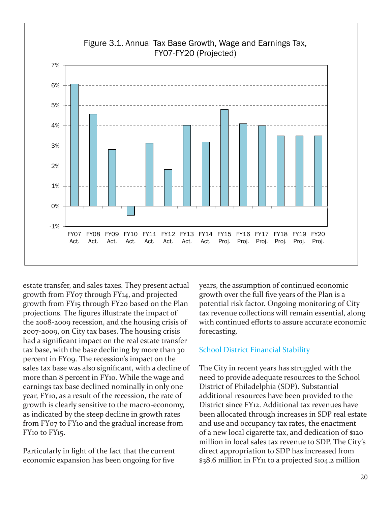

estate transfer, and sales taxes. They present actual growth from FY07 through FY14, and projected growth from FY15 through FY20 based on the Plan projections. The figures illustrate the impact of the 2008-2009 recession, and the housing crisis of 2007-2009, on City tax bases. The housing crisis had a significant impact on the real estate transfer tax base, with the base declining by more than 30 percent in FY09. The recession's impact on the sales tax base was also significant, with a decline of more than 8 percent in FY10. While the wage and earnings tax base declined nominally in only one year, FY10, as a result of the recession, the rate of growth is clearly sensitive to the macro-economy, as indicated by the steep decline in growth rates from FY07 to FY10 and the gradual increase from FY10 to FY15.

Particularly in light of the fact that the current economic expansion has been ongoing for five

years, the assumption of continued economic growth over the full five years of the Plan is a potential risk factor. Ongoing monitoring of City tax revenue collections will remain essential, along with continued efforts to assure accurate economic forecasting.

#### School District Financial Stability

The City in recent years has struggled with the need to provide adequate resources to the School District of Philadelphia (SDP). Substantial additional resources have been provided to the District since FY12. Additional tax revenues have been allocated through increases in SDP real estate and use and occupancy tax rates, the enactment of a new local cigarette tax, and dedication of \$120 million in local sales tax revenue to SDP. The City's direct appropriation to SDP has increased from \$38.6 million in FY11 to a projected \$104.2 million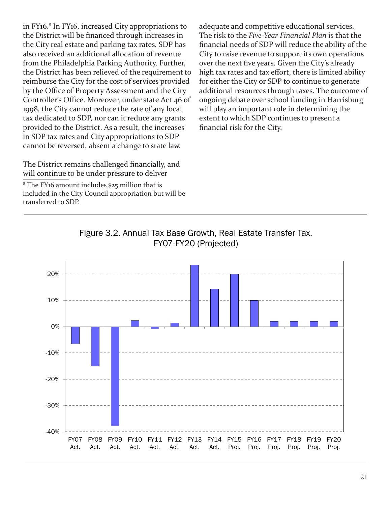in FY16.<sup>8</sup> In FY16, increased City appropriations to the District will be financed through increases in the City real estate and parking tax rates. SDP has also received an additional allocation of revenue from the Philadelphia Parking Authority. Further, the District has been relieved of the requirement to reimburse the City for the cost of services provided by the Office of Property Assessment and the City Controller's Office. Moreover, under state Act 46 of 1998, the City cannot reduce the rate of any local tax dedicated to SDP, nor can it reduce any grants provided to the District. As a result, the increases in SDP tax rates and City appropriations to SDP cannot be reversed, absent a change to state law.

The District remains challenged financially, and will continue to be under pressure to deliver

8 The FY16 amount includes \$25 million that is included in the City Council appropriation but will be transferred to SDP.

adequate and competitive educational services. The risk to the *Five-Year Financial Plan* is that the financial needs of SDP will reduce the ability of the City to raise revenue to support its own operations over the next five years. Given the City's already high tax rates and tax effort, there is limited ability for either the City or SDP to continue to generate additional resources through taxes. The outcome of ongoing debate over school funding in Harrisburg will play an important role in determining the extent to which SDP continues to present a financial risk for the City.

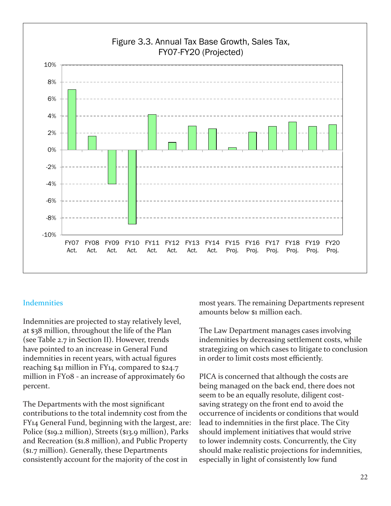

#### **Indemnities**

Indemnities are projected to stay relatively level, at \$38 million, throughout the life of the Plan (see Table 2.7 in Section II). However, trends have pointed to an increase in General Fund indemnities in recent years, with actual figures reaching \$41 million in FY14, compared to \$24.7 million in FY08 - an increase of approximately 60 percent.

The Departments with the most significant contributions to the total indemnity cost from the FY14 General Fund, beginning with the largest, are: Police (\$19.2 million), Streets (\$13.9 million), Parks and Recreation (\$1.8 million), and Public Property (\$1.7 million). Generally, these Departments consistently account for the majority of the cost in

most years. The remaining Departments represent amounts below \$1 million each.

The Law Department manages cases involving indemnities by decreasing settlement costs, while strategizing on which cases to litigate to conclusion in order to limit costs most efficiently.

PICA is concerned that although the costs are being managed on the back end, there does not seem to be an equally resolute, diligent costsaving strategy on the front end to avoid the occurrence of incidents or conditions that would lead to indemnities in the first place. The City should implement initiatives that would strive to lower indemnity costs. Concurrently, the City should make realistic projections for indemnities, especially in light of consistently low fund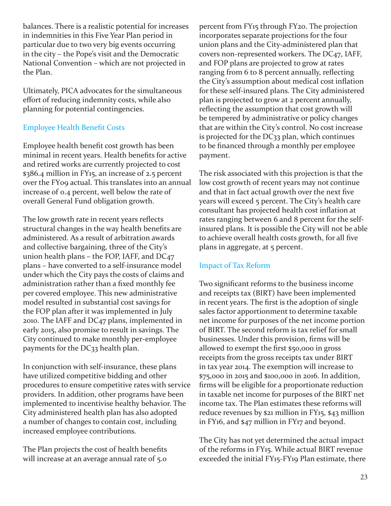balances. There is a realistic potential for increases in indemnities in this Five Year Plan period in particular due to two very big events occurring in the city – the Pope's visit and the Democratic National Convention – which are not projected in the Plan.

Ultimately, PICA advocates for the simultaneous effort of reducing indemnity costs, while also planning for potential contingencies.

#### Employee Health Benefit Costs

Employee health benefit cost growth has been minimal in recent years. Health benefits for active and retired works are currently projected to cost \$386.4 million in FY15, an increase of 2.5 percent over the FY09 actual. This translates into an annual increase of 0.4 percent, well below the rate of overall General Fund obligation growth.

The low growth rate in recent years reflects structural changes in the way health benefits are administered. As a result of arbitration awards and collective bargaining, three of the City's union health plans – the FOP, IAFF, and DC47 plans – have converted to a self-insurance model under which the City pays the costs of claims and administration rather than a fixed monthly fee per covered employee. This new administrative model resulted in substantial cost savings for the FOP plan after it was implemented in July 2010. The IAFF and DC47 plans, implemented in early 2015, also promise to result in savings. The City continued to make monthly per-employee payments for the DC33 health plan.

In conjunction with self-insurance, these plans have utilized competitive bidding and other procedures to ensure competitive rates with service providers. In addition, other programs have been implemented to incentivise healthy behavior. The City administered health plan has also adopted a number of changes to contain cost, including increased employee contributions.

The Plan projects the cost of health benefits will increase at an average annual rate of 5.0

percent from FY15 through FY20. The projection incorporates separate projections for the four union plans and the City-administered plan that covers non-represented workers. The DC47, IAFF, and FOP plans are projected to grow at rates ranging from 6 to 8 percent annually, reflecting the City's assumption about medical cost inflation for these self-insured plans. The City administered plan is projected to grow at 2 percent annually, reflecting the assumption that cost growth will be tempered by administrative or policy changes that are within the City's control. No cost increase is projected for the DC33 plan, which continues to be financed through a monthly per employee payment.

The risk associated with this projection is that the low cost growth of recent years may not continue and that in fact actual growth over the next five years will exceed 5 percent. The City's health care consultant has projected health cost inflation at rates ranging between 6 and 8 percent for the selfinsured plans. It is possible the City will not be able to achieve overall health costs growth, for all five plans in aggregate, at 5 percent.

#### Impact of Tax Reform

Two significant reforms to the business income and receipts tax (BIRT) have been implemented in recent years. The first is the adoption of single sales factor apportionment to determine taxable net income for purposes of the net income portion of BIRT. The second reform is tax relief for small businesses. Under this provision, firms will be allowed to exempt the first \$50,000 in gross receipts from the gross receipts tax under BIRT in tax year 2014. The exemption will increase to \$75,000 in 2015 and \$100,000 in 2016. In addition, firms will be eligible for a proportionate reduction in taxable net income for purposes of the BIRT net income tax. The Plan estimates these reforms will reduce revenues by \$21 million in FY15, \$43 million in FY16, and \$47 million in FY17 and beyond.

The City has not yet determined the actual impact of the reforms in FY15. While actual BIRT revenue exceeded the initial FY15-FY19 Plan estimate, there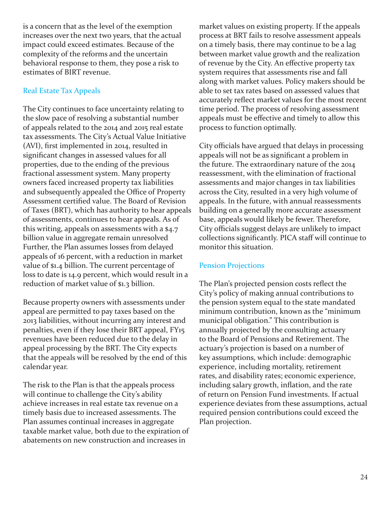is a concern that as the level of the exemption increases over the next two years, that the actual impact could exceed estimates. Because of the complexity of the reforms and the uncertain behavioral response to them, they pose a risk to estimates of BIRT revenue.

#### Real Estate Tax Appeals

The City continues to face uncertainty relating to the slow pace of resolving a substantial number of appeals related to the 2014 and 2015 real estate tax assessments. The City's Actual Value Initiative (AVI), first implemented in 2014, resulted in significant changes in assessed values for all properties, due to the ending of the previous fractional assessment system. Many property owners faced increased property tax liabilities and subsequently appealed the Office of Property Assessment certified value. The Board of Revision of Taxes (BRT), which has authority to hear appeals of assessments, continues to hear appeals. As of this writing, appeals on assessments with a \$4.7 billion value in aggregate remain unresolved Further, the Plan assumes losses from delayed appeals of 16 percent, with a reduction in market value of \$1.4 billion. The current percentage of loss to date is 14.9 percent, which would result in a reduction of market value of \$1.3 billion.

Because property owners with assessments under appeal are permitted to pay taxes based on the 2013 liabilities, without incurring any interest and penalties, even if they lose their BRT appeal, FY15 revenues have been reduced due to the delay in appeal processing by the BRT. The City expects that the appeals will be resolved by the end of this calendar year.

The risk to the Plan is that the appeals process will continue to challenge the City's ability achieve increases in real estate tax revenue on a timely basis due to increased assessments. The Plan assumes continual increases in aggregate taxable market value, both due to the expiration of abatements on new construction and increases in

market values on existing property. If the appeals process at BRT fails to resolve assessment appeals on a timely basis, there may continue to be a lag between market value growth and the realization of revenue by the City. An effective property tax system requires that assessments rise and fall along with market values. Policy makers should be able to set tax rates based on assessed values that accurately reflect market values for the most recent time period. The process of resolving assessment appeals must be effective and timely to allow this process to function optimally.

City officials have argued that delays in processing appeals will not be as significant a problem in the future. The extraordinary nature of the 2014 reassessment, with the elimination of fractional assessments and major changes in tax liabilities across the City, resulted in a very high volume of appeals. In the future, with annual reassessments building on a generally more accurate assessment base, appeals would likely be fewer. Therefore, City officials suggest delays are unlikely to impact collections significantly. PICA staff will continue to monitor this situation.

#### Pension Projections

The Plan's projected pension costs reflect the City's policy of making annual contributions to the pension system equal to the state mandated minimum contribution, known as the "minimum municipal obligation." This contribution is annually projected by the consulting actuary to the Board of Pensions and Retirement. The actuary's projection is based on a number of key assumptions, which include: demographic experience, including mortality, retirement rates, and disability rates; economic experience, including salary growth, inflation, and the rate of return on Pension Fund investments. If actual experience deviates from these assumptions, actual required pension contributions could exceed the Plan projection.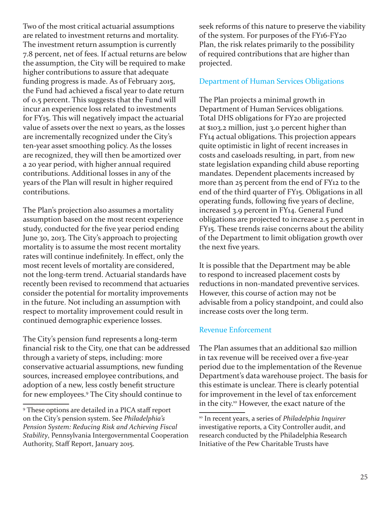Two of the most critical actuarial assumptions are related to investment returns and mortality. The investment return assumption is currently 7.8 percent, net of fees. If actual returns are below the assumption, the City will be required to make higher contributions to assure that adequate funding progress is made. As of February 2015, the Fund had achieved a fiscal year to date return of 0.5 percent. This suggests that the Fund will incur an experience loss related to investments for FY15. This will negatively impact the actuarial value of assets over the next 10 years, as the losses are incrementally recognized under the City's ten-year asset smoothing policy. As the losses are recognized, they will then be amortized over a 20 year period, with higher annual required contributions. Additional losses in any of the years of the Plan will result in higher required contributions.

The Plan's projection also assumes a mortality assumption based on the most recent experience study, conducted for the five year period ending June 30, 2013. The City's approach to projecting mortality is to assume the most recent mortality rates will continue indefinitely. In effect, only the most recent levels of mortality are considered, not the long-term trend. Actuarial standards have recently been revised to recommend that actuaries consider the potential for mortality improvements in the future. Not including an assumption with respect to mortality improvement could result in continued demographic experience losses.

The City's pension fund represents a long-term financial risk to the City, one that can be addressed through a variety of steps, including: more conservative actuarial assumptions, new funding sources, increased employee contributions, and adoption of a new, less costly benefit structure for new employees.9 The City should continue to

seek reforms of this nature to preserve the viability of the system. For purposes of the FY16-FY20 Plan, the risk relates primarily to the possibility of required contributions that are higher than projected.

#### Department of Human Services Obligations

The Plan projects a minimal growth in Department of Human Services obligations. Total DHS obligations for FY20 are projected at \$103.2 million, just 3.0 percent higher than FY14 actual obligations. This projection appears quite optimistic in light of recent increases in costs and caseloads resulting, in part, from new state legislation expanding child abuse reporting mandates. Dependent placements increased by more than 25 percent from the end of FY12 to the end of the third quarter of FY15. Obligations in all operating funds, following five years of decline, increased 3.9 percent in FY14. General Fund obligations are projected to increase 2.5 percent in FY15. These trends raise concerns about the ability of the Department to limit obligation growth over the next five years.

It is possible that the Department may be able to respond to increased placement costs by reductions in non-mandated preventive services. However, this course of action may not be advisable from a policy standpoint, and could also increase costs over the long term.

#### Revenue Enforcement

The Plan assumes that an additional \$20 million in tax revenue will be received over a five-year period due to the implementation of the Revenue Department's data warehouse project. The basis for this estimate is unclear. There is clearly potential for improvement in the level of tax enforcement in the city.10 However, the exact nature of the

<sup>9</sup> These options are detailed in a PICA staff report on the City's pension system. See *Philadelphia's Pension System: Reducing Risk and Achieving Fiscal Stability*, Pennsylvania Intergovernmental Cooperation Authority, Staff Report, January 2015.

<sup>10</sup> In recent years, a series of *Philadelphia Inquirer* investigative reports, a City Controller audit, and research conducted by the Philadelphia Research Initiative of the Pew Charitable Trusts have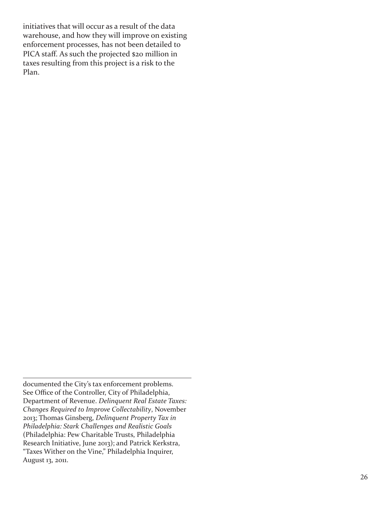initiatives that will occur as a result of the data warehouse, and how they will improve on existing enforcement processes, has not been detailed to PICA staff. As such the projected \$20 million in taxes resulting from this project is a risk to the Plan.

documented the City's tax enforcement problems. See Office of the Controller, City of Philadelphia, Department of Revenue. *Delinquent Real Estate Taxes: Changes Required to Improve Collectability*, November 2013; Thomas Ginsberg, *Delinquent Property Tax in Philadelphia: Stark Challenges and Realistic Goals* (Philadelphia: Pew Charitable Trusts, Philadelphia Research Initiative, June 2013); and Patrick Kerkstra, "Taxes Wither on the Vine," Philadelphia Inquirer, August 13, 2011.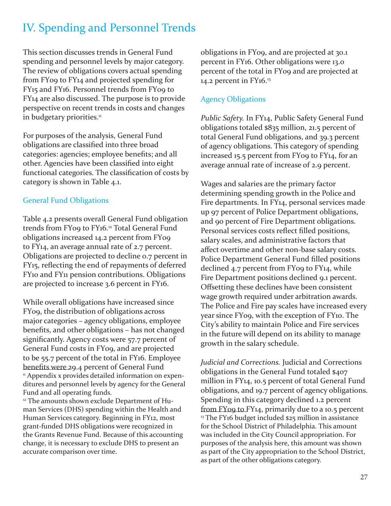## IV. Spending and Personnel Trends

This section discusses trends in General Fund spending and personnel levels by major category. The review of obligations covers actual spending from FY09 to FY14 and projected spending for FY15 and FY16. Personnel trends from FY09 to FY14 are also discussed. The purpose is to provide perspective on recent trends in costs and changes in budgetary priorities.<sup>11</sup>

For purposes of the analysis, General Fund obligations are classified into three broad categories: agencies; employee benefits; and all other. Agencies have been classified into eight functional categories. The classification of costs by category is shown in Table 4.1.

#### General Fund Obligations

Table 4.2 presents overall General Fund obligation trends from FY09 to FY16.<sup>12</sup> Total General Fund obligations increased 14.2 percent from FY09 to FY14, an average annual rate of 2.7 percent. Obligations are projected to decline 0.7 percent in FY15, reflecting the end of repayments of deferred FY10 and FY11 pension contributions. Obligations are projected to increase 3.6 percent in FY16.

While overall obligations have increased since FY09, the distribution of obligations across major categories – agency obligations, employee benefits, and other obligations – has not changed significantly. Agency costs were 57.7 percent of General Fund costs in FY09, and are projected to be 55.7 percent of the total in FY16. Employee benefits were 29.4 percent of General Fund <sup>11</sup> Appendix x provides detailed information on expenditures and personnel levels by agency for the General Fund and all operating funds.

<sup>12</sup> The amounts shown exclude Department of Human Services (DHS) spending within the Health and Human Services category. Beginning in FY12, most grant-funded DHS obligations were recognized in the Grants Revenue Fund. Because of this accounting change, it is necessary to exclude DHS to present an accurate comparison over time.

obligations in FY09, and are projected at 30.1 percent in FY16. Other obligations were 13.0 percent of the total in FY09 and are projected at 14.2 percent in FY16.<sup>13</sup>

#### Agency Obligations

*Public Safety.* In FY14, Public Safety General Fund obligations totaled \$835 million, 21.5 percent of total General Fund obligations, and 39.3 percent of agency obligations. This category of spending increased 15.5 percent from FY09 to FY14, for an average annual rate of increase of 2.9 percent.

Wages and salaries are the primary factor determining spending growth in the Police and Fire departments. In FY14, personal services made up 97 percent of Police Department obligations, and 90 percent of Fire Department obligations. Personal services costs reflect filled positions, salary scales, and administrative factors that affect overtime and other non-base salary costs. Police Department General Fund filled positions declined 4.7 percent from FY09 to FY14, while Fire Department positions declined 9.1 percent. Offsetting these declines have been consistent wage growth required under arbitration awards. The Police and Fire pay scales have increased every year since FY09, with the exception of FY10. The City's ability to maintain Police and Fire services in the future will depend on its ability to manage growth in the salary schedule.

*Judicial and Corrections.* Judicial and Corrections obligations in the General Fund totaled \$407 million in FY14, 10.5 percent of total General Fund obligations, and 19.7 percent of agency obligations. Spending in this category declined 1.2 percent from FY09 to FY14, primarily due to a 10.5 percent <sup>13</sup> The FY16 budget included \$25 million in assistance for the School District of Philadelphia. This amount was included in the City Council appropriation. For purposes of the analysis here, this amount was shown as part of the City appropriation to the School District, as part of the other obligations category.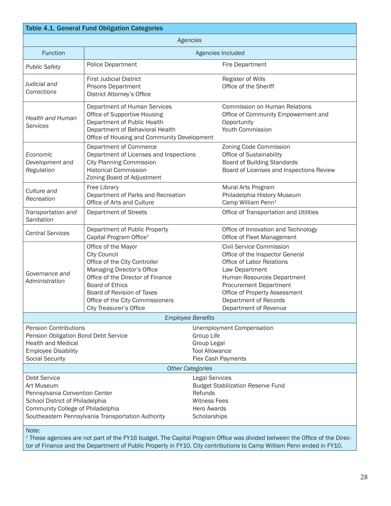|                                                                                                                                                           | Table 4.1. General Fund Obligation Categories                                                                                                                                                                                                                         |                                                                                                                                                                                                                                                              |
|-----------------------------------------------------------------------------------------------------------------------------------------------------------|-----------------------------------------------------------------------------------------------------------------------------------------------------------------------------------------------------------------------------------------------------------------------|--------------------------------------------------------------------------------------------------------------------------------------------------------------------------------------------------------------------------------------------------------------|
|                                                                                                                                                           | Agencies                                                                                                                                                                                                                                                              |                                                                                                                                                                                                                                                              |
| <b>Function</b>                                                                                                                                           |                                                                                                                                                                                                                                                                       | Agencies Included                                                                                                                                                                                                                                            |
| <b>Public Safety</b>                                                                                                                                      | Police Department                                                                                                                                                                                                                                                     | <b>Fire Department</b>                                                                                                                                                                                                                                       |
| Judicial and<br>Corrections                                                                                                                               | <b>First Judicial District</b><br>Prisons Department<br>District Attorney's Office                                                                                                                                                                                    | Register of Wills<br>Office of the Sheriff                                                                                                                                                                                                                   |
| <b>Health and Human</b><br><b>Services</b>                                                                                                                | Department of Human Services<br>Office of Supportive Housing<br>Department of Public Health<br>Department of Behavioral Health<br>Office of Housing and Community Development                                                                                         | <b>Commission on Human Relations</b><br>Office of Community Empowerment and<br>Opportunity<br>Youth Commission                                                                                                                                               |
| Economic<br>Development and<br>Regulation                                                                                                                 | Department of Commerce<br>Department of Licenses and Inspections<br><b>City Planning Commission</b><br><b>Historical Commission</b><br>Zoning Board of Adjustment                                                                                                     | Zoning Code Commission<br>Office of Sustainability<br>Board of Building Standards<br>Board of Licenses and Inspections Review                                                                                                                                |
| Culture and<br>Recreation                                                                                                                                 | Free Library<br>Department of Parks and Recreation<br>Office of Arts and Culture                                                                                                                                                                                      | Mural Arts Program<br>Philadelphia History Museum<br>Camp William Penn <sup>1</sup>                                                                                                                                                                          |
| Transportation and<br>Sanitation                                                                                                                          | Department of Streets                                                                                                                                                                                                                                                 | Office of Transportation and Utilities                                                                                                                                                                                                                       |
| <b>Central Services</b>                                                                                                                                   | Department of Public Property<br>Capital Program Office <sup>1</sup>                                                                                                                                                                                                  | Office of Innovation and Technology<br>Office of Fleet Management                                                                                                                                                                                            |
| Governance and<br>Administration                                                                                                                          | Office of the Mayor<br><b>City Council</b><br>Office of the City Controller<br>Managing Director's Office<br>Office of the Director of Finance<br><b>Board of Ethics</b><br>Board of Revision of Taxes<br>Office of the City Commissioners<br>City Treasurer's Office | Civil Service Commission<br>Office of the Inspector General<br>Office of Labor Relations<br>Law Department<br>Human Resources Department<br><b>Procurement Department</b><br>Office of Property Assessment<br>Department of Records<br>Department of Revenue |
|                                                                                                                                                           | <b>Employee Benefits</b>                                                                                                                                                                                                                                              |                                                                                                                                                                                                                                                              |
| <b>Pension Contributions</b><br>Pension Obligation Bond Debt Service<br><b>Health and Medical</b><br><b>Employee Disability</b><br><b>Social Security</b> | <b>Other Categories</b>                                                                                                                                                                                                                                               | <b>Unemployment Compensation</b><br>Group Life<br>Group Legal<br><b>Tool Allowance</b><br>Flex Cash Payments                                                                                                                                                 |
| <b>Debt Service</b>                                                                                                                                       |                                                                                                                                                                                                                                                                       | <b>Legal Services</b>                                                                                                                                                                                                                                        |
| Art Museum<br>Pennsylvania Convention Center<br>School District of Philadelphia<br>Community College of Philadelphia                                      | Southeastern Pennsylvania Transportation Authority                                                                                                                                                                                                                    | <b>Budget Stabilization Reserve Fund</b><br>Refunds<br><b>Witness Fees</b><br><b>Hero Awards</b><br>Scholarships                                                                                                                                             |
| Note:                                                                                                                                                     |                                                                                                                                                                                                                                                                       |                                                                                                                                                                                                                                                              |

 $^{\rm 1}$  These agencies are not part of the FY16 budget. The Capital Program Office was divided between the Office of the Director of Finance and the Department of Public Property in FY10. City contributions to Camp William Penn ended in FY10.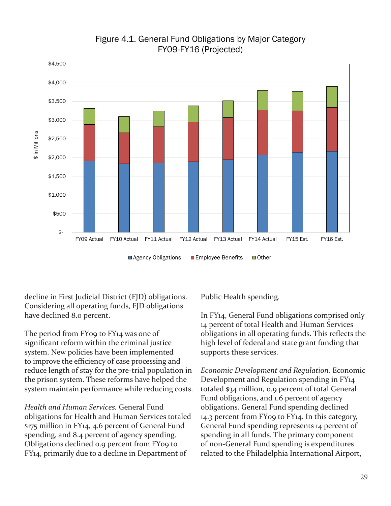

decline in First Judicial District (FJD) obligations. Considering all operating funds, FJD obligations have declined 8.0 percent.

The period from FY09 to FY14 was one of significant reform within the criminal justice system. New policies have been implemented to improve the efficiency of case processing and reduce length of stay for the pre-trial population in the prison system. These reforms have helped the system maintain performance while reducing costs.

*Health and Human Services.* General Fund obligations for Health and Human Services totaled \$175 million in FY14, 4.6 percent of General Fund spending, and 8.4 percent of agency spending. Obligations declined 0.9 percent from FY09 to FY14, primarily due to a decline in Department of

Public Health spending.

In FY14, General Fund obligations comprised only 14 percent of total Health and Human Services obligations in all operating funds. This reflects the high level of federal and state grant funding that supports these services.

*Economic Development and Regulation.* Economic Development and Regulation spending in FY14 totaled \$34 million, 0.9 percent of total General Fund obligations, and 1.6 percent of agency obligations. General Fund spending declined 14.3 percent from FY09 to FY14. In this category, General Fund spending represents 14 percent of spending in all funds. The primary component of non-General Fund spending is expenditures related to the Philadelphia International Airport,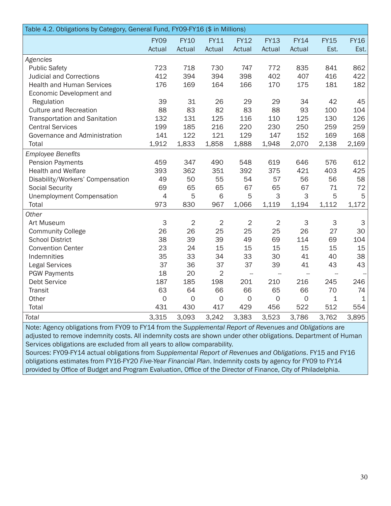| Table 4.2. Obligations by Category, General Fund, FY09-FY16 (\$ in Millions) |                |                |                |                          |                |                          |                           |             |  |  |  |
|------------------------------------------------------------------------------|----------------|----------------|----------------|--------------------------|----------------|--------------------------|---------------------------|-------------|--|--|--|
|                                                                              | <b>FY09</b>    | <b>FY10</b>    | <b>FY11</b>    | <b>FY12</b>              | <b>FY13</b>    | <b>FY14</b>              | <b>FY15</b>               | <b>FY16</b> |  |  |  |
|                                                                              | Actual         | Actual         | Actual         | Actual                   | Actual         | Actual                   | Est.                      | Est.        |  |  |  |
| Agencies                                                                     |                |                |                |                          |                |                          |                           |             |  |  |  |
| <b>Public Safety</b>                                                         | 723            | 718            | 730            | 747                      | 772            | 835                      | 841                       | 862         |  |  |  |
| <b>Judicial and Corrections</b>                                              | 412            | 394            | 394            | 398                      | 402            | 407                      | 416                       | 422         |  |  |  |
| <b>Health and Human Services</b>                                             | 176            | 169            | 164            | 166                      | 170            | 175                      | 181                       | 182         |  |  |  |
| Economic Development and                                                     |                |                |                |                          |                |                          |                           |             |  |  |  |
| Regulation                                                                   | 39             | 31             | 26             | 29                       | 29             | 34                       | 42                        | 45          |  |  |  |
| <b>Culture and Recreation</b>                                                | 88             | 83             | 82             | 83                       | 88             | 93                       | 100                       | 104         |  |  |  |
| <b>Transportation and Sanitation</b>                                         | 132            | 131            | 125            | 116                      | 110            | 125                      | 130                       | 126         |  |  |  |
| <b>Central Services</b>                                                      | 199            | 185            | 216            | 220                      | 230            | 250                      | 259                       | 259         |  |  |  |
| Governance and Administration                                                | 141            | 122            | 121            | 129                      | 147            | 152                      | 169                       | 168         |  |  |  |
| Total                                                                        | 1,912          | 1,833          | 1,858          | 1,888                    | 1,948          | 2,070                    | 2,138                     | 2,169       |  |  |  |
| <b>Employee Benefits</b>                                                     |                |                |                |                          |                |                          |                           |             |  |  |  |
| <b>Pension Payments</b>                                                      | 459            | 347            | 490            | 548                      | 619            | 646                      | 576                       | 612         |  |  |  |
| <b>Health and Welfare</b>                                                    | 393            | 362            | 351            | 392                      | 375            | 421                      | 403                       | 425         |  |  |  |
| Disability/Workers' Compensation                                             | 49             | 50             | 55             | 54                       | 57             | 56                       | 56                        | 58          |  |  |  |
| <b>Social Security</b>                                                       | 69             | 65             | 65             | 67                       | 65             | 67                       | 71                        | 72          |  |  |  |
| <b>Unemployment Compensation</b>                                             | $\overline{4}$ | 5              | 6              | 5                        | 3              | 3                        | 5                         | 5           |  |  |  |
| Total                                                                        | 973            | 830            | 967            | 1,066                    | 1,119          | 1,194                    | 1,112                     | 1,172       |  |  |  |
| Other                                                                        |                |                |                |                          |                |                          |                           |             |  |  |  |
| Art Museum                                                                   | 3              | $\overline{2}$ | $\mathbf{2}$   | $\sqrt{2}$               | $\overline{2}$ | 3                        | $\ensuremath{\mathsf{3}}$ | $\mathsf 3$ |  |  |  |
| <b>Community College</b>                                                     | 26             | 26             | 25             | 25                       | 25             | 26                       | 27                        | 30          |  |  |  |
| <b>School District</b>                                                       | 38             | 39             | 39             | 49                       | 69             | 114                      | 69                        | 104         |  |  |  |
| <b>Convention Center</b>                                                     | 23             | 24             | 15             | 15                       | 15             | 15                       | 15                        | 15          |  |  |  |
| Indemnities                                                                  | 35             | 33             | 34             | 33                       | 30             | 41                       | 40                        | 38          |  |  |  |
| <b>Legal Services</b>                                                        | 37             | 36             | 37             | 37                       | 39             | 41                       | 43                        | 43          |  |  |  |
| <b>PGW Payments</b>                                                          | 18             | 20             | $\overline{2}$ | $\overline{\phantom{a}}$ | $\overline{a}$ | $\overline{\phantom{a}}$ | $\overline{\phantom{0}}$  |             |  |  |  |
| Debt Service                                                                 | 187            | 185            | 198            | 201                      | 210            | 216                      | 245                       | 246         |  |  |  |
| Transit                                                                      | 63             | 64             | 66             | 66                       | 65             | 66                       | 70                        | 74          |  |  |  |
| Other                                                                        | $\mathbf 0$    | $\mathbf 0$    | $\mathbf 0$    | $\mathbf 0$              | $\mathbf 0$    | $\mathbf 0$              | 1                         | $\mathbf 1$ |  |  |  |
| Total                                                                        | 431            | 430            | 417            | 429                      | 456            | 522                      | 512                       | 554         |  |  |  |
| <b>Total</b>                                                                 | 3,315          | 3,093          | 3,242          | 3,383                    | 3,523          | 3,786                    | 3,762                     | 3,895       |  |  |  |

Note: Agency obligations from FY09 to FY14 from the *Supplemental Report of Revenues and Obligations* are adjusted to remove indemnity costs. All indemnity costs are shown under other obligations. Department of Human Services obligations are excluded from all years to allow comparability.

Sources: FY09-FY14 actual obligations from *Supplemental Report of Revenues and Obligations*. FY15 and FY16 obligations estimates from FY16-FY20 *Five-Year Financial Plan*. Indemnity costs by agency for FY09 to FY14 provided by Office of Budget and Program Evaluation, Office of the Director of Finance, City of Philadelphia.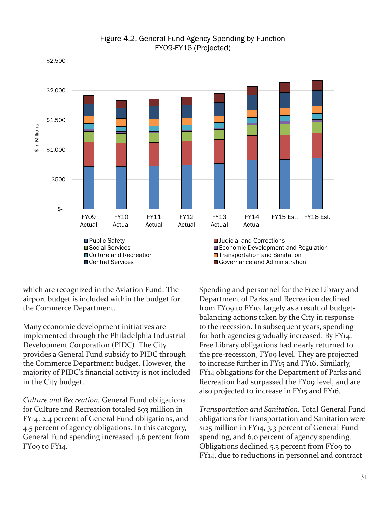

which are recognized in the Aviation Fund. The airport budget is included within the budget for the Commerce Department.

Many economic development initiatives are implemented through the Philadelphia Industrial Development Corporation (PIDC). The City provides a General Fund subsidy to PIDC through the Commerce Department budget. However, the majority of PIDC's financial activity is not included in the City budget.

*Culture and Recreation.* General Fund obligations for Culture and Recreation totaled \$93 million in FY14, 2.4 percent of General Fund obligations, and 4.5 percent of agency obligations. In this category, General Fund spending increased 4.6 percent from FY09 to FY14.

Spending and personnel for the Free Library and Department of Parks and Recreation declined from FY09 to FY10, largely as a result of budgetbalancing actions taken by the City in response to the recession. In subsequent years, spending for both agencies gradually increased. By FY14, Free Library obligations had nearly returned to the pre-recession, FY09 level. They are projected to increase further in FY15 and FY16. Similarly, FY14 obligations for the Department of Parks and Recreation had surpassed the FY09 level, and are also projected to increase in FY15 and FY16.

*Transportation and Sanitation.* Total General Fund obligations for Transportation and Sanitation were \$125 million in FY14, 3.3 percent of General Fund spending, and 6.0 percent of agency spending. Obligations declined 5.3 percent from FY09 to FY14, due to reductions in personnel and contract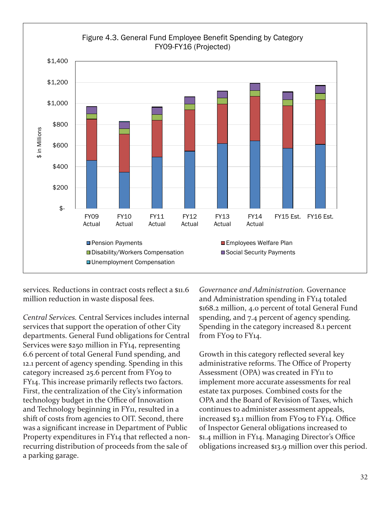

services. Reductions in contract costs reflect a \$11.6 million reduction in waste disposal fees.

*Central Services.* Central Services includes internal services that support the operation of other City departments. General Fund obligations for Central Services were \$250 million in FY14, representing 6.6 percent of total General Fund spending, and 12.1 percent of agency spending. Spending in this category increased 25.6 percent from FY09 to FY14. This increase primarily reflects two factors. First, the centralization of the City's information technology budget in the Office of Innovation and Technology beginning in FY<sub>11</sub>, resulted in a shift of costs from agencies to OIT. Second, there was a significant increase in Department of Public Property expenditures in FY14 that reflected a nonrecurring distribution of proceeds from the sale of a parking garage.

*Governance and Administration.* Governance and Administration spending in FY14 totaled \$168.2 million, 4.0 percent of total General Fund spending, and 7.4 percent of agency spending. Spending in the category increased 8.1 percent from FY09 to FY14.

Growth in this category reflected several key administrative reforms. The Office of Property Assessment (OPA) was created in FY<sub>11</sub> to implement more accurate assessments for real estate tax purposes. Combined costs for the OPA and the Board of Revision of Taxes, which continues to administer assessment appeals, increased \$3.1 million from FY09 to FY14. Office of Inspector General obligations increased to \$1.4 million in FY14. Managing Director's Office obligations increased \$13.9 million over this period.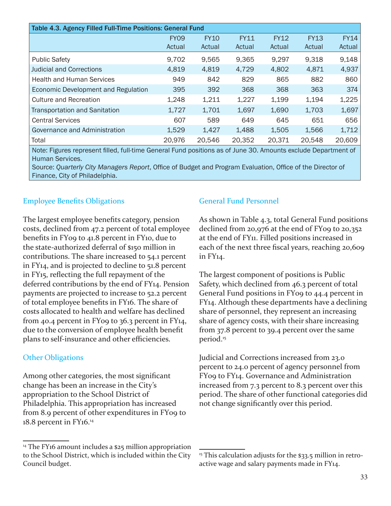| Table 4.3. Agency Filled Full-Time Positions: General Fund |             |             |             |             |             |             |  |  |  |  |  |
|------------------------------------------------------------|-------------|-------------|-------------|-------------|-------------|-------------|--|--|--|--|--|
|                                                            | <b>FY09</b> | <b>FY10</b> | <b>FY11</b> | <b>FY12</b> | <b>FY13</b> | <b>FY14</b> |  |  |  |  |  |
|                                                            | Actual      | Actual      | Actual      | Actual      | Actual      | Actual      |  |  |  |  |  |
| <b>Public Safety</b>                                       | 9,702       | 9.565       | 9.365       | 9,297       | 9,318       | 9,148       |  |  |  |  |  |
| <b>Judicial and Corrections</b>                            | 4,819       | 4,819       | 4,729       | 4,802       | 4,871       | 4,937       |  |  |  |  |  |
| <b>Health and Human Services</b>                           | 949         | 842         | 829         | 865         | 882         | 860         |  |  |  |  |  |
| Economic Development and Regulation                        | 395         | 392         | 368         | 368         | 363         | 374         |  |  |  |  |  |
| <b>Culture and Recreation</b>                              | 1,248       | 1,211       | 1,227       | 1,199       | 1,194       | 1,225       |  |  |  |  |  |
| <b>Transportation and Sanitation</b>                       | 1,727       | 1,701       | 1,697       | 1,690       | 1,703       | 1,697       |  |  |  |  |  |
| <b>Central Services</b>                                    | 607         | 589         | 649         | 645         | 651         | 656         |  |  |  |  |  |
| Governance and Administration                              | 1,529       | 1,427       | 1,488       | 1,505       | 1,566       | 1,712       |  |  |  |  |  |
| Total                                                      | 20,976      | 20,546      | 20,352      | 20,371      | 20,548      | 20,609      |  |  |  |  |  |

Note: Figures represent filled, full-time General Fund positions as of June 30. Amounts exclude Department of Human Services.

Source: *Quarterly City Managers Report*, Office of Budget and Program Evaluation, Office of the Director of Finance, City of Philadelphia.

#### Employee Benefits Obligations

The largest employee benefits category, pension costs, declined from 47.2 percent of total employee benefits in FY09 to 41.8 percent in FY10, due to the state-authorized deferral of \$150 million in contributions. The share increased to 54.1 percent in FY14, and is projected to decline to 51.8 percent in FY15, reflecting the full repayment of the deferred contributions by the end of FY14. Pension payments are projected to increase to 52.2 percent of total employee benefits in FY16. The share of costs allocated to health and welfare has declined from 40.4 percent in FY09 to 36.3 percent in FY14, due to the conversion of employee health benefit plans to self-insurance and other efficiencies.

#### Other Obligations

Among other categories, the most significant change has been an increase in the City's appropriation to the School District of Philadelphia. This appropriation has increased from 8.9 percent of other expenditures in FY09 to 18.8 percent in FY16.<sup>14</sup>

#### General Fund Personnel

As shown in Table 4.3, total General Fund positions declined from 20,976 at the end of FY09 to 20,352 at the end of FY11. Filled positions increased in each of the next three fiscal years, reaching 20,609 in FY14.

The largest component of positions is Public Safety, which declined from 46.3 percent of total General Fund positions in FY09 to 44.4 percent in FY14. Although these departments have a declining share of personnel, they represent an increasing share of agency costs, with their share increasing from 37.8 percent to 39.4 percent over the same period.<sup>15</sup>

Judicial and Corrections increased from 23.0 percent to 24.0 percent of agency personnel from FY09 to FY14. Governance and Administration increased from 7.3 percent to 8.3 percent over this period. The share of other functional categories did not change significantly over this period.

<sup>&</sup>lt;sup>14</sup> The FY16 amount includes a \$25 million appropriation to the School District, which is included within the City Council budget.

<sup>&</sup>lt;sup>15</sup> This calculation adjusts for the \$33.5 million in retroactive wage and salary payments made in FY14.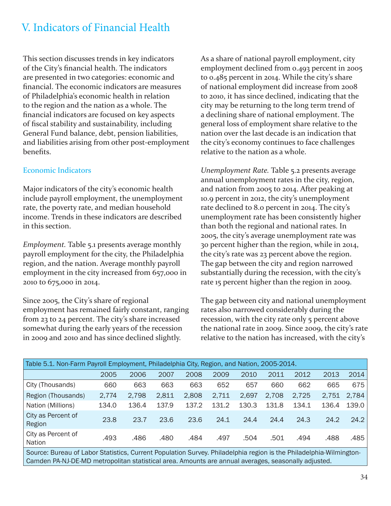### V. Indicators of Financial Health

This section discusses trends in key indicators of the City's financial health. The indicators are presented in two categories: economic and financial. The economic indicators are measures of Philadelphia's economic health in relation to the region and the nation as a whole. The financial indicators are focused on key aspects of fiscal stability and sustainability, including General Fund balance, debt, pension liabilities, and liabilities arising from other post-employment benefits.

#### Economic Indicators

Major indicators of the city's economic health include payroll employment, the unemployment rate, the poverty rate, and median household income. Trends in these indicators are described in this section.

*Employment.* Table 5.1 presents average monthly payroll employment for the city, the Philadelphia region, and the nation. Average monthly payroll employment in the city increased from 657,000 in 2010 to 675,000 in 2014.

Since 2005, the City's share of regional employment has remained fairly constant, ranging from 23 to 24 percent. The city's share increased somewhat during the early years of the recession in 2009 and 2010 and has since declined slightly.

As a share of national payroll employment, city employment declined from 0.493 percent in 2005 to 0.485 percent in 2014. While the city's share of national employment did increase from 2008 to 2010, it has since declined, indicating that the city may be returning to the long term trend of a declining share of national employment. The general loss of employment share relative to the nation over the last decade is an indication that the city's economy continues to face challenges relative to the nation as a whole.

*Unemployment Rate.* Table 5.2 presents average annual unemployment rates in the city, region, and nation from 2005 to 2014. After peaking at 10.9 percent in 2012, the city's unemployment rate declined to 8.0 percent in 2014. The city's unemployment rate has been consistently higher than both the regional and national rates. In 2005, the city's average unemployment rate was 30 percent higher than the region, while in 2014, the city's rate was 23 percent above the region. The gap between the city and region narrowed substantially during the recession, with the city's rate 15 percent higher than the region in 2009.

The gap between city and national unemployment rates also narrowed considerably during the recession, with the city rate only 5 percent above the national rate in 2009. Since 2009, the city's rate relative to the nation has increased, with the city's

| Table 5.1. Non-Farm Payroll Employment, Philadelphia City, Region, and Nation, 2005-2014. |       |       |       |       |       |       |       |       |       |       |  |  |  |
|-------------------------------------------------------------------------------------------|-------|-------|-------|-------|-------|-------|-------|-------|-------|-------|--|--|--|
|                                                                                           | 2005  | 2006  | 2007  | 2008  | 2009  | 2010  | 2011  | 2012  | 2013  | 2014  |  |  |  |
| City (Thousands)                                                                          | 660   | 663   | 663   | 663   | 652   | 657   | 660   | 662   | 665   | 675   |  |  |  |
| Region (Thousands)                                                                        | 2,774 | 2,798 | 2,811 | 2,808 | 2,711 | 2,697 | 2,708 | 2,725 | 2,751 | 2,784 |  |  |  |
| Nation (Millions)                                                                         | 134.0 | 136.4 | 137.9 | 137.2 | 131.2 | 130.3 | 131.8 | 134.1 | 136.4 | 139.0 |  |  |  |
| City as Percent of<br>Region                                                              | 23.8  | 23.7  | 23.6  | 23.6  | 24.1  | 24.4  | 24.4  | 24.3  | 24.2  | 24.2  |  |  |  |
| City as Percent of<br>Nation                                                              | .493  | .486  | .480  | .484  | .497  | .504  | .501  | .494  | .488  | .485  |  |  |  |
|                                                                                           |       |       |       |       |       |       |       |       |       |       |  |  |  |

Source: Bureau of Labor Statistics, Current Population Survey. Philadelphia region is the Philadelphia-Wilmington-Camden PA-NJ-DE-MD metropolitan statistical area. Amounts are annual averages, seasonally adjusted.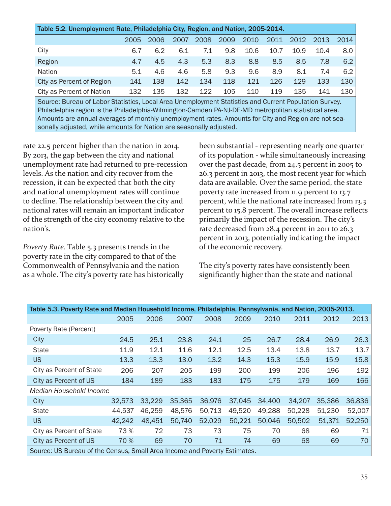| Table 5.2. Unemployment Rate, Philadelphia City, Region, and Nation, 2005-2014.                     |      |      |      |      |      |      |      |      |      |      |  |  |
|-----------------------------------------------------------------------------------------------------|------|------|------|------|------|------|------|------|------|------|--|--|
|                                                                                                     | 2005 | 2006 | 2007 | 2008 | 2009 | 2010 | 2011 | 2012 | 2013 | 2014 |  |  |
| City                                                                                                | 6.7  | 6.2  | 6.1  | 7.1  | 9.8  | 10.6 | 10.7 | 10.9 | 10.4 | 8.0  |  |  |
| Region                                                                                              | 4.7  | 4.5  | 4.3  | 5.3  | 8.3  | 8.8  | 8.5  | 8.5  | 7.8  | 6.2  |  |  |
| Nation                                                                                              | 5.1  | 4.6  | 4.6  | 5.8  | 9.3  | 9.6  | 8.9  | 8.1  | 7.4  | 6.2  |  |  |
| City as Percent of Region                                                                           | 141  | 138  | 142  | 134  | 118  | 121  | 126  | 129  | 133  | 130  |  |  |
| City as Percent of Nation                                                                           | 132  | 135  | 132  | 122  | 105  | 110  | 119  | 135  | 141  | 130  |  |  |
| Cource: Rureau of Labor Statistics Local Area Unemployment Statistics and Current Population Survey |      |      |      |      |      |      |      |      |      |      |  |  |

Local Area Unemployment Statistics and Current Population Survey. Philadelphia region is the Philadelphia-Wilmington-Camden PA-NJ-DE-MD metropolitan statistical area. Amounts are annual averages of monthly unemployment rates. Amounts for City and Region are not seasonally adjusted, while amounts for Nation are seasonally adjusted.

rate 22.5 percent higher than the nation in 2014. By 2013, the gap between the city and national unemployment rate had returned to pre-recession levels. As the nation and city recover from the recession, it can be expected that both the city and national unemployment rates will continue to decline. The relationship between the city and national rates will remain an important indicator of the strength of the city economy relative to the nation's.

*Poverty Rate.* Table 5.3 presents trends in the poverty rate in the city compared to that of the Commonwealth of Pennsylvania and the nation as a whole. The city's poverty rate has historically been substantial - representing nearly one quarter of its population - while simultaneously increasing over the past decade, from 24.5 percent in 2005 to 26.3 percent in 2013, the most recent year for which data are available. Over the same period, the state poverty rate increased from 11.9 percent to 13.7 percent, while the national rate increased from 13.3 percent to 15.8 percent. The overall increase reflects primarily the impact of the recession. The city's rate decreased from 28.4 percent in 2011 to 26.3 percent in 2013, potentially indicating the impact of the economic recovery.

The city's poverty rates have consistently been significantly higher than the state and national

|                                                                           | Table 5.3. Poverty Rate and Median Household Income, Philadelphia, Pennsylvania, and Nation, 2005-2013. |        |        |        |        |        |        |        |        |  |  |  |
|---------------------------------------------------------------------------|---------------------------------------------------------------------------------------------------------|--------|--------|--------|--------|--------|--------|--------|--------|--|--|--|
|                                                                           | 2005                                                                                                    | 2006   | 2007   | 2008   | 2009   | 2010   | 2011   | 2012   | 2013   |  |  |  |
| Poverty Rate (Percent)                                                    |                                                                                                         |        |        |        |        |        |        |        |        |  |  |  |
| City                                                                      | 24.5                                                                                                    | 25.1   | 23.8   | 24.1   | 25     | 26.7   | 28.4   | 26.9   | 26.3   |  |  |  |
| <b>State</b>                                                              | 11.9                                                                                                    | 12.1   | 11.6   | 12.1   | 12.5   | 13.4   | 13.8   | 13.7   | 13.7   |  |  |  |
| <b>US</b>                                                                 | 13.3                                                                                                    | 13.3   | 13.0   | 13.2   | 14.3   | 15.3   | 15.9   | 15.9   | 15.8   |  |  |  |
| City as Percent of State                                                  | 206                                                                                                     | 207    | 205    | 199    | 200    | 199    | 206    | 196    | 192    |  |  |  |
| City as Percent of US                                                     | 184                                                                                                     | 189    | 183    | 183    | 175    | 175    | 179    | 169    | 166    |  |  |  |
| Median Household Income                                                   |                                                                                                         |        |        |        |        |        |        |        |        |  |  |  |
| City                                                                      | 32,573                                                                                                  | 33,229 | 35,365 | 36,976 | 37,045 | 34,400 | 34,207 | 35,386 | 36,836 |  |  |  |
| <b>State</b>                                                              | 44,537                                                                                                  | 46,259 | 48,576 | 50,713 | 49,520 | 49,288 | 50,228 | 51,230 | 52,007 |  |  |  |
| <b>US</b>                                                                 | 42,242                                                                                                  | 48,451 | 50,740 | 52,029 | 50,221 | 50,046 | 50,502 | 51,371 | 52,250 |  |  |  |
| City as Percent of State                                                  | 73 %                                                                                                    | 72     | 73     | 73     | 75     | 70     | 68     | 69     | 71     |  |  |  |
| City as Percent of US                                                     | 70 %                                                                                                    | 69     | 70     | 71     | 74     | 69     | 68     | 69     | 70     |  |  |  |
| Source: US Bureau of the Census, Small Area Income and Poverty Estimates. |                                                                                                         |        |        |        |        |        |        |        |        |  |  |  |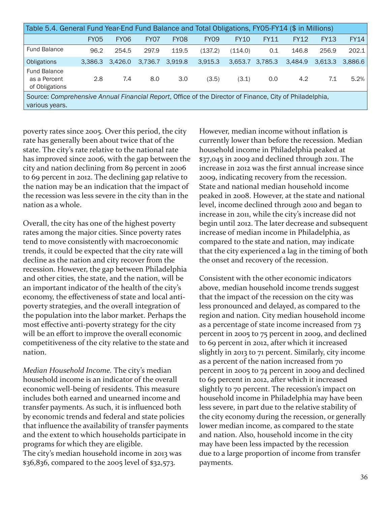| Table 5.4. General Fund Year-End Fund Balance and Total Obligations, FY05-FY14 (\$ in Millions)                           |             |                  |         |             |                  |             |                 |             |             |             |  |
|---------------------------------------------------------------------------------------------------------------------------|-------------|------------------|---------|-------------|------------------|-------------|-----------------|-------------|-------------|-------------|--|
|                                                                                                                           | <b>FY05</b> | FY <sub>06</sub> | FY07    | <b>FY08</b> | FY <sub>09</sub> | <b>FY10</b> | <b>FY11</b>     | <b>FY12</b> | <b>FY13</b> | <b>FY14</b> |  |
| <b>Fund Balance</b>                                                                                                       | 96.2        | 254.5            | 297.9   | 119.5       | (137.2)          | (114.0)     | 0.1             | 146.8       | 256.9       | 202.1       |  |
| <b>Obligations</b>                                                                                                        | 3.386.3     | 3.426.0          | 3.736.7 | 3.919.8     | 3,915.3          |             | 3.653.7 3.785.3 | 3.484.9     | 3.613.3     | 3.886.6     |  |
| <b>Fund Balance</b><br>as a Percent<br>of Obligations                                                                     | 2.8         | 7.4              | 8.0     | 3.0         | (3.5)            | (3.1)       | 0.0             | 4.2         | 7.1         | 5.2%        |  |
| Source: Comprehensive Annual Financial Report, Office of the Director of Finance, City of Philadelphia,<br>various years. |             |                  |         |             |                  |             |                 |             |             |             |  |

poverty rates since 2005. Over this period, the city rate has generally been about twice that of the state. The city's rate relative to the national rate has improved since 2006, with the gap between the city and nation declining from 89 percent in 2006 to 69 percent in 2012. The declining gap relative to the nation may be an indication that the impact of the recession was less severe in the city than in the nation as a whole.

Overall, the city has one of the highest poverty rates among the major cities. Since poverty rates tend to move consistently with macroeconomic trends, it could be expected that the city rate will decline as the nation and city recover from the recession. However, the gap between Philadelphia and other cities, the state, and the nation, will be an important indicator of the health of the city's economy, the effectiveness of state and local antipoverty strategies, and the overall integration of the population into the labor market. Perhaps the most effective anti-poverty strategy for the city will be an effort to improve the overall economic competitiveness of the city relative to the state and nation.

*Median Household Income.* The city's median household income is an indicator of the overall economic well-being of residents. This measure includes both earned and unearned income and transfer payments. As such, it is influenced both by economic trends and federal and state policies that influence the availability of transfer payments and the extent to which households participate in programs for which they are eligible.

The city's median household income in 2013 was \$36,836, compared to the 2005 level of \$32,573.

However, median income without inflation is currently lower than before the recession. Median household income in Philadelphia peaked at \$37,045 in 2009 and declined through 2011. The increase in 2012 was the first annual increase since 2009, indicating recovery from the recession. State and national median household income peaked in 2008. However, at the state and national level, income declined through 2010 and began to increase in 2011, while the city's increase did not begin until 2012. The later decrease and subsequent increase of median income in Philadelphia, as compared to the state and nation, may indicate that the city experienced a lag in the timing of both the onset and recovery of the recession.

Consistent with the other economic indicators above, median household income trends suggest that the impact of the recession on the city was less pronounced and delayed, as compared to the region and nation. City median household income as a percentage of state income increased from 73 percent in 2005 to 75 percent in 2009, and declined to 69 percent in 2012, after which it increased slightly in 2013 to 71 percent. Similarly, city income as a percent of the nation increased from 70 percent in 2005 to 74 percent in 2009 and declined to 69 percent in 2012, after which it increased slightly to 70 percent. The recession's impact on household income in Philadelphia may have been less severe, in part due to the relative stability of the city economy during the recession, or generally lower median income, as compared to the state and nation. Also, household income in the city may have been less impacted by the recession due to a large proportion of income from transfer payments.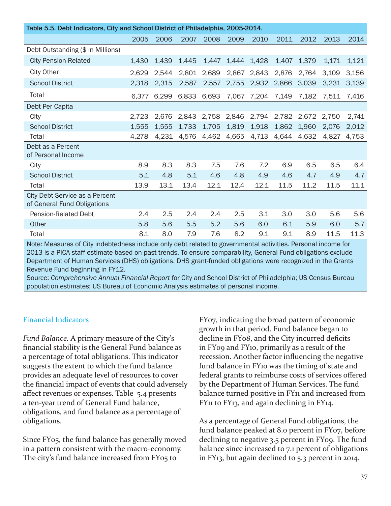| Table 5.5. Debt Indicators, City and School District of Philadelphia, 2005-2014. |       |       |       |       |       |             |       |       |       |       |  |  |
|----------------------------------------------------------------------------------|-------|-------|-------|-------|-------|-------------|-------|-------|-------|-------|--|--|
|                                                                                  | 2005  | 2006  | 2007  | 2008  | 2009  | 2010        | 2011  | 2012  | 2013  | 2014  |  |  |
| Debt Outstanding (\$ in Millions)                                                |       |       |       |       |       |             |       |       |       |       |  |  |
| <b>City Pension-Related</b>                                                      | 1,430 | 1,439 | 1,445 | 1,447 | 1,444 | 1,428       | 1,407 | 1,379 | 1,171 | 1,121 |  |  |
| <b>City Other</b>                                                                | 2,629 | 2,544 | 2,801 | 2,689 | 2,867 | 2,843       | 2,876 | 2,764 | 3,109 | 3,156 |  |  |
| <b>School District</b>                                                           | 2,318 | 2,315 | 2,587 | 2,557 | 2,755 | 2,932       | 2,866 | 3,039 | 3,231 | 3,139 |  |  |
| Total                                                                            | 6,377 | 6,299 | 6,833 | 6,693 |       | 7,067 7,204 | 7,149 | 7,182 | 7,511 | 7,416 |  |  |
| Debt Per Capita                                                                  |       |       |       |       |       |             |       |       |       |       |  |  |
| City                                                                             | 2,723 | 2,676 | 2,843 | 2,758 | 2,846 | 2,794       | 2,782 | 2,672 | 2,750 | 2,741 |  |  |
| <b>School District</b>                                                           | 1,555 | 1,555 | 1,733 | 1,705 | 1,819 | 1,918       | 1,862 | 1,960 | 2,076 | 2,012 |  |  |
| Total                                                                            | 4,278 | 4,231 | 4,576 | 4,462 | 4,665 | 4,713       | 4,644 | 4,632 | 4,827 | 4,753 |  |  |
| Debt as a Percent<br>of Personal Income                                          |       |       |       |       |       |             |       |       |       |       |  |  |
| City                                                                             | 8.9   | 8.3   | 8.3   | 7.5   | 7.6   | 7.2         | 6.9   | 6.5   | 6.5   | 6.4   |  |  |
| <b>School District</b>                                                           | 5.1   | 4.8   | 5.1   | 4.6   | 4.8   | 4.9         | 4.6   | 4.7   | 4.9   | 4.7   |  |  |
| Total                                                                            | 13.9  | 13.1  | 13.4  | 12.1  | 12.4  | 12.1        | 11.5  | 11.2  | 11.5  | 11.1  |  |  |
| City Debt Service as a Percent<br>of General Fund Obligations                    |       |       |       |       |       |             |       |       |       |       |  |  |
| Pension-Related Debt                                                             | 2.4   | 2.5   | 2.4   | 2.4   | 2.5   | 3.1         | 3.0   | 3.0   | 5.6   | 5.6   |  |  |
| Other                                                                            | 5.8   | 5.6   | 5.5   | 5.2   | 5.6   | 6.0         | 6.1   | 5.9   | 6.0   | 5.7   |  |  |
| Total                                                                            | 8.1   | 8.0   | 7.9   | 7.6   | 8.2   | 9.1         | 9.1   | 8.9   | 11.5  | 11.3  |  |  |

Note: Measures of City indebtedness include only debt related to governmental activities. Personal income for 2013 is a PICA staff estimate based on past trends. To ensure comparability, General Fund obligations exclude Department of Human Services (DHS) obligations. DHS grant-funded obligations were recognized in the Grants Revenue Fund beginning in FY12.

Source: *Comprehensive Annual Financial Report* for City and School District of Philadelphia; US Census Bureau population estimates; US Bureau of Economic Analysis estimates of personal income.

#### Financial Indicators

*Fund Balance.* A primary measure of the City's financial stability is the General Fund balance as a percentage of total obligations. This indicator suggests the extent to which the fund balance provides an adequate level of resources to cover the financial impact of events that could adversely affect revenues or expenses. Table 5.4 presents a ten-year trend of General Fund balance, obligations, and fund balance as a percentage of obligations.

Since FY05, the fund balance has generally moved in a pattern consistent with the macro-economy. The city's fund balance increased from FY05 to

FY07, indicating the broad pattern of economic growth in that period. Fund balance began to decline in FY08, and the City incurred deficits in FY09 and FY10, primarily as a result of the recession. Another factor influencing the negative fund balance in FY10 was the timing of state and federal grants to reimburse costs of services offered by the Department of Human Services. The fund balance turned positive in FY11 and increased from FY11 to FY13, and again declining in FY14.

As a percentage of General Fund obligations, the fund balance peaked at 8.0 percent in FY07, before declining to negative 3.5 percent in FY09. The fund balance since increased to 7.1 percent of obligations in FY13, but again declined to 5.3 percent in 2014.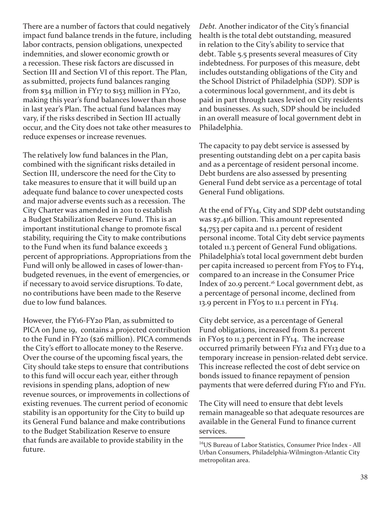There are a number of factors that could negatively impact fund balance trends in the future, including labor contracts, pension obligations, unexpected indemnities, and slower economic growth or a recession. These risk factors are discussed in Section III and Section VI of this report. The Plan, as submitted, projects fund balances ranging from \$34 million in FY17 to \$153 million in FY20, making this year's fund balances lower than those in last year's Plan. The actual fund balances may vary, if the risks described in Section III actually occur, and the City does not take other measures to reduce expenses or increase revenues.

The relatively low fund balances in the Plan, combined with the significant risks detailed in Section III, underscore the need for the City to take measures to ensure that it will build up an adequate fund balance to cover unexpected costs and major adverse events such as a recession. The City Charter was amended in 2011 to establish a Budget Stabilization Reserve Fund. This is an important institutional change to promote fiscal stability, requiring the City to make contributions to the Fund when its fund balance exceeds 3 percent of appropriations. Appropriations from the Fund will only be allowed in cases of lower-thanbudgeted revenues, in the event of emergencies, or if necessary to avoid service disruptions. To date, no contributions have been made to the Reserve due to low fund balances.

However, the FY16-FY20 Plan, as submitted to PICA on June 19, contains a projected contribution to the Fund in FY20 (\$26 million). PICA commends the City's effort to allocate money to the Reserve. Over the course of the upcoming fiscal years, the City should take steps to ensure that contributions to this fund will occur each year, either through revisions in spending plans, adoption of new revenue sources, or improvements in collections of existing revenues. The current period of economic stability is an opportunity for the City to build up its General Fund balance and make contributions to the Budget Stabilization Reserve to ensure that funds are available to provide stability in the future.

*Debt.* Another indicator of the City's financial health is the total debt outstanding, measured in relation to the City's ability to service that debt. Table 5.5 presents several measures of City indebtedness. For purposes of this measure, debt includes outstanding obligations of the City and the School District of Philadelphia (SDP). SDP is a coterminous local government, and its debt is paid in part through taxes levied on City residents and businesses. As such, SDP should be included in an overall measure of local government debt in Philadelphia.

The capacity to pay debt service is assessed by presenting outstanding debt on a per capita basis and as a percentage of resident personal income. Debt burdens are also assessed by presenting General Fund debt service as a percentage of total General Fund obligations.

At the end of FY14, City and SDP debt outstanding was \$7.416 billion. This amount represented \$4,753 per capita and 11.1 percent of resident personal income. Total City debt service payments totaled 11.3 percent of General Fund obligations. Philadelphia's total local government debt burden per capita increased 10 percent from FY05 to FY14, compared to an increase in the Consumer Price Index of 20.9 percent.<sup>16</sup> Local government debt, as a percentage of personal income, declined from 13.9 percent in FY05 to 11.1 percent in FY14.

City debt service, as a percentage of General Fund obligations, increased from 8.1 percent in FY05 to 11.3 percent in FY14. The increase occurred primarily between FY12 and FY13 due to a temporary increase in pension-related debt service. This increase reflected the cost of debt service on bonds issued to finance repayment of pension payments that were deferred during FY10 and FY11.

The City will need to ensure that debt levels remain manageable so that adequate resources are available in the General Fund to finance current services.

<sup>16</sup>US Bureau of Labor Statistics, Consumer Price Index - All Urban Consumers, Philadelphia-Wilmington-Atlantic City metropolitan area.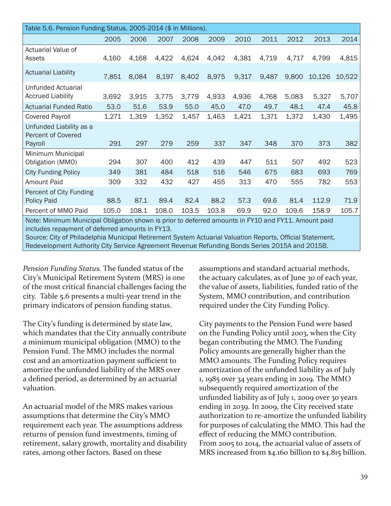| Table 5.6. Pension Funding Status, 2005-2014 (\$ in Millions).                                                                                         |       |       |       |       |       |       |       |       |        |        |
|--------------------------------------------------------------------------------------------------------------------------------------------------------|-------|-------|-------|-------|-------|-------|-------|-------|--------|--------|
|                                                                                                                                                        | 2005  | 2006  | 2007  | 2008  | 2009  | 2010  | 2011  | 2012  | 2013   | 2014   |
| Actuarial Value of<br>Assets                                                                                                                           | 4,160 | 4,168 | 4,422 | 4,624 | 4,042 | 4,381 | 4,719 | 4,717 | 4,799  | 4,815  |
| <b>Actuarial Liability</b>                                                                                                                             | 7,851 | 8,084 | 8,197 | 8,402 | 8,975 | 9,317 | 9,487 | 9,800 | 10,126 | 10,522 |
| <b>Unfunded Actuarial</b><br><b>Accrued Liability</b>                                                                                                  | 3,692 | 3,915 | 3,775 | 3,779 | 4,933 | 4,936 | 4,768 | 5,083 | 5,327  | 5,707  |
| <b>Actuarial Funded Ratio</b>                                                                                                                          | 53.0  | 51.6  | 53.9  | 55.0  | 45.0  | 47.0  | 49.7  | 48.1  | 47.4   | 45.8   |
| <b>Covered Payroll</b>                                                                                                                                 | 1,271 | 1,319 | 1,352 | 1,457 | 1,463 | 1,421 | 1,371 | 1,372 | 1,430  | 1,495  |
| Unfunded Liability as a<br><b>Percent of Covered</b><br>Payroll                                                                                        | 291   | 297   | 279   | 259   | 337   | 347   | 348   | 370   | 373    | 382    |
| Minimum Municipal<br>Obligation (MMO)                                                                                                                  | 294   | 307   | 400   | 412   | 439   | 447   | 511   | 507   | 492    | 523    |
| <b>City Funding Policy</b>                                                                                                                             | 349   | 381   | 484   | 518   | 516   | 546   | 675   | 683   | 693    | 769    |
| <b>Amount Paid</b>                                                                                                                                     | 309   | 332   | 432   | 427   | 455   | 313   | 470   | 555   | 782    | 553    |
| Percent of City Funding<br>Policy Paid                                                                                                                 | 88.5  | 87.1  | 89.4  | 82.4  | 88.2  | 57.3  | 69.6  | 81.4  | 112.9  | 71.9   |
| Percent of MMO Paid                                                                                                                                    | 105.0 | 108.1 | 108.0 | 103.5 | 103.8 | 69.9  | 92.0  | 109.6 | 158.9  | 105.7  |
| Note: Minimum Municipal Obligation shown is prior to deferred amounts in FY10 and FY11. Amount paid<br>includes repayment of deferred amounts in FY13. |       |       |       |       |       |       |       |       |        |        |

Source: City of Philadelphia Municipal Retirement System Actuarial Valuation Reports, Official Statement, Redevelopment Authority City Service Agreement Revenue Refunding Bonds Series 2015A and 2015B.

*Pension Funding Status.* The funded status of the City's Municipal Retirement System (MRS) is one of the most critical financial challenges facing the city. Table 5.6 presents a multi-year trend in the primary indicators of pension funding status.

The City's funding is determined by state law, which mandates that the City annually contribute a minimum municipal obligation (MMO) to the Pension Fund. The MMO includes the normal cost and an amortization payment sufficient to amortize the unfunded liability of the MRS over a defined period, as determined by an actuarial valuation.

An actuarial model of the MRS makes various assumptions that determine the City's MMO requirement each year. The assumptions address returns of pension fund investments, timing of retirement, salary growth, mortality and disability rates, among other factors. Based on these

assumptions and standard actuarial methods, the actuary calculates, as of June 30 of each year, the value of assets, liabilities, funded ratio of the System, MMO contribution, and contribution required under the City Funding Policy.

City payments to the Pension Fund were based on the Funding Policy until 2003, when the City began contributing the MMO. The Funding Policy amounts are generally higher than the MMO amounts. The Funding Policy requires amortization of the unfunded liability as of July 1, 1985 over 34 years ending in 2019. The MMO subsequently required amortization of the unfunded liability as of July 1, 2009 over 30 years ending in 2039. In 2009, the City received state authorization to re-amortize the unfunded liability for purposes of calculating the MMO. This had the effect of reducing the MMO contribution. From 2005 to 2014, the actuarial value of assets of MRS increased from \$4.160 billion to \$4.815 billion.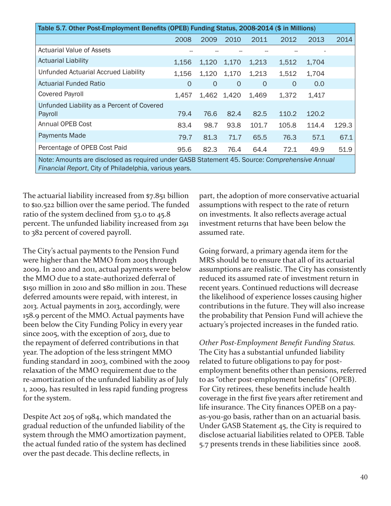| Table 5.7. Other Post-Employment Benefits (OPEB) Funding Status, 2008-2014 (\$ in Millions)                                                             |          |          |          |       |       |       |       |  |  |
|---------------------------------------------------------------------------------------------------------------------------------------------------------|----------|----------|----------|-------|-------|-------|-------|--|--|
|                                                                                                                                                         | 2008     | 2009     | 2010     | 2011  | 2012  | 2013  | 2014  |  |  |
| <b>Actuarial Value of Assets</b>                                                                                                                        |          |          |          |       |       |       |       |  |  |
| <b>Actuarial Liability</b>                                                                                                                              | 1,156    | 1,120    | 1,170    | 1,213 | 1,512 | 1,704 |       |  |  |
| Unfunded Actuarial Accrued Liability                                                                                                                    | 1,156    | 1,120    | 1,170    | 1,213 | 1,512 | 1,704 |       |  |  |
| <b>Actuarial Funded Ratio</b>                                                                                                                           | $\Omega$ | $\Omega$ | $\Omega$ | 0     | 0     | 0.0   |       |  |  |
| <b>Covered Payroll</b>                                                                                                                                  | 1,457    | 1,462    | 1,420    | 1,469 | 1,372 | 1,417 |       |  |  |
| Unfunded Liability as a Percent of Covered<br>Payroll                                                                                                   | 79.4     | 76.6     | 82.4     | 82.5  | 110.2 | 120.2 |       |  |  |
| Annual OPEB Cost                                                                                                                                        | 83.4     | 98.7     | 93.8     | 101.7 | 105.8 | 114.4 | 129.3 |  |  |
| <b>Payments Made</b>                                                                                                                                    | 79.7     | 81.3     | 71.7     | 65.5  | 76.3  | 57.1  | 67.1  |  |  |
| Percentage of OPEB Cost Paid                                                                                                                            | 95.6     | 82.3     | 76.4     | 64.4  | 72.1  | 49.9  | 51.9  |  |  |
| Note: Amounts are disclosed as required under GASB Statement 45. Source: Comprehensive Annual<br>Financial Report, City of Philadelphia, various years. |          |          |          |       |       |       |       |  |  |

The actuarial liability increased from \$7.851 billion to \$10.522 billion over the same period. The funded ratio of the system declined from 53.0 to 45.8 percent. The unfunded liability increased from 291 to 382 percent of covered payroll.

The City's actual payments to the Pension Fund were higher than the MMO from 2005 through 2009. In 2010 and 2011, actual payments were below the MMO due to a state-authorized deferral of \$150 million in 2010 and \$80 million in 2011. These deferred amounts were repaid, with interest, in 2013. Actual payments in 2013, accordingly, were 158.9 percent of the MMO. Actual payments have been below the City Funding Policy in every year since 2005, with the exception of 2013, due to the repayment of deferred contributions in that year. The adoption of the less stringent MMO funding standard in 2003, combined with the 2009 relaxation of the MMO requirement due to the re-amortization of the unfunded liability as of July 1, 2009, has resulted in less rapid funding progress for the system.

Despite Act 205 of 1984, which mandated the gradual reduction of the unfunded liability of the system through the MMO amortization payment, the actual funded ratio of the system has declined over the past decade. This decline reflects, in

part, the adoption of more conservative actuarial assumptions with respect to the rate of return on investments. It also reflects average actual investment returns that have been below the assumed rate.

Going forward, a primary agenda item for the MRS should be to ensure that all of its actuarial assumptions are realistic. The City has consistently reduced its assumed rate of investment return in recent years. Continued reductions will decrease the likelihood of experience losses causing higher contributions in the future. They will also increase the probability that Pension Fund will achieve the actuary's projected increases in the funded ratio.

*Other Post-Employment Benefit Funding Status.*  The City has a substantial unfunded liability related to future obligations to pay for postemployment benefits other than pensions, referred to as "other post-employment benefits" (OPEB). For City retirees, these benefits include health coverage in the first five years after retirement and life insurance. The City finances OPEB on a payas-you-go basis, rather than on an actuarial basis. Under GASB Statement 45, the City is required to disclose actuarial liabilities related to OPEB. Table 5.7 presents trends in these liabilities since 2008.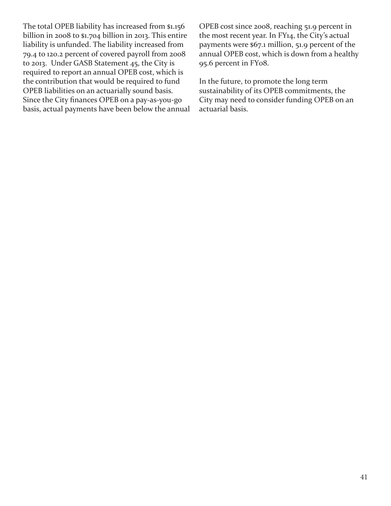The total OPEB liability has increased from \$1.156 billion in 2008 to \$1.704 billion in 2013. This entire liability is unfunded. The liability increased from 79.4 to 120.2 percent of covered payroll from 2008 to 2013. Under GASB Statement 45, the City is required to report an annual OPEB cost, which is the contribution that would be required to fund OPEB liabilities on an actuarially sound basis. Since the City finances OPEB on a pay-as-you-go basis, actual payments have been below the annual OPEB cost since 2008, reaching 51.9 percent in the most recent year. In FY14, the City's actual payments were \$67.1 million, 51.9 percent of the annual OPEB cost, which is down from a healthy 95.6 percent in FY08.

In the future, to promote the long term sustainability of its OPEB commitments, the City may need to consider funding OPEB on an actuarial basis.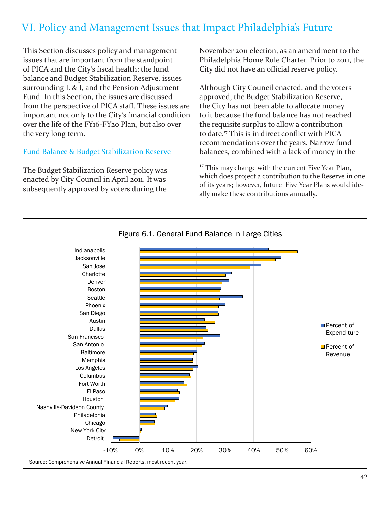## VI. Policy and Management Issues that Impact Philadelphia's Future

This Section discusses policy and management issues that are important from the standpoint of PICA and the City's fiscal health: the fund balance and Budget Stabilization Reserve, issues surrounding L & I, and the Pension Adjustment Fund. In this Section, the issues are discussed from the perspective of PICA staff. These issues are important not only to the City's financial condition over the life of the FY16-FY20 Plan, but also over the very long term.

#### Fund Balance & Budget Stabilization Reserve

The Budget Stabilization Reserve policy was enacted by City Council in April 2011. It was subsequently approved by voters during the

November 2011 election, as an amendment to the Philadelphia Home Rule Charter. Prior to 2011, the City did not have an official reserve policy.

Although City Council enacted, and the voters approved, the Budget Stabilization Reserve, the City has not been able to allocate money to it because the fund balance has not reached the requisite surplus to allow a contribution to date.17 This is in direct conflict with PICA recommendations over the years. Narrow fund balances, combined with a lack of money in the

<sup>17</sup> This may change with the current Five Year Plan, which does project a contribution to the Reserve in one of its years; however, future Five Year Plans would ideally make these contributions annually.

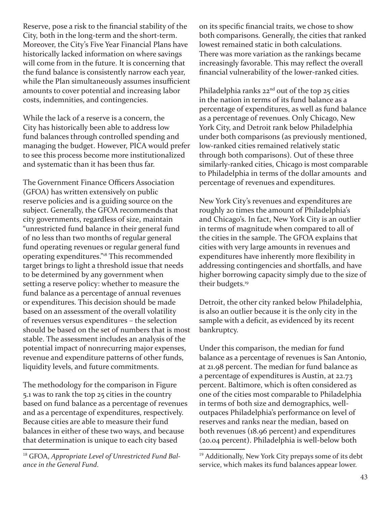Reserve, pose a risk to the financial stability of the City, both in the long-term and the short-term. Moreover, the City's Five Year Financial Plans have historically lacked information on where savings will come from in the future. It is concerning that the fund balance is consistently narrow each year, while the Plan simultaneously assumes insufficient amounts to cover potential and increasing labor costs, indemnities, and contingencies.

While the lack of a reserve is a concern, the City has historically been able to address low fund balances through controlled spending and managing the budget. However, PICA would prefer to see this process become more institutionalized and systematic than it has been thus far.

The Government Finance Officers Association (GFOA) has written extensively on public reserve policies and is a guiding source on the subject. Generally, the GFOA recommends that city governments, regardless of size, maintain "unrestricted fund balance in their general fund of no less than two months of regular general fund operating revenues or regular general fund operating expenditures."18 This recommended target brings to light a threshold issue that needs to be determined by any government when setting a reserve policy: whether to measure the fund balance as a percentage of annual revenues or expenditures. This decision should be made based on an assessment of the overall volatility of revenues versus expenditures – the selection should be based on the set of numbers that is most stable. The assessment includes an analysis of the potential impact of nonrecurring major expenses, revenue and expenditure patterns of other funds, liquidity levels, and future commitments.

The methodology for the comparison in Figure 5.1 was to rank the top 25 cities in the country based on fund balance as a percentage of revenues and as a percentage of expenditures, respectively. Because cities are able to measure their fund balances in either of these two ways, and because that determination is unique to each city based

on its specific financial traits, we chose to show both comparisons. Generally, the cities that ranked lowest remained static in both calculations. There was more variation as the rankings became increasingly favorable. This may reflect the overall financial vulnerability of the lower-ranked cities.

Philadelphia ranks  $22<sup>nd</sup>$  out of the top  $25$  cities in the nation in terms of its fund balance as a percentage of expenditures, as well as fund balance as a percentage of revenues. Only Chicago, New York City, and Detroit rank below Philadelphia under both comparisons (as previously mentioned, low-ranked cities remained relatively static through both comparisons). Out of these three similarly-ranked cities, Chicago is most comparable to Philadelphia in terms of the dollar amounts and percentage of revenues and expenditures.

New York City's revenues and expenditures are roughly 20 times the amount of Philadelphia's and Chicago's. In fact, New York City is an outlier in terms of magnitude when compared to all of the cities in the sample. The GFOA explains that cities with very large amounts in revenues and expenditures have inherently more flexibility in addressing contingencies and shortfalls, and have higher borrowing capacity simply due to the size of their budgets.<sup>19</sup>

Detroit, the other city ranked below Philadelphia, is also an outlier because it is the only city in the sample with a deficit, as evidenced by its recent bankruptcy.

Under this comparison, the median for fund balance as a percentage of revenues is San Antonio, at 21.98 percent. The median for fund balance as a percentage of expenditures is Austin, at 22.73 percent. Baltimore, which is often considered as one of the cities most comparable to Philadelphia in terms of both size and demographics, welloutpaces Philadelphia's performance on level of reserves and ranks near the median, based on both revenues (18.96 percent) and expenditures (20.04 percent). Philadelphia is well-below both

<sup>18</sup> GFOA, *Appropriate Level of Unrestricted Fund Balance in the General Fund*.

<sup>&</sup>lt;sup>19</sup> Additionally, New York City prepays some of its debt service, which makes its fund balances appear lower.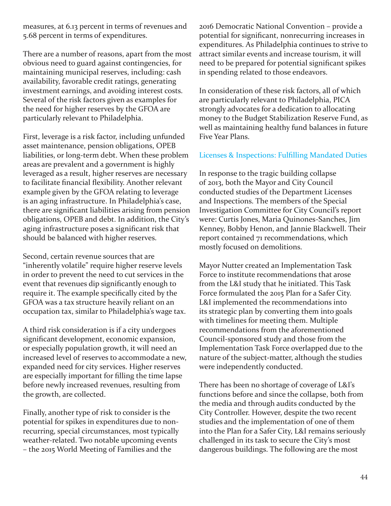measures, at 6.13 percent in terms of revenues and 5.68 percent in terms of expenditures.

There are a number of reasons, apart from the most obvious need to guard against contingencies, for maintaining municipal reserves, including: cash availability, favorable credit ratings, generating investment earnings, and avoiding interest costs. Several of the risk factors given as examples for the need for higher reserves by the GFOA are particularly relevant to Philadelphia.

First, leverage is a risk factor, including unfunded asset maintenance, pension obligations, OPEB liabilities, or long-term debt. When these problem areas are prevalent and a government is highly leveraged as a result, higher reserves are necessary to facilitate financial flexibility. Another relevant example given by the GFOA relating to leverage is an aging infrastructure. In Philadelphia's case, there are significant liabilities arising from pension obligations, OPEB and debt. In addition, the City's aging infrastructure poses a significant risk that should be balanced with higher reserves.

Second, certain revenue sources that are "inherently volatile" require higher reserve levels in order to prevent the need to cut services in the event that revenues dip significantly enough to require it. The example specifically cited by the GFOA was a tax structure heavily reliant on an occupation tax, similar to Philadelphia's wage tax.

A third risk consideration is if a city undergoes significant development, economic expansion, or especially population growth, it will need an increased level of reserves to accommodate a new, expanded need for city services. Higher reserves are especially important for filling the time lapse before newly increased revenues, resulting from the growth, are collected.

Finally, another type of risk to consider is the potential for spikes in expenditures due to nonrecurring, special circumstances, most typically weather-related. Two notable upcoming events – the 2015 World Meeting of Families and the

2016 Democratic National Convention – provide a potential for significant, nonrecurring increases in expenditures. As Philadelphia continues to strive to attract similar events and increase tourism, it will need to be prepared for potential significant spikes in spending related to those endeavors.

In consideration of these risk factors, all of which are particularly relevant to Philadelphia, PICA strongly advocates for a dedication to allocating money to the Budget Stabilization Reserve Fund, as well as maintaining healthy fund balances in future Five Year Plans.

#### Licenses & Inspections: Fulfilling Mandated Duties

In response to the tragic building collapse of 2013, both the Mayor and City Council conducted studies of the Department Licenses and Inspections. The members of the Special Investigation Committee for City Council's report were: Curtis Jones, Maria Quinones-Sanches, Jim Kenney, Bobby Henon, and Jannie Blackwell. Their report contained 71 recommendations, which mostly focused on demolitions.

Mayor Nutter created an Implementation Task Force to institute recommendations that arose from the L&I study that he initiated. This Task Force formulated the 2015 Plan for a Safer City. L&I implemented the recommendations into its strategic plan by converting them into goals with timelines for meeting them. Multiple recommendations from the aforementioned Council-sponsored study and those from the Implementation Task Force overlapped due to the nature of the subject-matter, although the studies were independently conducted.

There has been no shortage of coverage of L&I's functions before and since the collapse, both from the media and through audits conducted by the City Controller. However, despite the two recent studies and the implementation of one of them into the Plan for a Safer City, L&I remains seriously challenged in its task to secure the City's most dangerous buildings. The following are the most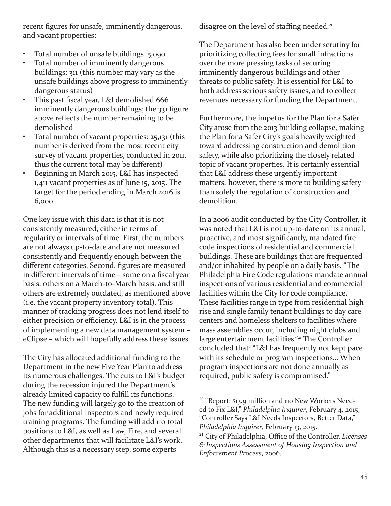recent figures for unsafe, imminently dangerous, and vacant properties:

- Total number of unsafe buildings 5,090
- Total number of imminently dangerous buildings: 311 (this number may vary as the unsafe buildings above progress to imminently dangerous status)
- This past fiscal year, L&I demolished 666 imminently dangerous buildings; the 331 figure above reflects the number remaining to be demolished
- Total number of vacant properties: 25,131 (this number is derived from the most recent city survey of vacant properties, conducted in 2011, thus the current total may be different)
- Beginning in March 2015, L&I has inspected 1,411 vacant properties as of June 15, 2015. The target for the period ending in March 2016 is 6,000

One key issue with this data is that it is not consistently measured, either in terms of regularity or intervals of time. First, the numbers are not always up-to-date and are not measured consistently and frequently enough between the different categories. Second, figures are measured in different intervals of time – some on a fiscal year basis, others on a March-to-March basis, and still others are extremely outdated, as mentioned above (i.e. the vacant property inventory total). This manner of tracking progress does not lend itself to either precision or efficiency. L&I is in the process of implementing a new data management system – eClipse – which will hopefully address these issues.

The City has allocated additional funding to the Department in the new Five Year Plan to address its numerous challenges. The cuts to L&I's budget during the recession injured the Department's already limited capacity to fulfill its functions. The new funding will largely go to the creation of jobs for additional inspectors and newly required training programs. The funding will add 110 total positions to L&I, as well as Law, Fire, and several other departments that will facilitate L&I's work. Although this is a necessary step, some experts

disagree on the level of staffing needed.<sup>20</sup>

The Department has also been under scrutiny for prioritizing collecting fees for small infractions over the more pressing tasks of securing imminently dangerous buildings and other threats to public safety. It is essential for L&I to both address serious safety issues, and to collect revenues necessary for funding the Department.

Furthermore, the impetus for the Plan for a Safer City arose from the 2013 building collapse, making the Plan for a Safer City's goals heavily weighted toward addressing construction and demolition safety, while also prioritizing the closely related topic of vacant properties. It is certainly essential that L&I address these urgently important matters, however, there is more to building safety than solely the regulation of construction and demolition.

In a 2006 audit conducted by the City Controller, it was noted that L&I is not up-to-date on its annual, proactive, and most significantly, mandated fire code inspections of residential and commercial buildings. These are buildings that are frequented and/or inhabited by people on a daily basis. "The Philadelphia Fire Code regulations mandate annual inspections of various residential and commercial facilities within the City for code compliance. These facilities range in type from residential high rise and single family tenant buildings to day care centers and homeless shelters to facilities where mass assemblies occur, including night clubs and large entertainment facilities."<sup>21</sup> The Controller concluded that: "L&I has frequently not kept pace with its schedule or program inspections… When program inspections are not done annually as required, public safety is compromised."

<sup>&</sup>lt;sup>20</sup> "Report: \$13.9 million and 110 New Workers Needed to Fix L&I," *Philadelphia Inquirer*, February 4, 2015; "Controller Says L&I Needs Inspectors, Better Data," *Philadelphia Inquirer*, February 13, 2015.

<sup>21</sup> City of Philadelphia, Office of the Controller, *Licenses & Inspections Assessment of Housing Inspection and Enforcement Process*, 2006.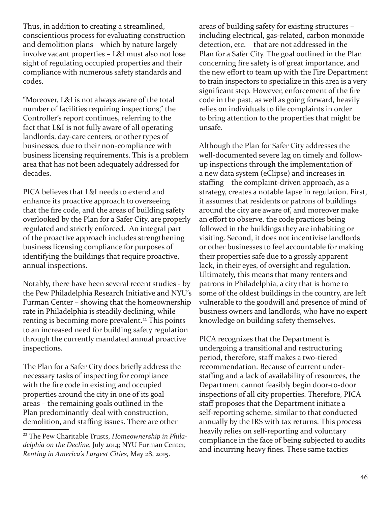Thus, in addition to creating a streamlined, conscientious process for evaluating construction and demolition plans – which by nature largely involve vacant properties – L&I must also not lose sight of regulating occupied properties and their compliance with numerous safety standards and codes.

"Moreover, L&I is not always aware of the total number of facilities requiring inspections," the Controller's report continues, referring to the fact that L&I is not fully aware of all operating landlords, day-care centers, or other types of businesses, due to their non-compliance with business licensing requirements. This is a problem area that has not been adequately addressed for decades.

PICA believes that L&I needs to extend and enhance its proactive approach to overseeing that the fire code, and the areas of building safety overlooked by the Plan for a Safer City, are properly regulated and strictly enforced. An integral part of the proactive approach includes strengthening business licensing compliance for purposes of identifying the buildings that require proactive, annual inspections.

Notably, there have been several recent studies - by the Pew Philadelphia Research Initiative and NYU's Furman Center – showing that the homeownership rate in Philadelphia is steadily declining, while renting is becoming more prevalent.<sup>22</sup> This points to an increased need for building safety regulation through the currently mandated annual proactive inspections.

The Plan for a Safer City does briefly address the necessary tasks of inspecting for compliance with the fire code in existing and occupied properties around the city in one of its goal areas – the remaining goals outlined in the Plan predominantly deal with construction, demolition, and staffing issues. There are other

areas of building safety for existing structures – including electrical, gas-related, carbon monoxide detection, etc. – that are not addressed in the Plan for a Safer City. The goal outlined in the Plan concerning fire safety is of great importance, and the new effort to team up with the Fire Department to train inspectors to specialize in this area is a very significant step. However, enforcement of the fire code in the past, as well as going forward, heavily relies on individuals to file complaints in order to bring attention to the properties that might be unsafe.

Although the Plan for Safer City addresses the well-documented severe lag on timely and followup inspections through the implementation of a new data system (eClipse) and increases in staffing – the complaint-driven approach, as a strategy, creates a notable lapse in regulation. First, it assumes that residents or patrons of buildings around the city are aware of, and moreover make an effort to observe, the code practices being followed in the buildings they are inhabiting or visiting. Second, it does not incentivise landlords or other businesses to feel accountable for making their properties safe due to a grossly apparent lack, in their eyes, of oversight and regulation. Ultimately, this means that many renters and patrons in Philadelphia, a city that is home to some of the oldest buildings in the country, are left vulnerable to the goodwill and presence of mind of business owners and landlords, who have no expert knowledge on building safety themselves.

PICA recognizes that the Department is undergoing a transitional and restructuring period, therefore, staff makes a two-tiered recommendation. Because of current understaffing and a lack of availability of resources, the Department cannot feasibly begin door-to-door inspections of all city properties. Therefore, PICA staff proposes that the Department initiate a self-reporting scheme, similar to that conducted annually by the IRS with tax returns. This process heavily relies on self-reporting and voluntary compliance in the face of being subjected to audits and incurring heavy fines. These same tactics

<sup>22</sup> The Pew Charitable Trusts, *Homeownership in Philadelphia on the Decline*, July 2014; NYU Furman Center, *Renting in America's Largest Cities*, May 28, 2015.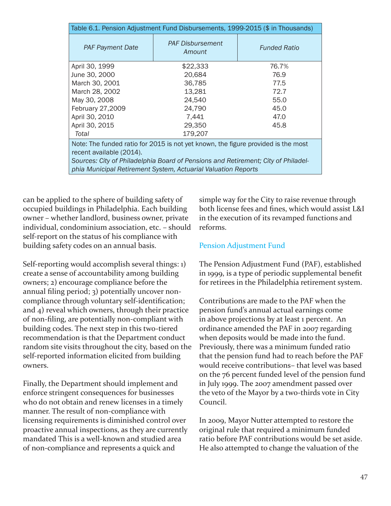| Table 6.1. Pension Adjustment Fund Disbursements, 1999-2015 (\$ in Thousands)                                                                                                                                                                                       |                                   |                     |  |  |  |  |  |
|---------------------------------------------------------------------------------------------------------------------------------------------------------------------------------------------------------------------------------------------------------------------|-----------------------------------|---------------------|--|--|--|--|--|
| <b>PAF Payment Date</b>                                                                                                                                                                                                                                             | <b>PAF Disbursement</b><br>Amount | <b>Funded Ratio</b> |  |  |  |  |  |
| April 30, 1999                                                                                                                                                                                                                                                      | \$22,333                          | 76.7%               |  |  |  |  |  |
| June 30, 2000                                                                                                                                                                                                                                                       | 20,684                            | 76.9                |  |  |  |  |  |
| March 30, 2001                                                                                                                                                                                                                                                      | 36,785                            | 77.5                |  |  |  |  |  |
| March 28, 2002                                                                                                                                                                                                                                                      | 13,281                            | 72.7                |  |  |  |  |  |
| May 30, 2008                                                                                                                                                                                                                                                        | 24,540                            | 55.0                |  |  |  |  |  |
| February 27,2009                                                                                                                                                                                                                                                    | 24,790                            | 45.0                |  |  |  |  |  |
| April 30, 2010                                                                                                                                                                                                                                                      | 7,441                             | 47.0                |  |  |  |  |  |
| April 30, 2015                                                                                                                                                                                                                                                      | 29,350                            | 45.8                |  |  |  |  |  |
| Total                                                                                                                                                                                                                                                               | 179,207                           |                     |  |  |  |  |  |
| Note: The funded ratio for 2015 is not yet known, the figure provided is the most<br>recent available (2014).<br>Sources: City of Philadelphia Board of Pensions and Retirement; City of Philadel-<br>phia Municipal Retirement System, Actuarial Valuation Reports |                                   |                     |  |  |  |  |  |
|                                                                                                                                                                                                                                                                     |                                   |                     |  |  |  |  |  |

can be applied to the sphere of building safety of occupied buildings in Philadelphia. Each building owner – whether landlord, business owner, private individual, condominium association, etc. – should self-report on the status of his compliance with building safety codes on an annual basis.

Self-reporting would accomplish several things: 1) create a sense of accountability among building owners; 2) encourage compliance before the annual filing period; 3) potentially uncover noncompliance through voluntary self-identification; and 4) reveal which owners, through their practice of non-filing, are potentially non-compliant with building codes. The next step in this two-tiered recommendation is that the Department conduct random site visits throughout the city, based on the self-reported information elicited from building owners.

Finally, the Department should implement and enforce stringent consequences for businesses who do not obtain and renew licenses in a timely manner. The result of non-compliance with licensing requirements is diminished control over proactive annual inspections, as they are currently mandated This is a well-known and studied area of non-compliance and represents a quick and

simple way for the City to raise revenue through both license fees and fines, which would assist L&I in the execution of its revamped functions and reforms.

#### Pension Adjustment Fund

The Pension Adjustment Fund (PAF), established in 1999, is a type of periodic supplemental benefit for retirees in the Philadelphia retirement system.

Contributions are made to the PAF when the pension fund's annual actual earnings come in above projections by at least 1 percent. An ordinance amended the PAF in 2007 regarding when deposits would be made into the fund. Previously, there was a minimum funded ratio that the pension fund had to reach before the PAF would receive contributions– that level was based on the 76 percent funded level of the pension fund in July 1999. The 2007 amendment passed over the veto of the Mayor by a two-thirds vote in City Council.

In 2009, Mayor Nutter attempted to restore the original rule that required a minimum funded ratio before PAF contributions would be set aside. He also attempted to change the valuation of the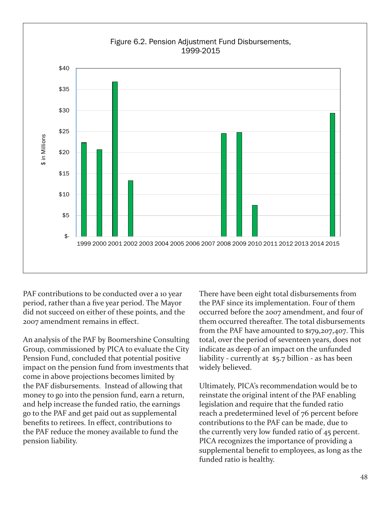

PAF contributions to be conducted over a 10 year period, rather than a five year period. The Mayor did not succeed on either of these points, and the 2007 amendment remains in effect.

An analysis of the PAF by Boomershine Consulting Group, commissioned by PICA to evaluate the City Pension Fund, concluded that potential positive impact on the pension fund from investments that come in above projections becomes limited by the PAF disbursements. Instead of allowing that money to go into the pension fund, earn a return, and help increase the funded ratio, the earnings go to the PAF and get paid out as supplemental benefits to retirees. In effect, contributions to the PAF reduce the money available to fund the pension liability.

There have been eight total disbursements from the PAF since its implementation. Four of them occurred before the 2007 amendment, and four of them occurred thereafter. The total disbursements from the PAF have amounted to \$179,207,407. This total, over the period of seventeen years, does not indicate as deep of an impact on the unfunded liability - currently at \$5.7 billion - as has been widely believed.

Ultimately, PICA's recommendation would be to reinstate the original intent of the PAF enabling legislation and require that the funded ratio reach a predetermined level of 76 percent before contributions to the PAF can be made, due to the currently very low funded ratio of 45 percent. PICA recognizes the importance of providing a supplemental benefit to employees, as long as the funded ratio is healthy.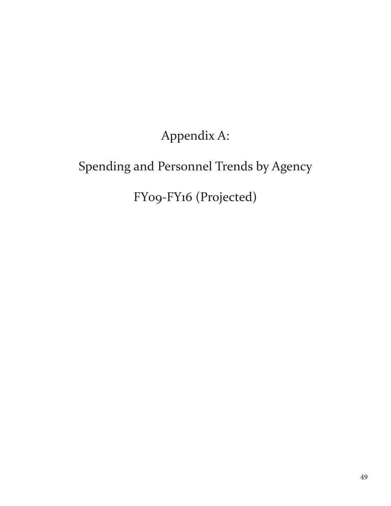# Appendix A:

# Spending and Personnel Trends by Agency

# FY09-FY16 (Projected)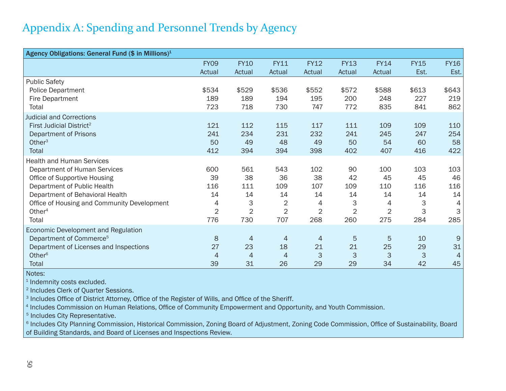## Appendix A: Spending and Personnel Trends by Agency

| Agency Obligations: General Fund (\$ in Millions) <sup>1</sup>                                                                                                                                                                                   |                                                      |                                                      |                                                      |                                                      |                                                     |                                                      |                                         |                                                      |
|--------------------------------------------------------------------------------------------------------------------------------------------------------------------------------------------------------------------------------------------------|------------------------------------------------------|------------------------------------------------------|------------------------------------------------------|------------------------------------------------------|-----------------------------------------------------|------------------------------------------------------|-----------------------------------------|------------------------------------------------------|
|                                                                                                                                                                                                                                                  | <b>FY09</b><br>Actual                                | <b>FY10</b><br>Actual                                | <b>FY11</b><br>Actual                                | <b>FY12</b><br>Actual                                | <b>FY13</b><br>Actual                               | <b>FY14</b><br>Actual                                | <b>FY15</b><br>Est.                     | <b>FY16</b><br>Est.                                  |
| <b>Public Safety</b><br><b>Police Department</b><br>Fire Department<br>Total                                                                                                                                                                     | \$534<br>189<br>723                                  | \$529<br>189<br>718                                  | \$536<br>194<br>730                                  | \$552<br>195<br>747                                  | \$572<br>200<br>772                                 | \$588<br>248<br>835                                  | \$613<br>227<br>841                     | \$643<br>219<br>862                                  |
| <b>Judicial and Corrections</b><br>First Judicial District <sup>2</sup><br><b>Department of Prisons</b><br>Other $3$<br>Total                                                                                                                    | 121<br>241<br>50<br>412                              | 112<br>234<br>49<br>394                              | 115<br>231<br>48<br>394                              | 117<br>232<br>49<br>398                              | 111<br>241<br>50<br>402                             | 109<br>245<br>54<br>407                              | 109<br>247<br>60<br>416                 | 110<br>254<br>58<br>422                              |
| <b>Health and Human Services</b><br>Department of Human Services<br>Office of Supportive Housing<br>Department of Public Health<br>Department of Behavioral Health<br>Office of Housing and Community Development<br>Other <sup>4</sup><br>Total | 600<br>39<br>116<br>14<br>4<br>$\overline{2}$<br>776 | 561<br>38<br>111<br>14<br>3<br>$\overline{2}$<br>730 | 543<br>36<br>109<br>14<br>2<br>$\overline{2}$<br>707 | 102<br>38<br>107<br>14<br>4<br>$\overline{2}$<br>268 | 90<br>42<br>109<br>14<br>3<br>$\overline{2}$<br>260 | 100<br>45<br>110<br>14<br>4<br>$\overline{2}$<br>275 | 103<br>45<br>116<br>14<br>3<br>3<br>284 | 103<br>46<br>116<br>14<br>$\overline{4}$<br>3<br>285 |
| Economic Development and Regulation<br>Department of Commerce <sup>5</sup><br>Department of Licenses and Inspections<br>Other <sup>6</sup><br>Total                                                                                              | 8<br>27<br>$\overline{4}$<br>39                      | 4<br>23<br>4<br>31                                   | 4<br>18<br>4<br>26                                   | $\overline{4}$<br>21<br>3<br>29                      | 5<br>21<br>3<br>29                                  | 5<br>25<br>3<br>34                                   | 10<br>29<br>3<br>42                     | 9<br>31<br>$\overline{4}$<br>45                      |

Notes:

<sup>1</sup> Indemnity costs excluded.

Includes Clerk of Quarter Sessions.

<sup>3</sup> Includes Office of District Attorney, Office of the Register of Wills, and Office of the Sheriff.

Includes Commission on Human Relations, Office of Community Empowerment and Opportunity, and Youth Commission.

Includes City Representative.

<sup>6</sup> Includes City Planning Commission, Historical Commission, Zoning Board of Adjustment, Zoning Code Commission, Office of Sustainability, Board of Building Standards, and Board of Licenses and Inspections Review.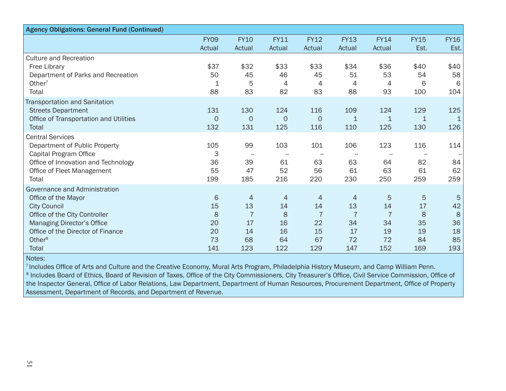| <b>Agency Obligations: General Fund (Continued)</b>                                                                                                                                                                   |                                       |                                                    |                                                    |                                                    |                                                    |                                                    |                                       |                                       |
|-----------------------------------------------------------------------------------------------------------------------------------------------------------------------------------------------------------------------|---------------------------------------|----------------------------------------------------|----------------------------------------------------|----------------------------------------------------|----------------------------------------------------|----------------------------------------------------|---------------------------------------|---------------------------------------|
|                                                                                                                                                                                                                       | <b>FY09</b>                           | <b>FY10</b>                                        | <b>FY11</b>                                        | <b>FY12</b>                                        | <b>FY13</b>                                        | <b>FY14</b>                                        | <b>FY15</b>                           | <b>FY16</b>                           |
|                                                                                                                                                                                                                       | Actual                                | Actual                                             | Actual                                             | Actual                                             | Actual                                             | Actual                                             | Est.                                  | Est.                                  |
| <b>Culture and Recreation</b><br>Free Library<br>Department of Parks and Recreation<br>Other <sup>7</sup>                                                                                                             | \$37<br>50<br>1                       | \$32<br>45<br>5                                    | \$33<br>46<br>4                                    | \$33<br>45<br>4                                    | \$34<br>51<br>4                                    | \$36<br>53<br>4                                    | \$40<br>54<br>6                       | \$40<br>58<br>6                       |
| Total                                                                                                                                                                                                                 | 88                                    | 83                                                 | 82                                                 | 83                                                 | 88                                                 | 93                                                 | 100                                   | 104                                   |
| <b>Transportation and Sanitation</b><br><b>Streets Department</b><br>Office of Transportation and Utilities<br><b>Total</b>                                                                                           | 131<br>$\Omega$<br>132                | 130<br>0<br>131                                    | 124<br>$\overline{0}$<br>125                       | 116<br>$\circ$<br>116                              | 109<br>1<br>110                                    | 124<br>$\mathbf{1}$<br>125                         | 129<br>130                            | 125<br>$\mathbf 1$<br>126             |
| <b>Central Services</b><br>Department of Public Property<br>Capital Program Office<br>Office of Innovation and Technology<br>Office of Fleet Management<br>Total                                                      | 105<br>3<br>36<br>55<br>199           | 99<br>$\overline{\phantom{a}}$<br>39<br>47<br>185  | 103<br>61<br>52<br>216                             | 101<br>63<br>56<br>220                             | 106<br>63<br>61<br>230                             | 123<br>64<br>63<br>250                             | 116<br>82<br>61<br>259                | 114<br>84<br>62<br>259                |
| Governance and Administration<br>Office of the Mayor<br><b>City Council</b><br>Office of the City Controller<br>Managing Director's Office<br>Office of the Director of Finance<br>Other <sup>8</sup><br><b>Total</b> | 6<br>15<br>8<br>20<br>20<br>73<br>141 | 4<br>13<br>$\overline{7}$<br>17<br>14<br>68<br>123 | $\overline{4}$<br>14<br>8<br>16<br>16<br>64<br>122 | 4<br>14<br>$\overline{7}$<br>22<br>15<br>67<br>129 | 4<br>13<br>$\overline{7}$<br>34<br>17<br>72<br>147 | 5<br>14<br>$\overline{7}$<br>34<br>19<br>72<br>152 | 5<br>17<br>8<br>35<br>19<br>84<br>169 | 5<br>42<br>8<br>36<br>18<br>85<br>193 |

7 Includes Office of Arts and Culture and the Creative Economy, Mural Arts Program, Philadelphia History Museum, and Camp William Penn. 8 Includes Board of Ethics, Board of Revision of Taxes, Office of the City Commissioners, City Treasurer's Office, Civil Service Commission, Office of the Inspector General, Office of Labor Relations, Law Department, Department of Human Resources, Procurement Department, Office of Property

Assessment, Department of Records, and Department of Revenue.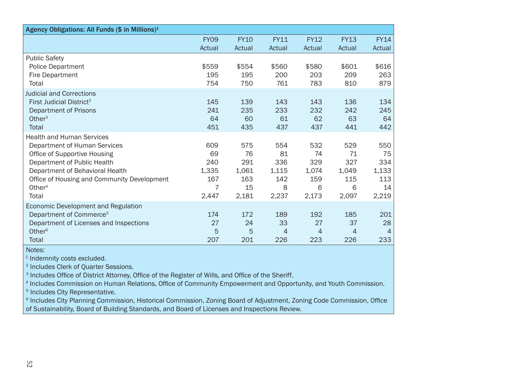| Agency Obligations: All Funds (\$ in Millions) <sup>1</sup>                                                                                                                                                                             |                                                |                                                 |                                                |                                                |                                                |                                                 |
|-----------------------------------------------------------------------------------------------------------------------------------------------------------------------------------------------------------------------------------------|------------------------------------------------|-------------------------------------------------|------------------------------------------------|------------------------------------------------|------------------------------------------------|-------------------------------------------------|
|                                                                                                                                                                                                                                         | <b>FY09</b>                                    | <b>FY10</b>                                     | <b>FY11</b>                                    | <b>FY12</b>                                    | <b>FY13</b>                                    | <b>FY14</b>                                     |
|                                                                                                                                                                                                                                         | Actual                                         | Actual                                          | Actual                                         | Actual                                         | Actual                                         | Actual                                          |
| <b>Public Safety</b><br><b>Police Department</b><br><b>Fire Department</b><br>Total                                                                                                                                                     | \$559<br>195<br>754                            | \$554<br>195<br>750                             | \$560<br>200<br>761                            | \$580<br>203<br>783                            | \$601<br>209<br>810                            | \$616<br>263<br>879                             |
| <b>Judicial and Corrections</b><br>First Judicial District <sup>2</sup><br>Department of Prisons<br>Other $3$<br>Total                                                                                                                  | 145<br>241<br>64<br>451                        | 139<br>235<br>60<br>435                         | 143<br>233<br>61<br>437                        | 143<br>232<br>62<br>437                        | 136<br>242<br>63<br>441                        | 134<br>245<br>64<br>442                         |
| <b>Health and Human Services</b><br>Department of Human Services<br>Office of Supportive Housing<br>Department of Public Health<br>Department of Behavioral Health<br>Office of Housing and Community Development<br>Other $4$<br>Total | 609<br>69<br>240<br>1,335<br>167<br>7<br>2,447 | 575<br>76<br>291<br>1,061<br>163<br>15<br>2,181 | 554<br>81<br>336<br>1,115<br>142<br>8<br>2,237 | 532<br>74<br>329<br>1,074<br>159<br>6<br>2,173 | 529<br>71<br>327<br>1,049<br>115<br>6<br>2,097 | 550<br>75<br>334<br>1,133<br>113<br>14<br>2,219 |
| Economic Development and Regulation<br>Department of Commerce <sup>5</sup><br>Department of Licenses and Inspections<br>Other <sup>6</sup><br><b>Total</b>                                                                              | 174<br>27<br>5<br>207                          | 172<br>24<br>5<br>201                           | 189<br>33<br>4<br>226                          | 192<br>27<br>4<br>223                          | 185<br>37<br>4<br>226                          | 201<br>28<br>$\overline{4}$<br>233              |

<sup>1</sup> Indemnity costs excluded.

Includes Clerk of Quarter Sessions.

<sup>3</sup> Includes Office of District Attorney, Office of the Register of Wills, and Office of the Sheriff.

<sup>4</sup> Includes Commission on Human Relations, Office of Community Empowerment and Opportunity, and Youth Commission.

Includes City Representative.

<sup>6</sup> Includes City Planning Commission, Historical Commission, Zoning Board of Adjustment, Zoning Code Commission, Office of Sustainability, Board of Building Standards, and Board of Licenses and Inspections Review.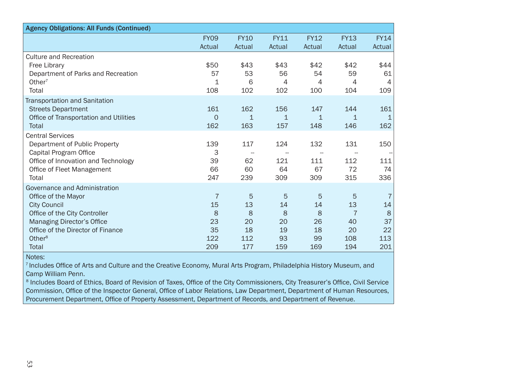| <b>Agency Obligations: All Funds (Continued)</b>                                                                                                                                                               |                                        |                                                    |                                       |                                       |                                                     |                                        |
|----------------------------------------------------------------------------------------------------------------------------------------------------------------------------------------------------------------|----------------------------------------|----------------------------------------------------|---------------------------------------|---------------------------------------|-----------------------------------------------------|----------------------------------------|
|                                                                                                                                                                                                                | <b>FY09</b>                            | <b>FY10</b>                                        | <b>FY11</b>                           | <b>FY12</b>                           | <b>FY13</b>                                         | <b>FY14</b>                            |
|                                                                                                                                                                                                                | Actual                                 | Actual                                             | Actual                                | Actual                                | Actual                                              | Actual                                 |
| <b>Culture and Recreation</b><br>Free Library<br>Department of Parks and Recreation<br>Other <sup>7</sup><br>Total                                                                                             | \$50<br>57<br>1<br>108                 | \$43<br>53<br>6<br>102                             | \$43<br>56<br>4<br>102                | \$42<br>54<br>4<br>100                | \$42<br>59<br>4<br>104                              | \$44<br>61<br>4<br>109                 |
| <b>Transportation and Sanitation</b><br><b>Streets Department</b><br>Office of Transportation and Utilities<br>Total                                                                                           | 161<br>$\Omega$<br>162                 | 162<br>$\mathbf 1$<br>163                          | 156<br>$\mathbf 1$<br>157             | 147<br>$\mathbf 1$<br>148             | 144<br>1<br>146                                     | 161<br>1<br>162                        |
| <b>Central Services</b><br>Department of Public Property<br>Capital Program Office<br>Office of Innovation and Technology<br>Office of Fleet Management<br>Total                                               | 139<br>3<br>39<br>66<br>247            | 117<br>$\overline{\phantom{a}}$<br>62<br>60<br>239 | 124<br>121<br>64<br>309               | 132<br>111<br>67<br>309               | 131<br>112<br>72<br>315                             | 150<br>--<br>111<br>74<br>336          |
| Governance and Administration<br>Office of the Mayor<br><b>City Council</b><br>Office of the City Controller<br>Managing Director's Office<br>Office of the Director of Finance<br>Other <sup>8</sup><br>Total | 7<br>15<br>8<br>23<br>35<br>122<br>209 | 5<br>13<br>8<br>20<br>18<br>112<br>177             | 5<br>14<br>8<br>20<br>19<br>93<br>159 | 5<br>14<br>8<br>26<br>18<br>99<br>169 | 5<br>13<br>$\overline{7}$<br>40<br>20<br>108<br>194 | 7<br>14<br>8<br>37<br>22<br>113<br>201 |

Includes Office of Arts and Culture and the Creative Economy, Mural Arts Program, Philadelphia History Museum, and Camp William Penn.

8 Includes Board of Ethics, Board of Revision of Taxes, Office of the City Commissioners, City Treasurer's Office, Civil Service Commission, Office of the Inspector General, Office of Labor Relations, Law Department, Department of Human Resources, Procurement Department, Office of Property Assessment, Department of Records, and Department of Revenue.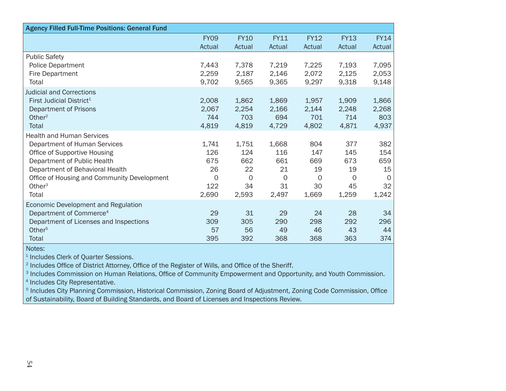| <b>Agency Filled Full-Time Positions: General Fund</b>                                                                                                                                                                                  |                                                          |                                                     |                                                     |                                                   |                                                    |                                                   |
|-----------------------------------------------------------------------------------------------------------------------------------------------------------------------------------------------------------------------------------------|----------------------------------------------------------|-----------------------------------------------------|-----------------------------------------------------|---------------------------------------------------|----------------------------------------------------|---------------------------------------------------|
|                                                                                                                                                                                                                                         | <b>FY09</b><br>Actual                                    | <b>FY10</b><br>Actual                               | <b>FY11</b><br>Actual                               | <b>FY12</b><br>Actual                             | <b>FY13</b><br>Actual                              | <b>FY14</b><br>Actual                             |
| <b>Public Safety</b><br><b>Police Department</b><br><b>Fire Department</b><br>Total                                                                                                                                                     | 7,443<br>2,259<br>9,702                                  | 7,378<br>2,187<br>9,565                             | 7,219<br>2,146<br>9,365                             | 7,225<br>2,072<br>9,297                           | 7,193<br>2,125<br>9,318                            | 7,095<br>2,053<br>9,148                           |
| <b>Judicial and Corrections</b><br>First Judicial District <sup>1</sup><br><b>Department of Prisons</b><br>Other $2$<br>Total                                                                                                           | 2,008<br>2,067<br>744<br>4,819                           | 1,862<br>2,254<br>703<br>4,819                      | 1,869<br>2,166<br>694<br>4,729                      | 1,957<br>2,144<br>701<br>4,802                    | 1,909<br>2,248<br>714<br>4,871                     | 1,866<br>2,268<br>803<br>4,937                    |
| <b>Health and Human Services</b><br>Department of Human Services<br>Office of Supportive Housing<br>Department of Public Health<br>Department of Behavioral Health<br>Office of Housing and Community Development<br>Other $3$<br>Total | 1,741<br>126<br>675<br>26<br>$\mathbf 0$<br>122<br>2,690 | 1,751<br>124<br>662<br>22<br>$\circ$<br>34<br>2,593 | 1,668<br>116<br>661<br>21<br>$\circ$<br>31<br>2,497 | 804<br>147<br>669<br>19<br>$\circ$<br>30<br>1,669 | 377<br>145<br>673<br>19<br>$\Omega$<br>45<br>1,259 | 382<br>154<br>659<br>15<br>$\circ$<br>32<br>1,242 |
| Economic Development and Regulation<br>Department of Commerce <sup>4</sup><br>Department of Licenses and Inspections<br>Other <sup>5</sup><br><b>Total</b>                                                                              | 29<br>309<br>57<br>395                                   | 31<br>305<br>56<br>392                              | 29<br>290<br>49<br>368                              | 24<br>298<br>46<br>368                            | 28<br>292<br>43<br>363                             | 34<br>296<br>44<br>374                            |

<sup>1</sup> Includes Clerk of Quarter Sessions.

<sup>2</sup> Includes Office of District Attorney, Office of the Register of Wills, and Office of the Sheriff.

<sup>3</sup> Includes Commission on Human Relations, Office of Community Empowerment and Opportunity, and Youth Commission.

<sup>4</sup> Includes City Representative.

<sup>5</sup> Includes City Planning Commission, Historical Commission, Zoning Board of Adjustment, Zoning Code Commission, Office of Sustainability, Board of Building Standards, and Board of Licenses and Inspections Review.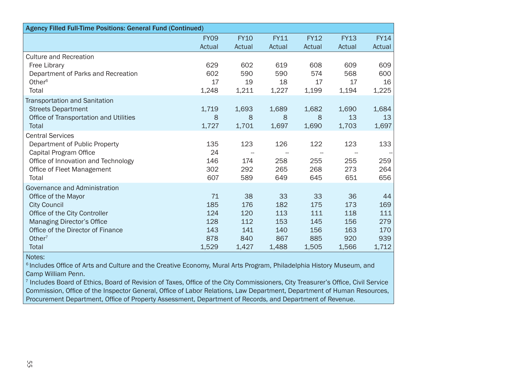| <b>Agency Filled Full-Time Positions: General Fund (Continued)</b>                                                                                                                                                  |                                                |                                                |                                                |                                                |                                                |                                                |
|---------------------------------------------------------------------------------------------------------------------------------------------------------------------------------------------------------------------|------------------------------------------------|------------------------------------------------|------------------------------------------------|------------------------------------------------|------------------------------------------------|------------------------------------------------|
|                                                                                                                                                                                                                     | <b>FY09</b>                                    | <b>FY10</b>                                    | <b>FY11</b>                                    | <b>FY12</b>                                    | <b>FY13</b>                                    | <b>FY14</b>                                    |
|                                                                                                                                                                                                                     | Actual                                         | Actual                                         | Actual                                         | Actual                                         | Actual                                         | Actual                                         |
| <b>Culture and Recreation</b><br>Free Library<br>Department of Parks and Recreation<br>Other <sup>6</sup><br>Total                                                                                                  | 629<br>602<br>17<br>1,248                      | 602<br>590<br>19<br>1,211                      | 619<br>590<br>18<br>1,227                      | 608<br>574<br>17<br>1,199                      | 609<br>568<br>17<br>1,194                      | 609<br>600<br>16<br>1,225                      |
| <b>Transportation and Sanitation</b><br><b>Streets Department</b><br>Office of Transportation and Utilities<br><b>Total</b>                                                                                         | 1,719<br>8<br>1,727                            | 1,693<br>8<br>1,701                            | 1,689<br>8<br>1,697                            | 1,682<br>8<br>1,690                            | 1,690<br>13<br>1,703                           | 1,684<br>13<br>1,697                           |
| <b>Central Services</b><br>Department of Public Property<br>Capital Program Office<br>Office of Innovation and Technology<br>Office of Fleet Management<br>Total                                                    | 135<br>24<br>146<br>302<br>607                 | 123<br>174<br>292<br>589                       | 126<br>258<br>265<br>649                       | 122<br>255<br>268<br>645                       | 123<br>255<br>273<br>651                       | 133<br>259<br>264<br>656                       |
| Governance and Administration<br>Office of the Mayor<br><b>City Council</b><br>Office of the City Controller<br><b>Managing Director's Office</b><br>Office of the Director of Finance<br>Other $7$<br><b>Total</b> | 71<br>185<br>124<br>128<br>143<br>878<br>1,529 | 38<br>176<br>120<br>112<br>141<br>840<br>1,427 | 33<br>182<br>113<br>153<br>140<br>867<br>1,488 | 33<br>175<br>111<br>145<br>156<br>885<br>1,505 | 36<br>173<br>118<br>156<br>163<br>920<br>1,566 | 44<br>169<br>111<br>279<br>170<br>939<br>1,712 |

<sup>6</sup> Includes Office of Arts and Culture and the Creative Economy, Mural Arts Program, Philadelphia History Museum, and Camp William Penn.

<sup>7</sup> Includes Board of Ethics, Board of Revision of Taxes, Office of the City Commissioners, City Treasurer's Office, Civil Service Commission, Office of the Inspector General, Office of Labor Relations, Law Department, Department of Human Resources, Procurement Department, Office of Property Assessment, Department of Records, and Department of Revenue.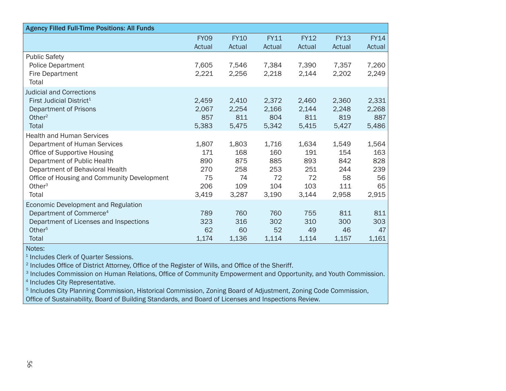| <b>Agency Filled Full-Time Positions: All Funds</b>                                                                                                                                                                                     |                                                  |                                                  |                                                  |                                                  |                                                  |                                                 |
|-----------------------------------------------------------------------------------------------------------------------------------------------------------------------------------------------------------------------------------------|--------------------------------------------------|--------------------------------------------------|--------------------------------------------------|--------------------------------------------------|--------------------------------------------------|-------------------------------------------------|
|                                                                                                                                                                                                                                         | <b>FY09</b><br>Actual                            | <b>FY10</b><br>Actual                            | <b>FY11</b><br>Actual                            | <b>FY12</b><br>Actual                            | <b>FY13</b><br>Actual                            | <b>FY14</b><br>Actual                           |
| <b>Public Safety</b><br><b>Police Department</b><br><b>Fire Department</b><br>Total                                                                                                                                                     | 7,605<br>2,221                                   | 7,546<br>2,256                                   | 7,384<br>2,218                                   | 7,390<br>2,144                                   | 7,357<br>2,202                                   | 7,260<br>2,249                                  |
| <b>Judicial and Corrections</b><br>First Judicial District <sup>1</sup><br><b>Department of Prisons</b><br>Other <sup>2</sup><br>Total                                                                                                  | 2,459<br>2,067<br>857<br>5,383                   | 2,410<br>2,254<br>811<br>5,475                   | 2,372<br>2,166<br>804<br>5,342                   | 2,460<br>2,144<br>811<br>5,415                   | 2,360<br>2,248<br>819<br>5,427                   | 2,331<br>2,268<br>887<br>5,486                  |
| <b>Health and Human Services</b><br>Department of Human Services<br>Office of Supportive Housing<br>Department of Public Health<br>Department of Behavioral Health<br>Office of Housing and Community Development<br>Other $3$<br>Total | 1,807<br>171<br>890<br>270<br>75<br>206<br>3,419 | 1,803<br>168<br>875<br>258<br>74<br>109<br>3,287 | 1,716<br>160<br>885<br>253<br>72<br>104<br>3,190 | 1,634<br>191<br>893<br>251<br>72<br>103<br>3,144 | 1,549<br>154<br>842<br>244<br>58<br>111<br>2,958 | 1,564<br>163<br>828<br>239<br>56<br>65<br>2,915 |
| Economic Development and Regulation<br>Department of Commerce <sup>4</sup><br>Department of Licenses and Inspections<br>Other <sup>5</sup><br><b>Total</b>                                                                              | 789<br>323<br>62<br>1,174                        | 760<br>316<br>60<br>1,136                        | 760<br>302<br>52<br>1,114                        | 755<br>310<br>49<br>1,114                        | 811<br>300<br>46<br>1,157                        | 811<br>303<br>47<br>1,161                       |

<sup>1</sup> Includes Clerk of Quarter Sessions.

<sup>2</sup> Includes Office of District Attorney, Office of the Register of Wills, and Office of the Sheriff.

<sup>3</sup> Includes Commission on Human Relations, Office of Community Empowerment and Opportunity, and Youth Commission.

<sup>4</sup> Includes City Representative.

<sup>5</sup> Includes City Planning Commission, Historical Commission, Zoning Board of Adjustment, Zoning Code Commission,

Office of Sustainability, Board of Building Standards, and Board of Licenses and Inspections Review.